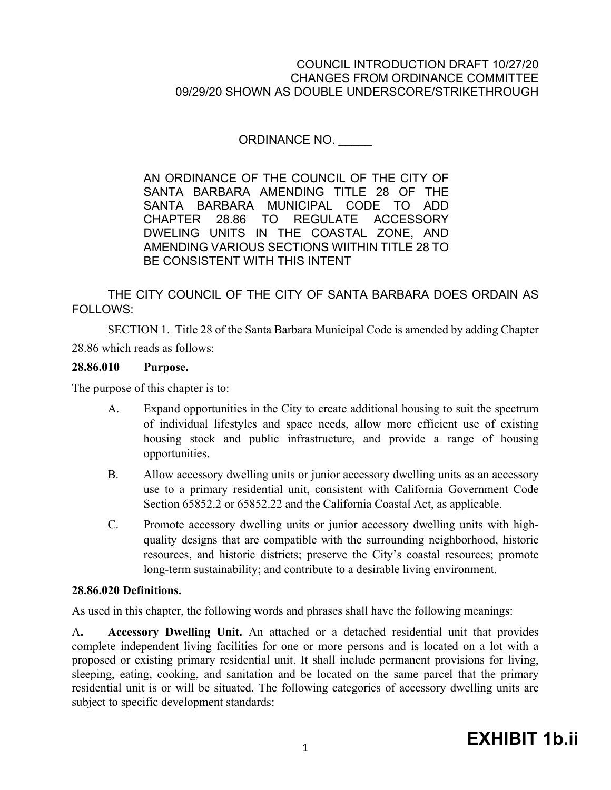ORDINANCE NO. \_\_\_\_\_

AN ORDINANCE OF THE COUNCIL OF THE CITY OF SANTA BARBARA AMENDING TITLE 28 OF THE SANTA BARBARA MUNICIPAL CODE TO ADD CHAPTER 28.86 TO REGULATE ACCESSORY DWELING UNITS IN THE COASTAL ZONE, AND AMENDING VARIOUS SECTIONS WIITHIN TITLE 28 TO BE CONSISTENT WITH THIS INTENT

THE CITY COUNCIL OF THE CITY OF SANTA BARBARA DOES ORDAIN AS FOLLOWS:

SECTION 1. Title 28 of the Santa Barbara Municipal Code is amended by adding Chapter 28.86 which reads as follows:

### **28.86.010 Purpose.**

The purpose of this chapter is to:

- A. Expand opportunities in the City to create additional housing to suit the spectrum of individual lifestyles and space needs, allow more efficient use of existing housing stock and public infrastructure, and provide a range of housing opportunities.
- B. Allow accessory dwelling units or junior accessory dwelling units as an accessory use to a primary residential unit, consistent with California [Government Code](http://qcode.us/codes/othercode.php?state=ca&code=gov) Section 65852.2 or 65852.22 and the California Coastal Act, as applicable.
- C. Promote accessory dwelling units or junior accessory dwelling units with highquality designs that are compatible with the surrounding neighborhood, historic resources, and historic districts; preserve the City's coastal resources; promote long-term sustainability; and contribute to a desirable living environment.

#### **28.86.020 Definitions.**

As used in this chapter, the following words and phrases shall have the following meanings:

A**. Accessory Dwelling Unit.** An attached or a detached residential unit that provides complete independent living facilities for one or more persons and is located on a lot with a proposed or existing primary residential unit. It shall include permanent provisions for living, sleeping, eating, cooking, and sanitation and be located on the same parcel that the primary residential unit is or will be situated. The following categories of accessory dwelling units are subject to specific development standards: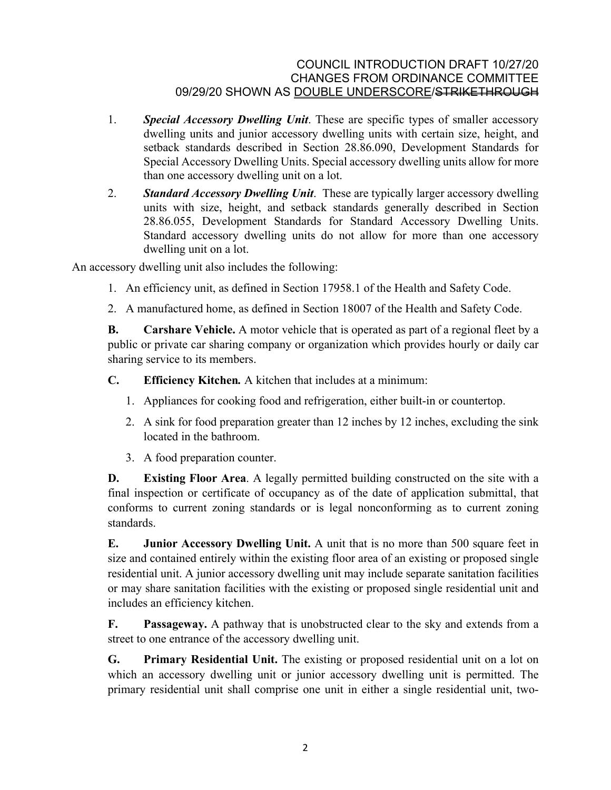- 1. *Special Accessory Dwelling Unit*. These are specific types of smaller accessory dwelling units and junior accessory dwelling units with certain size, height, and setback standards described in Section 28.86.090, Development Standards for Special Accessory Dwelling Units. Special accessory dwelling units allow for more than one accessory dwelling unit on a lot.
- 2. *Standard Accessory Dwelling Unit*. These are typically larger accessory dwelling units with size, height, and setback standards generally described in Section 28.86.055, Development Standards for Standard Accessory Dwelling Units. Standard accessory dwelling units do not allow for more than one accessory dwelling unit on a lot.

An accessory dwelling unit also includes the following:

- 1. An efficiency unit, as defined in Section 17958.1 of the [Health and Safety Code.](http://qcode.us/codes/othercode.php?state=ca&code=heasaf)
- 2. A manufactured home, as defined in Section 18007 of the [Health and Safety Code.](http://qcode.us/codes/othercode.php?state=ca&code=heasaf)

**B.** Carshare Vehicle. A motor vehicle that is operated as part of a regional fleet by a public or private car sharing company or organization which provides hourly or daily car sharing service to its members.

- **C. Efficiency Kitchen***.* A kitchen that includes at a minimum:
	- 1. Appliances for cooking food and refrigeration, either built-in or countertop.
	- 2. A sink for food preparation greater than 12 inches by 12 inches, excluding the sink located in the bathroom.
	- 3. A food preparation counter.

**D. Existing Floor Area**. A legally permitted building constructed on the site with a final inspection or certificate of occupancy as of the date of application submittal, that conforms to current zoning standards or is legal nonconforming as to current zoning standards.

**E. Junior Accessory Dwelling Unit.** A unit that is no more than 500 square feet in size and contained entirely within the existing floor area of an existing or proposed single residential unit. A junior accessory dwelling unit may include separate sanitation facilities or may share sanitation facilities with the existing or proposed single residential unit and includes an efficiency kitchen.

**F. Passageway.** A pathway that is unobstructed clear to the sky and extends from a street to one entrance of the accessory dwelling unit.

**G. Primary Residential Unit.** The existing or proposed residential unit on a lot on which an accessory dwelling unit or junior accessory dwelling unit is permitted. The primary residential unit shall comprise one unit in either a single residential unit, two-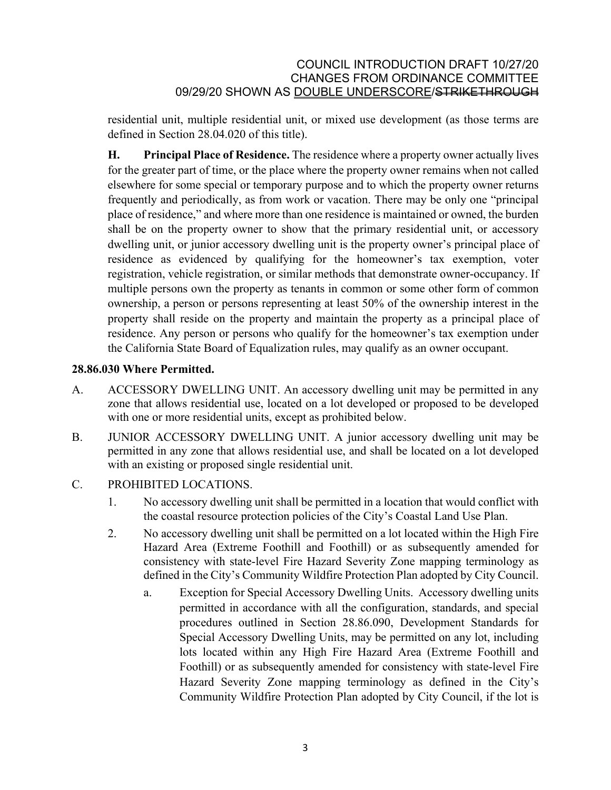residential unit, multiple residential unit, or mixed use development (as those terms are defined in Section 28.04.020 of this title).

**H. Principal Place of Residence.** The residence where a property owner actually lives for the greater part of time, or the place where the property owner remains when not called elsewhere for some special or temporary purpose and to which the property owner returns frequently and periodically, as from work or vacation. There may be only one "principal place of residence," and where more than one residence is maintained or owned, the burden shall be on the property owner to show that the primary residential unit, or accessory dwelling unit, or junior accessory dwelling unit is the property owner's principal place of residence as evidenced by qualifying for the homeowner's tax exemption, voter registration, vehicle registration, or similar methods that demonstrate owner-occupancy. If multiple persons own the property as tenants in common or some other form of common ownership, a person or persons representing at least 50% of the ownership interest in the property shall reside on the property and maintain the property as a principal place of residence. Any person or persons who qualify for the homeowner's tax exemption under the California State Board of Equalization rules, may qualify as an owner occupant.

# **28.86.030 Where Permitted.**

- A. ACCESSORY DWELLING UNIT. An accessory dwelling unit may be permitted in any zone that allows residential use, located on a lot developed or proposed to be developed with one or more residential units, except as prohibited below.
- B. JUNIOR ACCESSORY DWELLING UNIT. A junior accessory dwelling unit may be permitted in any zone that allows residential use, and shall be located on a lot developed with an existing or proposed single residential unit.
- C. PROHIBITED LOCATIONS.
	- 1. No accessory dwelling unit shall be permitted in a location that would conflict with the coastal resource protection policies of the City's Coastal Land Use Plan.
	- 2. No accessory dwelling unit shall be permitted on a lot located within the High Fire Hazard Area (Extreme Foothill and Foothill) or as subsequently amended for consistency with state-level Fire Hazard Severity Zone mapping terminology as defined in the City's Community Wildfire Protection Plan adopted by City Council.
		- a. Exception for Special Accessory Dwelling Units. Accessory dwelling units permitted in accordance with all the configuration, standards, and special procedures outlined in Section 28.86.090, Development Standards for Special Accessory Dwelling Units, may be permitted on any lot, including lots located within any High Fire Hazard Area (Extreme Foothill and Foothill) or as subsequently amended for consistency with state-level Fire Hazard Severity Zone mapping terminology as defined in the City's Community Wildfire Protection Plan adopted by City Council, if the lot is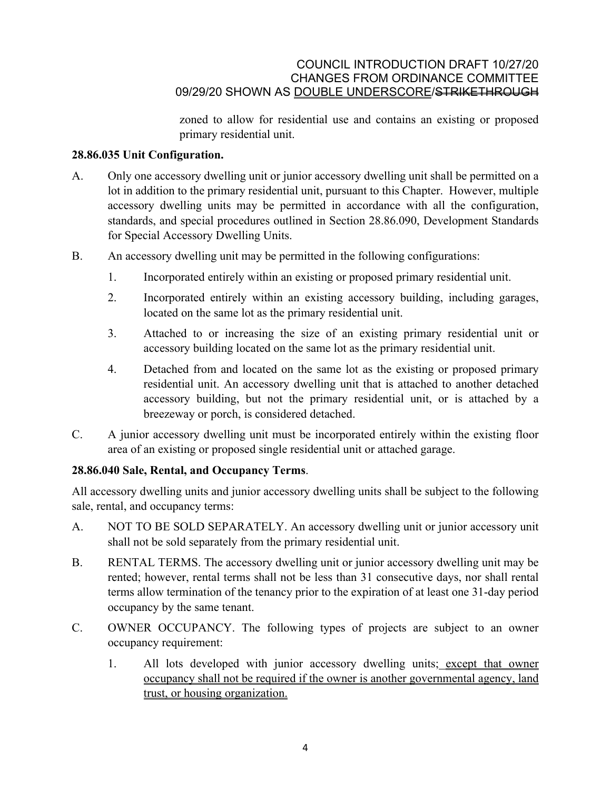zoned to allow for residential use and contains an existing or proposed primary residential unit.

### **28.86.035 Unit Configuration.**

- A. Only one accessory dwelling unit or junior accessory dwelling unit shall be permitted on a lot in addition to the primary residential unit, pursuant to this Chapter. However, multiple accessory dwelling units may be permitted in accordance with all the configuration, standards, and special procedures outlined in Section 28.86.090, Development Standards for Special Accessory Dwelling Units.
- B. An accessory dwelling unit may be permitted in the following configurations:
	- 1. Incorporated entirely within an existing or proposed primary residential unit.
	- 2. Incorporated entirely within an existing accessory building, including garages, located on the same lot as the primary residential unit.
	- 3. Attached to or increasing the size of an existing primary residential unit or accessory building located on the same lot as the primary residential unit.
	- 4. Detached from and located on the same lot as the existing or proposed primary residential unit. An accessory dwelling unit that is attached to another detached accessory building, but not the primary residential unit, or is attached by a breezeway or porch, is considered detached.
- C. A junior accessory dwelling unit must be incorporated entirely within the existing floor area of an existing or proposed single residential unit or attached garage.

# **28.86.040 Sale, Rental, and Occupancy Terms**.

All accessory dwelling units and junior accessory dwelling units shall be subject to the following sale, rental, and occupancy terms:

- A. NOT TO BE SOLD SEPARATELY. An accessory dwelling unit or junior accessory unit shall not be sold separately from the primary residential unit.
- B. RENTAL TERMS. The accessory dwelling unit or junior accessory dwelling unit may be rented; however, rental terms shall not be less than 31 consecutive days, nor shall rental terms allow termination of the tenancy prior to the expiration of at least one 31-day period occupancy by the same tenant.
- C. OWNER OCCUPANCY. The following types of projects are subject to an owner occupancy requirement:
	- 1. All lots developed with junior accessory dwelling units; except that owner occupancy shall not be required if the owner is another governmental agency, land trust, or housing organization.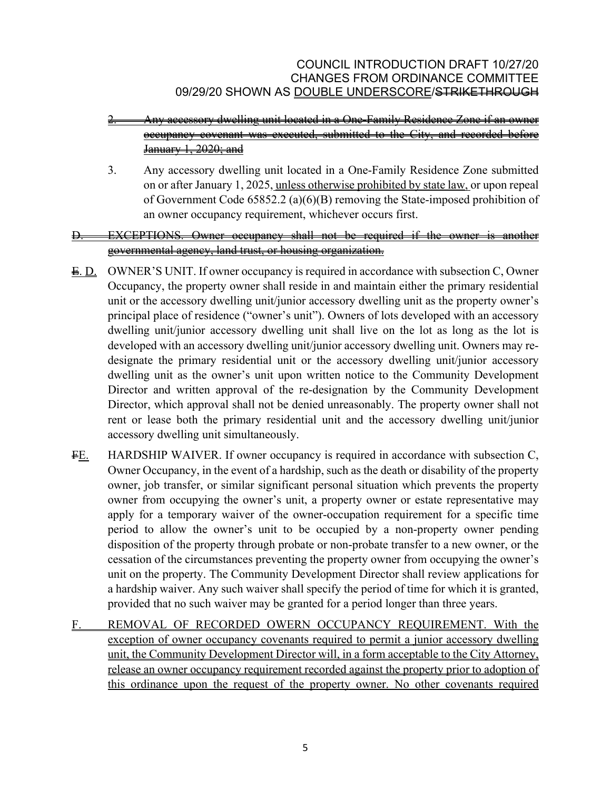# 2. Any accessory dwelling unit located in a One-Family Residence Zone if an owner occupancy covenant was executed, submitted to the City, and recorded before January 1, 2020; and

3. Any accessory dwelling unit located in a One-Family Residence Zone submitted on or after January 1, 2025, unless otherwise prohibited by state law, or upon repeal of Government Code 65852.2 (a)(6)(B) removing the State-imposed prohibition of an owner occupancy requirement, whichever occurs first.

# EXCEPTIONS. Owner occupancy shall not be required if the owner is another governmental agency, land trust, or housing organization.

- E. D. OWNER'S UNIT. If owner occupancy is required in accordance with subsection C, Owner Occupancy, the property owner shall reside in and maintain either the primary residential unit or the accessory dwelling unit/junior accessory dwelling unit as the property owner's principal place of residence ("owner's unit"). Owners of lots developed with an accessory dwelling unit/junior accessory dwelling unit shall live on the lot as long as the lot is developed with an accessory dwelling unit/junior accessory dwelling unit. Owners may redesignate the primary residential unit or the accessory dwelling unit/junior accessory dwelling unit as the owner's unit upon written notice to the Community Development Director and written approval of the re-designation by the Community Development Director, which approval shall not be denied unreasonably. The property owner shall not rent or lease both the primary residential unit and the accessory dwelling unit/junior accessory dwelling unit simultaneously.
- FE. HARDSHIP WAIVER. If owner occupancy is required in accordance with subsection C, Owner Occupancy, in the event of a hardship, such as the death or disability of the property owner, job transfer, or similar significant personal situation which prevents the property owner from occupying the owner's unit, a property owner or estate representative may apply for a temporary waiver of the owner-occupation requirement for a specific time period to allow the owner's unit to be occupied by a non-property owner pending disposition of the property through probate or non-probate transfer to a new owner, or the cessation of the circumstances preventing the property owner from occupying the owner's unit on the property. The Community Development Director shall review applications for a hardship waiver. Any such waiver shall specify the period of time for which it is granted, provided that no such waiver may be granted for a period longer than three years.
- F. REMOVAL OF RECORDED OWERN OCCUPANCY REQUIREMENT. With the exception of owner occupancy covenants required to permit a junior accessory dwelling unit, the Community Development Director will, in a form acceptable to the City Attorney, release an owner occupancy requirement recorded against the property prior to adoption of this ordinance upon the request of the property owner. No other covenants required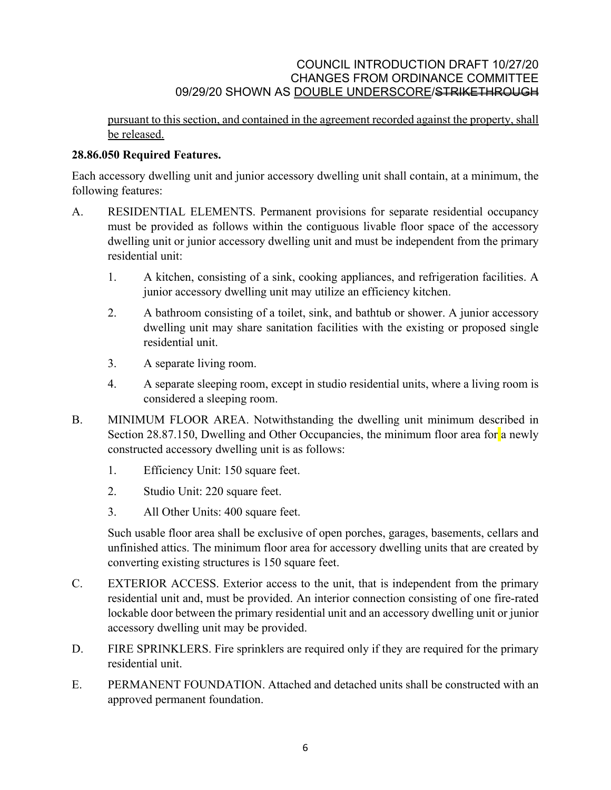pursuant to this section, and contained in the agreement recorded against the property, shall be released.

# **28.86.050 Required Features.**

Each accessory dwelling unit and junior accessory dwelling unit shall contain, at a minimum, the following features:

- A. RESIDENTIAL ELEMENTS. Permanent provisions for separate residential occupancy must be provided as follows within the contiguous livable floor space of the accessory dwelling unit or junior accessory dwelling unit and must be independent from the primary residential unit:
	- 1. A kitchen, consisting of a sink, cooking appliances, and refrigeration facilities. A junior accessory dwelling unit may utilize an efficiency kitchen.
	- 2. A bathroom consisting of a toilet, sink, and bathtub or shower. A junior accessory dwelling unit may share sanitation facilities with the existing or proposed single residential unit.
	- 3. A separate living room.
	- 4. A separate sleeping room, except in studio residential units, where a living room is considered a sleeping room.
- B. MINIMUM FLOOR AREA. Notwithstanding the dwelling unit minimum described in Section 28.87.150, Dwelling and Other Occupancies, the minimum floor area for a newly constructed accessory dwelling unit is as follows:
	- 1. Efficiency Unit: 150 square feet.
	- 2. Studio Unit: 220 square feet.
	- 3. All Other Units: 400 square feet.

Such usable floor area shall be exclusive of open porches, garages, basements, cellars and unfinished attics. The minimum floor area for accessory dwelling units that are created by converting existing structures is 150 square feet.

- C. EXTERIOR ACCESS. Exterior access to the unit, that is independent from the primary residential unit and, must be provided. An interior connection consisting of one fire-rated lockable door between the primary residential unit and an accessory dwelling unit or junior accessory dwelling unit may be provided.
- D. FIRE SPRINKLERS. Fire sprinklers are required only if they are required for the primary residential unit.
- E. PERMANENT FOUNDATION. Attached and detached units shall be constructed with an approved permanent foundation.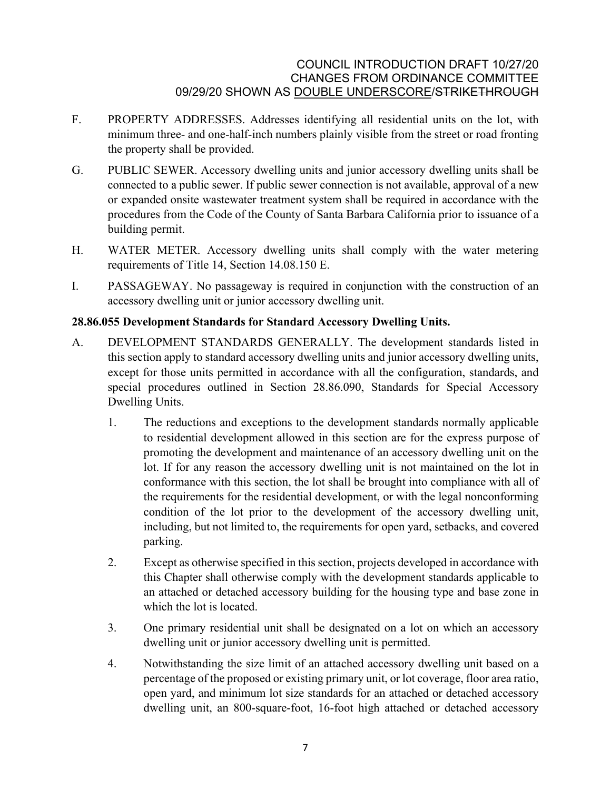- F. PROPERTY ADDRESSES. Addresses identifying all residential units on the lot, with minimum three- and one-half-inch numbers plainly visible from the street or road fronting the property shall be provided.
- G. PUBLIC SEWER. Accessory dwelling units and junior accessory dwelling units shall be connected to a public sewer. If public sewer connection is not available, approval of a new or expanded onsite wastewater treatment system shall be required in accordance with the procedures from the Code of the County of Santa Barbara California prior to issuance of a building permit.
- H. WATER METER. Accessory dwelling units shall comply with the water metering requirements of Title 14, Section 14.08.150 E.
- I. PASSAGEWAY. No passageway is required in conjunction with the construction of an accessory dwelling unit or junior accessory dwelling unit.

# **28.86.055 Development Standards for Standard Accessory Dwelling Units.**

- A. DEVELOPMENT STANDARDS GENERALLY. The development standards listed in this section apply to standard accessory dwelling units and junior accessory dwelling units, except for those units permitted in accordance with all the configuration, standards, and special procedures outlined in Section 28.86.090, Standards for Special Accessory Dwelling Units.
	- 1. The reductions and exceptions to the development standards normally applicable to residential development allowed in this section are for the express purpose of promoting the development and maintenance of an accessory dwelling unit on the lot. If for any reason the accessory dwelling unit is not maintained on the lot in conformance with this section, the lot shall be brought into compliance with all of the requirements for the residential development, or with the legal nonconforming condition of the lot prior to the development of the accessory dwelling unit, including, but not limited to, the requirements for open yard, setbacks, and covered parking.
	- 2. Except as otherwise specified in this section, projects developed in accordance with this Chapter shall otherwise comply with the development standards applicable to an attached or detached accessory building for the housing type and base zone in which the lot is located.
	- 3. One primary residential unit shall be designated on a lot on which an accessory dwelling unit or junior accessory dwelling unit is permitted.
	- 4. Notwithstanding the size limit of an attached accessory dwelling unit based on a percentage of the proposed or existing primary unit, or lot coverage, floor area ratio, open yard, and minimum lot size standards for an attached or detached accessory dwelling unit, an 800-square-foot, 16-foot high attached or detached accessory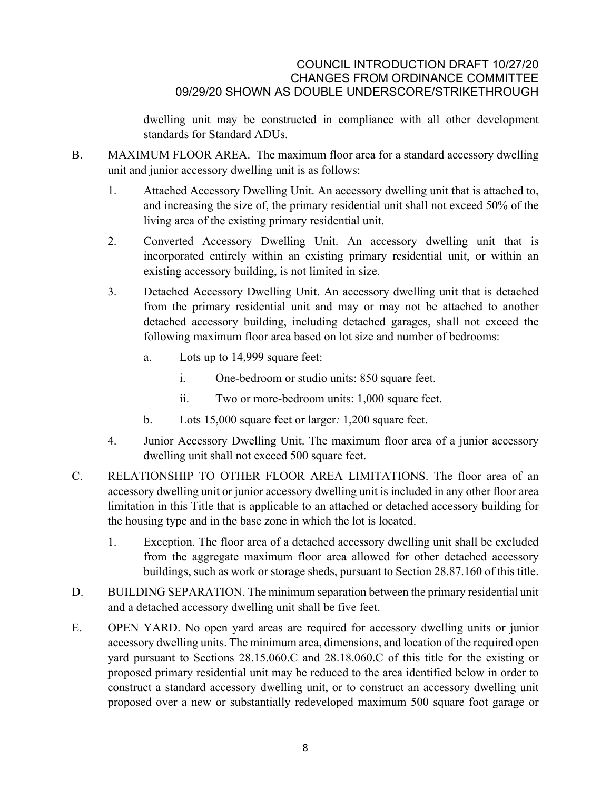dwelling unit may be constructed in compliance with all other development standards for Standard ADUs.

- B. MAXIMUM FLOOR AREA. The maximum floor area for a standard accessory dwelling unit and junior accessory dwelling unit is as follows:
	- 1. Attached Accessory Dwelling Unit. An accessory dwelling unit that is attached to, and increasing the size of, the primary residential unit shall not exceed 50% of the living area of the existing primary residential unit.
	- 2. Converted Accessory Dwelling Unit. An accessory dwelling unit that is incorporated entirely within an existing primary residential unit, or within an existing accessory building, is not limited in size.
	- 3. Detached Accessory Dwelling Unit. An accessory dwelling unit that is detached from the primary residential unit and may or may not be attached to another detached accessory building, including detached garages, shall not exceed the following maximum floor area based on lot size and number of bedrooms:
		- a. Lots up to 14,999 square feet:
			- i. One-bedroom or studio units: 850 square feet.
			- ii. Two or more-bedroom units: 1,000 square feet.
		- b. Lots 15,000 square feet or larger*:* 1,200 square feet.
	- 4. Junior Accessory Dwelling Unit. The maximum floor area of a junior accessory dwelling unit shall not exceed 500 square feet.
- C. RELATIONSHIP TO OTHER FLOOR AREA LIMITATIONS. The floor area of an accessory dwelling unit or junior accessory dwelling unit is included in any other floor area limitation in this Title that is applicable to an attached or detached accessory building for the housing type and in the base zone in which the lot is located.
	- 1. Exception. The floor area of a detached accessory dwelling unit shall be excluded from the aggregate maximum floor area allowed for other detached accessory buildings, such as work or storage sheds, pursuant to Section 28.87.160 of this title.
- D. BUILDING SEPARATION. The minimum separation between the primary residential unit and a detached accessory dwelling unit shall be five feet.
- E. OPEN YARD. No open yard areas are required for accessory dwelling units or junior accessory dwelling units. The minimum area, dimensions, and location of the required open yard pursuant to Sections 28.15.060.C and 28.18.060.C of this title for the existing or proposed primary residential unit may be reduced to the area identified below in order to construct a standard accessory dwelling unit, or to construct an accessory dwelling unit proposed over a new or substantially redeveloped maximum 500 square foot garage or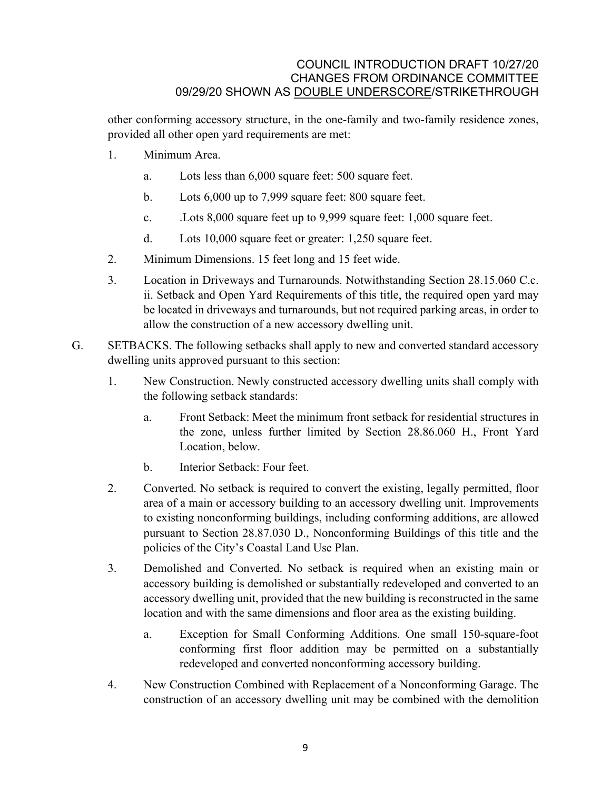other conforming accessory structure, in the one-family and two-family residence zones, provided all other open yard requirements are met:

- 1. Minimum Area.
	- a. Lots less than 6,000 square feet: 500 square feet.
	- b. Lots 6,000 up to 7,999 square feet: 800 square feet.
	- c. .Lots 8,000 square feet up to 9,999 square feet: 1,000 square feet.
	- d. Lots 10,000 square feet or greater: 1,250 square feet.
- 2. Minimum Dimensions. 15 feet long and 15 feet wide.
- 3. Location in Driveways and Turnarounds. Notwithstanding Section 28.15.060 C.c. ii. Setback and Open Yard Requirements of this title, the required open yard may be located in driveways and turnarounds, but not required parking areas, in order to allow the construction of a new accessory dwelling unit.
- G. SETBACKS. The following setbacks shall apply to new and converted standard accessory dwelling units approved pursuant to this section:
	- 1. New Construction. Newly constructed accessory dwelling units shall comply with the following setback standards:
		- a. Front Setback: Meet the minimum front setback for residential structures in the zone, unless further limited by Section 28.86.060 H., Front Yard Location, below.
		- b. Interior Setback: Four feet.
	- 2. Converted. No setback is required to convert the existing, legally permitted, floor area of a main or accessory building to an accessory dwelling unit. Improvements to existing nonconforming buildings, including conforming additions, are allowed pursuant to Section 28.87.030 D., Nonconforming Buildings of this title and the policies of the City's Coastal Land Use Plan.
	- 3. Demolished and Converted. No setback is required when an existing main or accessory building is demolished or substantially redeveloped and converted to an accessory dwelling unit, provided that the new building is reconstructed in the same location and with the same dimensions and floor area as the existing building.
		- a. Exception for Small Conforming Additions. One small 150-square-foot conforming first floor addition may be permitted on a substantially redeveloped and converted nonconforming accessory building.
	- 4. New Construction Combined with Replacement of a Nonconforming Garage. The construction of an accessory dwelling unit may be combined with the demolition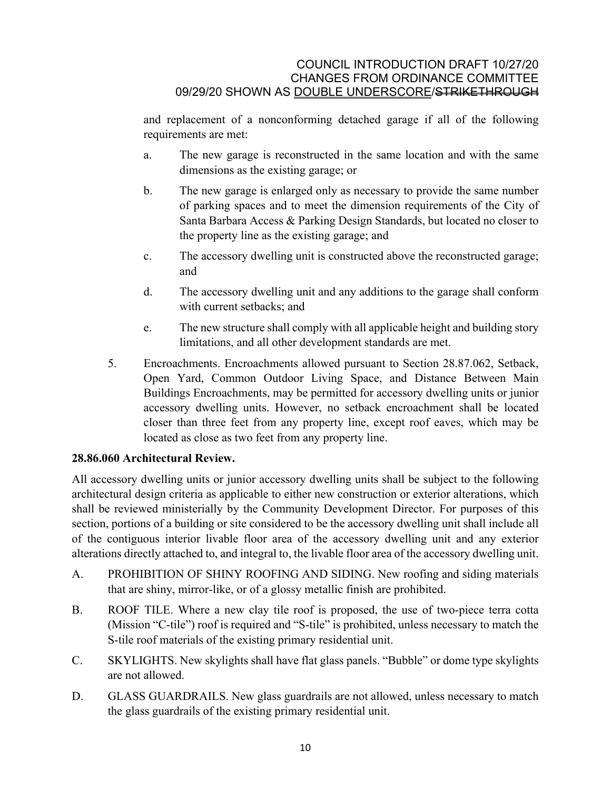and replacement of a nonconforming detached garage if all of the following requirements are met:

- a. The new garage is reconstructed in the same location and with the same dimensions as the existing garage; or
- b. The new garage is enlarged only as necessary to provide the same number of parking spaces and to meet the dimension requirements of the City of Santa Barbara Access & Parking Design Standards, but located no closer to the property line as the existing garage; and
- c. The accessory dwelling unit is constructed above the reconstructed garage; and
- d. The accessory dwelling unit and any additions to the garage shall conform with current setbacks; and
- e. The new structure shall comply with all applicable height and building story limitations, and all other development standards are met.
- 5. Encroachments. Encroachments allowed pursuant to Section [28.87.062,](http://qcode.us/codes/santabarbara/view.php?cite=section_30.140.090&confidence=6) Setback, Open Yard, Common Outdoor Living Space, and Distance Between Main Buildings Encroachments, may be permitted for accessory dwelling units or junior accessory dwelling units. However, no setback encroachment shall be located closer than three feet from any property line, except roof eaves, which may be located as close as two feet from any property line.

# **28.86.060 Architectural Review.**

All accessory dwelling units or junior accessory dwelling units shall be subject to the following architectural design criteria as applicable to either new construction or exterior alterations, which shall be reviewed ministerially by the Community Development Director. For purposes of this section, portions of a building or site considered to be the accessory dwelling unit shall include all of the contiguous interior livable floor area of the accessory dwelling unit and any exterior alterations directly attached to, and integral to, the livable floor area of the accessory dwelling unit.

- A. PROHIBITION OF SHINY ROOFING AND SIDING. New roofing and siding materials that are shiny, mirror-like, or of a glossy metallic finish are prohibited.
- B. ROOF TILE. Where a new clay tile roof is proposed, the use of two-piece terra cotta (Mission "C-tile") roof is required and "S-tile" is prohibited, unless necessary to match the S-tile roof materials of the existing primary residential unit.
- C. SKYLIGHTS. New skylights shall have flat glass panels. "Bubble" or dome type skylights are not allowed.
- D. GLASS GUARDRAILS. New glass guardrails are not allowed, unless necessary to match the glass guardrails of the existing primary residential unit.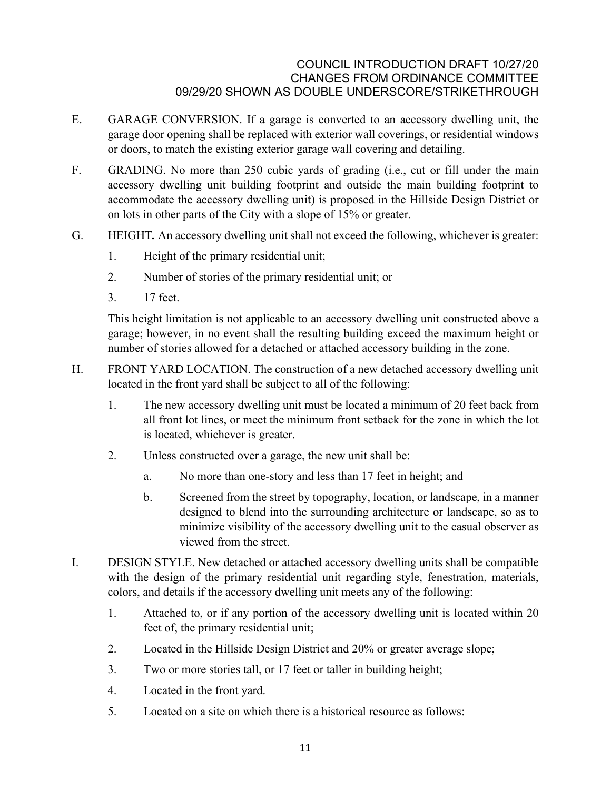- E. GARAGE CONVERSION. If a garage is converted to an accessory dwelling unit, the garage door opening shall be replaced with exterior wall coverings, or residential windows or doors, to match the existing exterior garage wall covering and detailing.
- F. GRADING. No more than 250 cubic yards of grading (i.e., cut or fill under the main accessory dwelling unit building footprint and outside the main building footprint to accommodate the accessory dwelling unit) is proposed in the Hillside Design District or on lots in other parts of the City with a slope of 15% or greater.
- G. HEIGHT*.* An accessory dwelling unit shall not exceed the following, whichever is greater:
	- 1. Height of the primary residential unit;
	- 2. Number of stories of the primary residential unit; or
	- 3. 17 feet.

This height limitation is not applicable to an accessory dwelling unit constructed above a garage; however, in no event shall the resulting building exceed the maximum height or number of stories allowed for a detached or attached accessory building in the zone.

- H. FRONT YARD LOCATION. The construction of a new detached accessory dwelling unit located in the front yard shall be subject to all of the following:
	- 1. The new accessory dwelling unit must be located a minimum of 20 feet back from all front lot lines, or meet the minimum front setback for the zone in which the lot is located, whichever is greater.
	- 2. Unless constructed over a garage, the new unit shall be:
		- a. No more than one-story and less than 17 feet in height; and
		- b. Screened from the street by topography, location, or landscape, in a manner designed to blend into the surrounding architecture or landscape, so as to minimize visibility of the accessory dwelling unit to the casual observer as viewed from the street.
- I. DESIGN STYLE. New detached or attached accessory dwelling units shall be compatible with the design of the primary residential unit regarding style, fenestration, materials, colors, and details if the accessory dwelling unit meets any of the following:
	- 1. Attached to, or if any portion of the accessory dwelling unit is located within 20 feet of, the primary residential unit;
	- 2. Located in the Hillside Design District and 20% or greater average slope;
	- 3. Two or more stories tall, or 17 feet or taller in building height;
	- 4. Located in the front yard.
	- 5. Located on a site on which there is a historical resource as follows: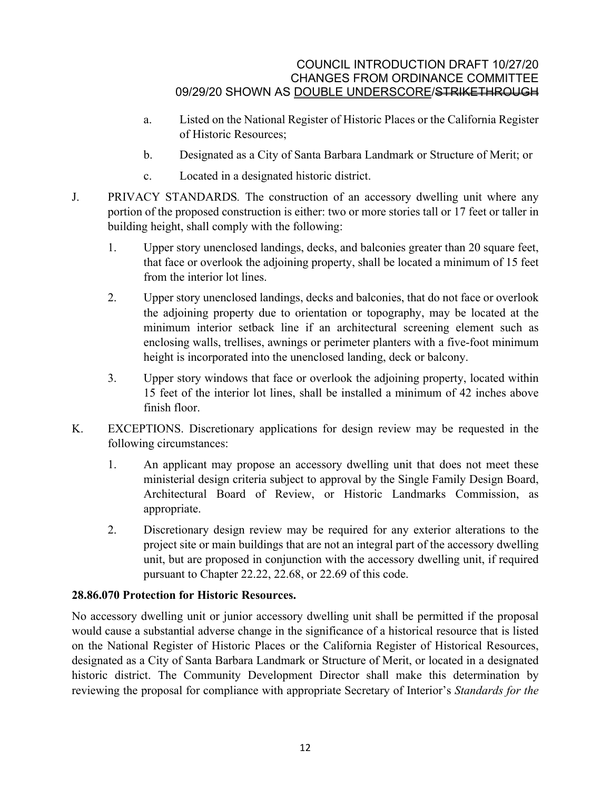- a. Listed on the National Register of Historic Places or the California Register of Historic Resources;
- b. Designated as a City of Santa Barbara Landmark or Structure of Merit; or
- c. Located in a designated historic district.
- J. PRIVACY STANDARDS*.* The construction of an accessory dwelling unit where any portion of the proposed construction is either: two or more stories tall or 17 feet or taller in building height, shall comply with the following:
	- 1. Upper story unenclosed landings, decks, and balconies greater than 20 square feet, that face or overlook the adjoining property, shall be located a minimum of 15 feet from the interior lot lines.
	- 2. Upper story unenclosed landings, decks and balconies, that do not face or overlook the adjoining property due to orientation or topography, may be located at the minimum interior setback line if an architectural screening element such as enclosing walls, trellises, awnings or perimeter planters with a five-foot minimum height is incorporated into the unenclosed landing, deck or balcony.
	- 3. Upper story windows that face or overlook the adjoining property, located within 15 feet of the interior lot lines, shall be installed a minimum of 42 inches above finish floor.
- K. EXCEPTIONS. Discretionary applications for design review may be requested in the following circumstances:
	- 1. An applicant may propose an accessory dwelling unit that does not meet these ministerial design criteria subject to approval by the Single Family Design Board, Architectural Board of Review, or Historic Landmarks Commission, as appropriate.
	- 2. Discretionary design review may be required for any exterior alterations to the project site or main buildings that are not an integral part of the accessory dwelling unit, but are proposed in conjunction with the accessory dwelling unit, if required pursuant to Chapter [22.22,](http://qcode.us/codes/santabarbara/view.php?cite=chapter_22.22&confidence=8) [22.68,](http://qcode.us/codes/santabarbara/view.php?cite=chapter_22.68&confidence=8) or [22.69](http://qcode.us/codes/santabarbara/view.php?cite=chapter_22.69&confidence=8) of this code.

# **28.86.070 Protection for Historic Resources.**

No accessory dwelling unit or junior accessory dwelling unit shall be permitted if the proposal would cause a substantial adverse change in the significance of a historical resource that is listed on the National Register of Historic Places or the California Register of Historical Resources, designated as a City of Santa Barbara Landmark or Structure of Merit, or located in a designated historic district. The Community Development Director shall make this determination by reviewing the proposal for compliance with appropriate Secretary of Interior's *Standards for the*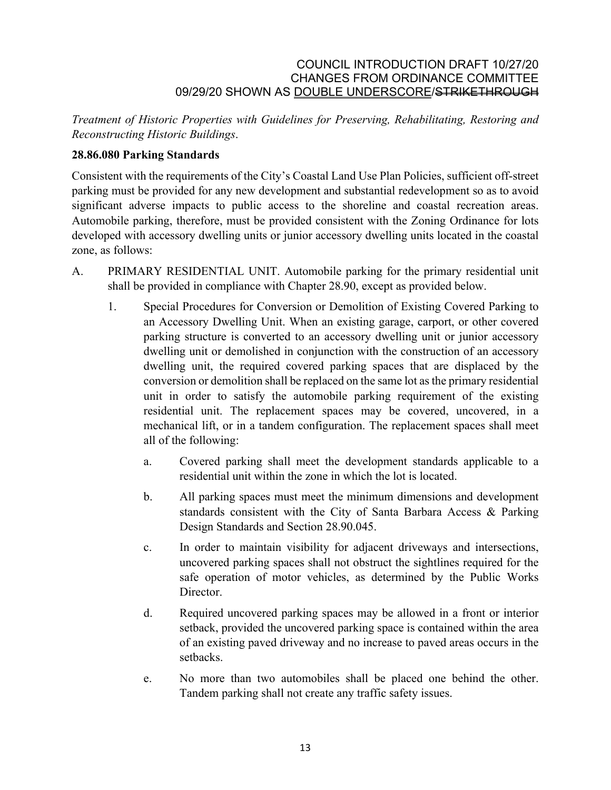*Treatment of Historic Properties with Guidelines for Preserving, Rehabilitating, Restoring and Reconstructing Historic Buildings*.

# **28.86.080 Parking Standards**

Consistent with the requirements of the City's Coastal Land Use Plan Policies, sufficient off-street parking must be provided for any new development and substantial redevelopment so as to avoid significant adverse impacts to public access to the shoreline and coastal recreation areas. Automobile parking, therefore, must be provided consistent with the Zoning Ordinance for lots developed with accessory dwelling units or junior accessory dwelling units located in the coastal zone, as follows:

- A. PRIMARY RESIDENTIAL UNIT. Automobile parking for the primary residential unit shall be provided in compliance with Chapter 28.90, except as provided below.
	- 1. Special Procedures for Conversion or Demolition of Existing Covered Parking to an Accessory Dwelling Unit. When an existing garage, carport, or other covered parking structure is converted to an accessory dwelling unit or junior accessory dwelling unit or demolished in conjunction with the construction of an accessory dwelling unit, the required covered parking spaces that are displaced by the conversion or demolition shall be replaced on the same lot as the primary residential unit in order to satisfy the automobile parking requirement of the existing residential unit. The replacement spaces may be covered, uncovered, in a mechanical lift, or in a tandem configuration. The replacement spaces shall meet all of the following:
		- a. Covered parking shall meet the development standards applicable to a residential unit within the zone in which the lot is located.
		- b. All parking spaces must meet the minimum dimensions and development standards consistent with the City of Santa Barbara Access & Parking Design Standards and Section 28.90.045.
		- c. In order to maintain visibility for adjacent driveways and intersections, uncovered parking spaces shall not obstruct the sightlines required for the safe operation of motor vehicles, as determined by the Public Works Director.
		- d. Required uncovered parking spaces may be allowed in a front or interior setback, provided the uncovered parking space is contained within the area of an existing paved driveway and no increase to paved areas occurs in the setbacks.
		- e. No more than two automobiles shall be placed one behind the other. Tandem parking shall not create any traffic safety issues.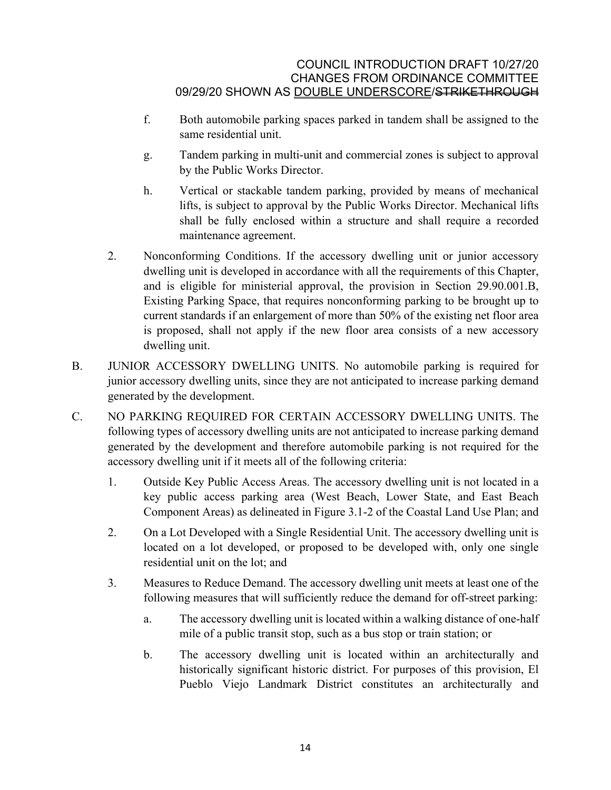- f. Both automobile parking spaces parked in tandem shall be assigned to the same residential unit.
- g. Tandem parking in multi-unit and commercial zones is subject to approval by the Public Works Director.
- h. Vertical or stackable tandem parking, provided by means of mechanical lifts, is subject to approval by the Public Works Director. Mechanical lifts shall be fully enclosed within a structure and shall require a recorded maintenance agreement.
- 2. Nonconforming Conditions. If the accessory dwelling unit or junior accessory dwelling unit is developed in accordance with all the requirements of this Chapter, and is eligible for ministerial approval, the provision in Section 29.90.001.B, Existing Parking Space, that requires nonconforming parking to be brought up to current standards if an enlargement of more than 50% of the existing net floor area is proposed, shall not apply if the new floor area consists of a new accessory dwelling unit.
- B. JUNIOR ACCESSORY DWELLING UNITS. No automobile parking is required for junior accessory dwelling units, since they are not anticipated to increase parking demand generated by the development.
- C. NO PARKING REQUIRED FOR CERTAIN ACCESSORY DWELLING UNITS. The following types of accessory dwelling units are not anticipated to increase parking demand generated by the development and therefore automobile parking is not required for the accessory dwelling unit if it meets all of the following criteria:
	- 1. Outside Key Public Access Areas. The accessory dwelling unit is not located in a key public access parking area (West Beach, Lower State, and East Beach Component Areas) as delineated in Figure 3.1-2 of the Coastal Land Use Plan; and
	- 2. On a Lot Developed with a Single Residential Unit. The accessory dwelling unit is located on a lot developed, or proposed to be developed with, only one single residential unit on the lot; and
	- 3. Measures to Reduce Demand. The accessory dwelling unit meets at least one of the following measures that will sufficiently reduce the demand for off-street parking:
		- a. The accessory dwelling unit is located within a walking distance of one-half mile of a public transit stop, such as a bus stop or train station; or
		- b. The accessory dwelling unit is located within an architecturally and historically significant historic district. For purposes of this provision, El Pueblo Viejo Landmark District constitutes an architecturally and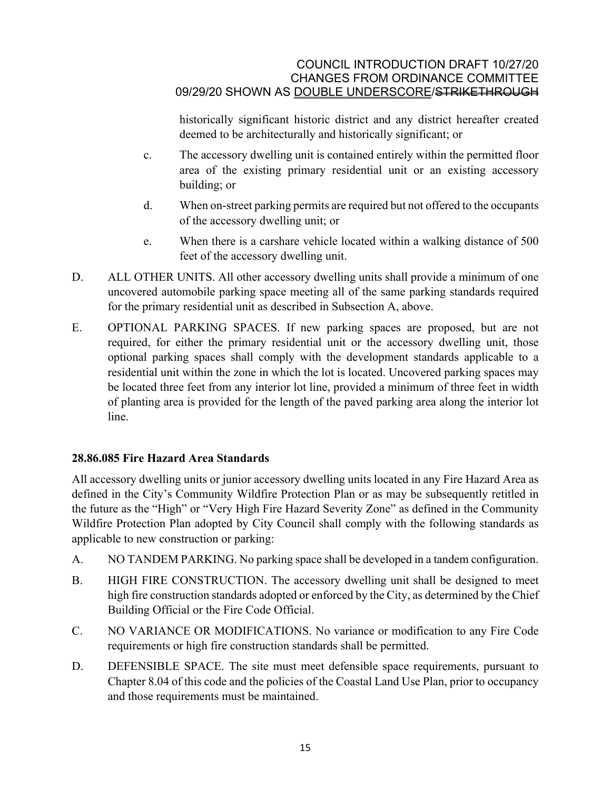historically significant historic district and any district hereafter created deemed to be architecturally and historically significant; or

- c. The accessory dwelling unit is contained entirely within the permitted floor area of the existing primary residential unit or an existing accessory building; or
- d. When on-street parking permits are required but not offered to the occupants of the accessory dwelling unit; or
- e. When there is a carshare vehicle located within a walking distance of 500 feet of the accessory dwelling unit.
- D. ALL OTHER UNITS. All other accessory dwelling units shall provide a minimum of one uncovered automobile parking space meeting all of the same parking standards required for the primary residential unit as described in Subsection A, above.
- E. OPTIONAL PARKING SPACES. If new parking spaces are proposed, but are not required, for either the primary residential unit or the accessory dwelling unit, those optional parking spaces shall comply with the development standards applicable to a residential unit within the zone in which the lot is located. Uncovered parking spaces may be located three feet from any interior lot line, provided a minimum of three feet in width of planting area is provided for the length of the paved parking area along the interior lot line.

# **28.86.085 Fire Hazard Area Standards**

All accessory dwelling units or junior accessory dwelling units located in any Fire Hazard Area as defined in the City's Community Wildfire Protection Plan or as may be subsequently retitled in the future as the "High" or "Very High Fire Hazard Severity Zone" as defined in the Community Wildfire Protection Plan adopted by City Council shall comply with the following standards as applicable to new construction or parking:

- A. NO TANDEM PARKING. No parking space shall be developed in a tandem configuration.
- B. HIGH FIRE CONSTRUCTION. The accessory dwelling unit shall be designed to meet high fire construction standards adopted or enforced by the City, as determined by the Chief Building Official or the Fire Code Official.
- C. NO VARIANCE OR MODIFICATIONS. No variance or modification to any Fire Code requirements or high fire construction standards shall be permitted.
- D. DEFENSIBLE SPACE. The site must meet defensible space requirements, pursuant to Chapter [8.04](http://qcode.us/codes/santabarbara/view.php?cite=chapter_8.04&confidence=8) of this code and the policies of the Coastal Land Use Plan, prior to occupancy and those requirements must be maintained.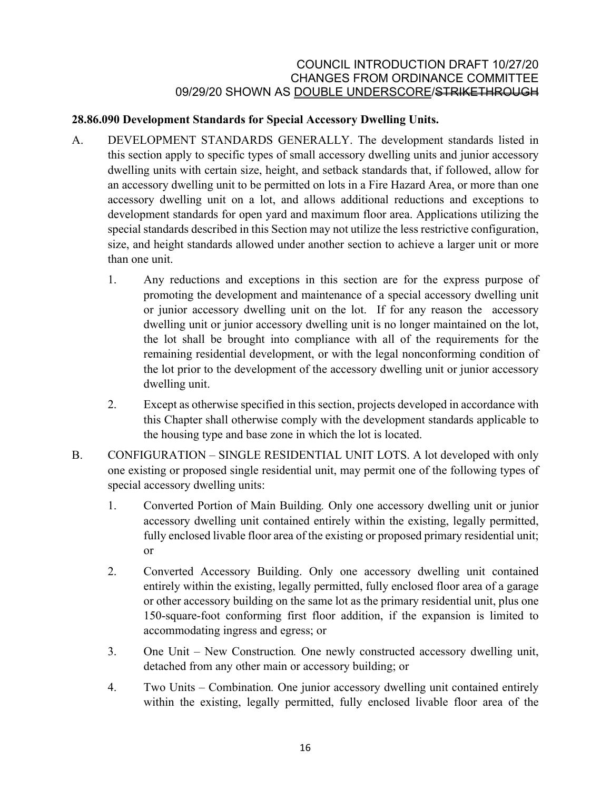# **28.86.090 Development Standards for Special Accessory Dwelling Units.**

- A. DEVELOPMENT STANDARDS GENERALLY. The development standards listed in this section apply to specific types of small accessory dwelling units and junior accessory dwelling units with certain size, height, and setback standards that, if followed, allow for an accessory dwelling unit to be permitted on lots in a Fire Hazard Area, or more than one accessory dwelling unit on a lot, and allows additional reductions and exceptions to development standards for open yard and maximum floor area. Applications utilizing the special standards described in this Section may not utilize the less restrictive configuration, size, and height standards allowed under another section to achieve a larger unit or more than one unit.
	- 1. Any reductions and exceptions in this section are for the express purpose of promoting the development and maintenance of a special accessory dwelling unit or junior accessory dwelling unit on the lot. If for any reason the accessory dwelling unit or junior accessory dwelling unit is no longer maintained on the lot, the lot shall be brought into compliance with all of the requirements for the remaining residential development, or with the legal nonconforming condition of the lot prior to the development of the accessory dwelling unit or junior accessory dwelling unit.
	- 2. Except as otherwise specified in this section, projects developed in accordance with this Chapter shall otherwise comply with the development standards applicable to the housing type and base zone in which the lot is located.
- B. CONFIGURATION SINGLE RESIDENTIAL UNIT LOTS. A lot developed with only one existing or proposed single residential unit, may permit one of the following types of special accessory dwelling units:
	- 1. Converted Portion of Main Building*.* Only one accessory dwelling unit or junior accessory dwelling unit contained entirely within the existing, legally permitted, fully enclosed livable floor area of the existing or proposed primary residential unit; or
	- 2. Converted Accessory Building. Only one accessory dwelling unit contained entirely within the existing, legally permitted, fully enclosed floor area of a garage or other accessory building on the same lot as the primary residential unit, plus one 150-square-foot conforming first floor addition, if the expansion is limited to accommodating ingress and egress; or
	- 3. One Unit New Construction*.* One newly constructed accessory dwelling unit, detached from any other main or accessory building; or
	- 4. Two Units Combination*.* One junior accessory dwelling unit contained entirely within the existing, legally permitted, fully enclosed livable floor area of the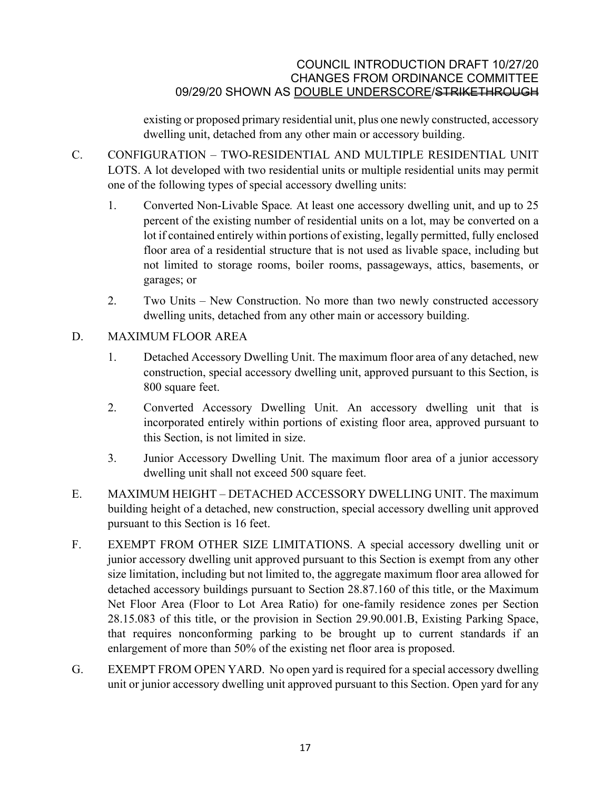existing or proposed primary residential unit, plus one newly constructed, accessory dwelling unit, detached from any other main or accessory building.

- C. CONFIGURATION TWO-RESIDENTIAL AND MULTIPLE RESIDENTIAL UNIT LOTS. A lot developed with two residential units or multiple residential units may permit one of the following types of special accessory dwelling units:
	- 1. Converted Non-Livable Space*.* At least one accessory dwelling unit, and up to 25 percent of the existing number of residential units on a lot, may be converted on a lot if contained entirely within portions of existing, legally permitted, fully enclosed floor area of a residential structure that is not used as livable space, including but not limited to storage rooms, boiler rooms, passageways, attics, basements, or garages; or
	- 2. Two Units New Construction. No more than two newly constructed accessory dwelling units, detached from any other main or accessory building.
- D. MAXIMUM FLOOR AREA
	- 1. Detached Accessory Dwelling Unit. The maximum floor area of any detached, new construction, special accessory dwelling unit, approved pursuant to this Section, is 800 square feet.
	- 2. Converted Accessory Dwelling Unit. An accessory dwelling unit that is incorporated entirely within portions of existing floor area, approved pursuant to this Section, is not limited in size.
	- 3. Junior Accessory Dwelling Unit. The maximum floor area of a junior accessory dwelling unit shall not exceed 500 square feet.
- E. MAXIMUM HEIGHT DETACHED ACCESSORY DWELLING UNIT. The maximum building height of a detached, new construction, special accessory dwelling unit approved pursuant to this Section is 16 feet.
- F. EXEMPT FROM OTHER SIZE LIMITATIONS. A special accessory dwelling unit or junior accessory dwelling unit approved pursuant to this Section is exempt from any other size limitation, including but not limited to, the aggregate maximum floor area allowed for detached accessory buildings pursuant to Section 28.87.160 of this title, or the Maximum Net Floor Area (Floor to Lot Area Ratio) for one-family residence zones per Section 28.15.083 of this title, or the provision in Section 29.90.001.B, Existing Parking Space, that requires nonconforming parking to be brought up to current standards if an enlargement of more than 50% of the existing net floor area is proposed.
- G. EXEMPT FROM OPEN YARD. No open yard is required for a special accessory dwelling unit or junior accessory dwelling unit approved pursuant to this Section. Open yard for any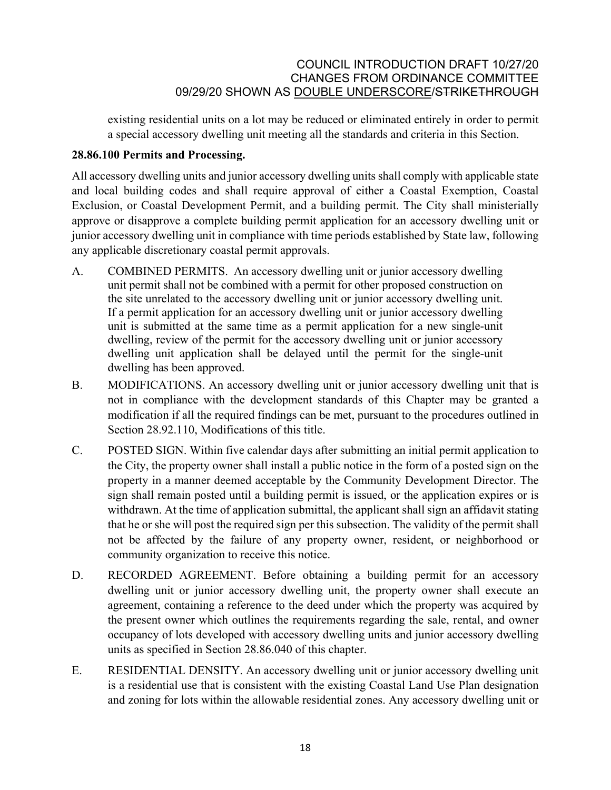existing residential units on a lot may be reduced or eliminated entirely in order to permit a special accessory dwelling unit meeting all the standards and criteria in this Section.

### **28.86.100 Permits and Processing.**

All accessory dwelling units and junior accessory dwelling units shall comply with applicable state and local building codes and shall require approval of either a Coastal Exemption, Coastal Exclusion, or Coastal Development Permit, and a building permit. The City shall ministerially approve or disapprove a complete building permit application for an accessory dwelling unit or junior accessory dwelling unit in compliance with time periods established by State law, following any applicable discretionary coastal permit approvals.

- A. COMBINED PERMITS. An accessory dwelling unit or junior accessory dwelling unit permit shall not be combined with a permit for other proposed construction on the site unrelated to the accessory dwelling unit or junior accessory dwelling unit. If a permit application for an accessory dwelling unit or junior accessory dwelling unit is submitted at the same time as a permit application for a new single-unit dwelling, review of the permit for the accessory dwelling unit or junior accessory dwelling unit application shall be delayed until the permit for the single-unit dwelling has been approved.
- B. MODIFICATIONS. An accessory dwelling unit or junior accessory dwelling unit that is not in compliance with the development standards of this Chapter may be granted a modification if all the required findings can be met, pursuant to the procedures outlined in Section [28.92.110,](http://qcode.us/codes/santabarbara/view.php?cite=chapter_30.250&confidence=6) Modifications of this title.
- C. POSTED SIGN. Within five calendar days after submitting an initial permit application to the City, the property owner shall install a public notice in the form of a posted sign on the property in a manner deemed acceptable by the Community Development Director. The sign shall remain posted until a building permit is issued, or the application expires or is withdrawn. At the time of application submittal, the applicant shall sign an affidavit stating that he or she will post the required sign per this subsection. The validity of the permit shall not be affected by the failure of any property owner, resident, or neighborhood or community organization to receive this notice.
- D. RECORDED AGREEMENT. Before obtaining a building permit for an accessory dwelling unit or junior accessory dwelling unit, the property owner shall execute an agreement, containing a reference to the deed under which the property was acquired by the present owner which outlines the requirements regarding the sale, rental, and owner occupancy of lots developed with accessory dwelling units and junior accessory dwelling units as specified in Section 28.86.040 of this chapter.
- E. RESIDENTIAL DENSITY. An accessory dwelling unit or junior accessory dwelling unit is a residential use that is consistent with the existing Coastal Land Use Plan designation and zoning for lots within the allowable residential zones. Any accessory dwelling unit or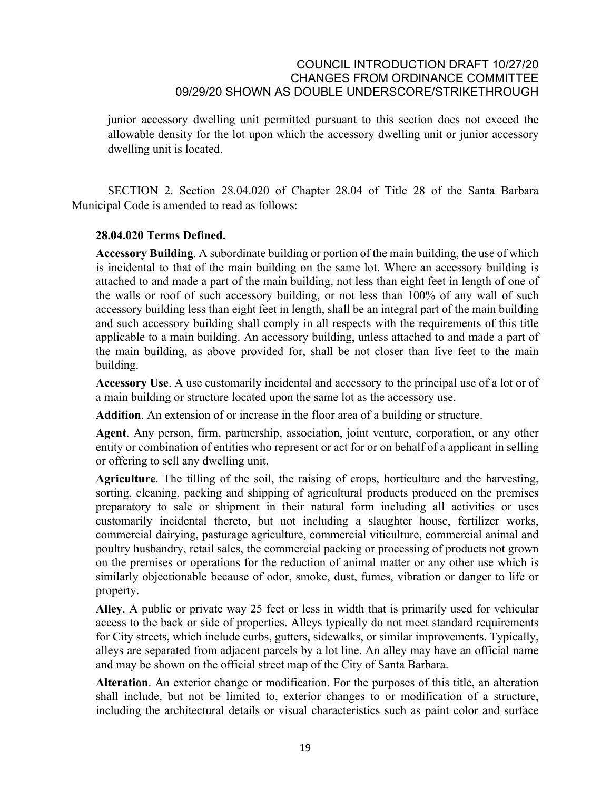junior accessory dwelling unit permitted pursuant to this section does not exceed the allowable density for the lot upon which the accessory dwelling unit or junior accessory dwelling unit is located.

SECTION 2. Section 28.04.020 of Chapter 28.04 of Title 28 of the Santa Barbara Municipal Code is amended to read as follows:

### **28.04.020 Terms Defined.**

**Accessory Building**. A subordinate building or portion of the main building, the use of which is incidental to that of the main building on the same lot. Where an accessory building is attached to and made a part of the main building, not less than eight feet in length of one of the walls or roof of such accessory building, or not less than 100% of any wall of such accessory building less than eight feet in length, shall be an integral part of the main building and such accessory building shall comply in all respects with the requirements of this title applicable to a main building. An accessory building, unless attached to and made a part of the main building, as above provided for, shall be not closer than five feet to the main building.

**Accessory Use**. A use customarily incidental and accessory to the principal use of a lot or of a main building or structure located upon the same lot as the accessory use.

**Addition**. An extension of or increase in the floor area of a building or structure.

**Agent**. Any person, firm, partnership, association, joint venture, corporation, or any other entity or combination of entities who represent or act for or on behalf of a applicant in selling or offering to sell any dwelling unit.

**Agriculture**. The tilling of the soil, the raising of crops, horticulture and the harvesting, sorting, cleaning, packing and shipping of agricultural products produced on the premises preparatory to sale or shipment in their natural form including all activities or uses customarily incidental thereto, but not including a slaughter house, fertilizer works, commercial dairying, pasturage agriculture, commercial viticulture, commercial animal and poultry husbandry, retail sales, the commercial packing or processing of products not grown on the premises or operations for the reduction of animal matter or any other use which is similarly objectionable because of odor, smoke, dust, fumes, vibration or danger to life or property.

**Alley**. A public or private way 25 feet or less in width that is primarily used for vehicular access to the back or side of properties. Alleys typically do not meet standard requirements for City streets, which include curbs, gutters, sidewalks, or similar improvements. Typically, alleys are separated from adjacent parcels by a lot line. An alley may have an official name and may be shown on the official street map of the City of Santa Barbara.

**Alteration**. An exterior change or modification. For the purposes of this title, an alteration shall include, but not be limited to, exterior changes to or modification of a structure, including the architectural details or visual characteristics such as paint color and surface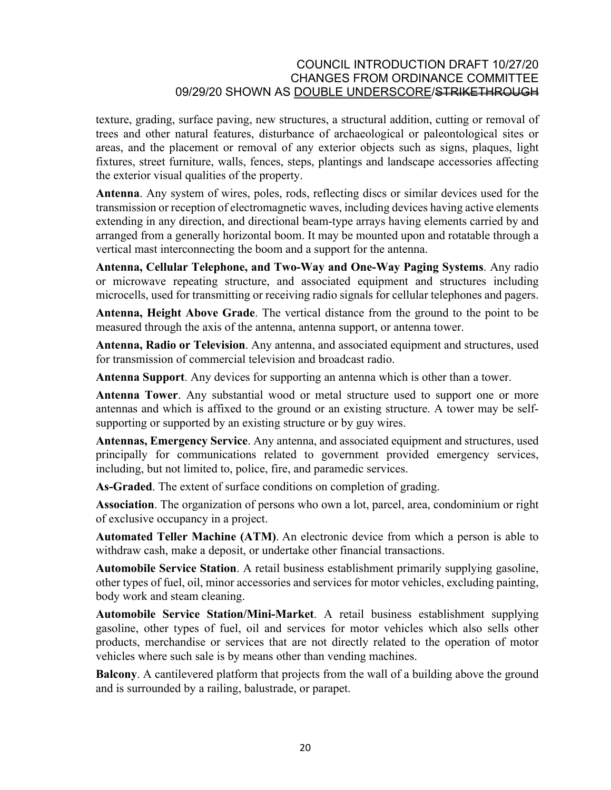texture, grading, surface paving, new structures, a structural addition, cutting or removal of trees and other natural features, disturbance of archaeological or paleontological sites or areas, and the placement or removal of any exterior objects such as signs, plaques, light fixtures, street furniture, walls, fences, steps, plantings and landscape accessories affecting the exterior visual qualities of the property.

**Antenna**. Any system of wires, poles, rods, reflecting discs or similar devices used for the transmission or reception of electromagnetic waves, including devices having active elements extending in any direction, and directional beam-type arrays having elements carried by and arranged from a generally horizontal boom. It may be mounted upon and rotatable through a vertical mast interconnecting the boom and a support for the antenna.

**Antenna, Cellular Telephone, and Two-Way and One-Way Paging Systems**. Any radio or microwave repeating structure, and associated equipment and structures including microcells, used for transmitting or receiving radio signals for cellular telephones and pagers.

**Antenna, Height Above Grade**. The vertical distance from the ground to the point to be measured through the axis of the antenna, antenna support, or antenna tower.

**Antenna, Radio or Television**. Any antenna, and associated equipment and structures, used for transmission of commercial television and broadcast radio.

**Antenna Support**. Any devices for supporting an antenna which is other than a tower.

**Antenna Tower**. Any substantial wood or metal structure used to support one or more antennas and which is affixed to the ground or an existing structure. A tower may be selfsupporting or supported by an existing structure or by guy wires.

**Antennas, Emergency Service**. Any antenna, and associated equipment and structures, used principally for communications related to government provided emergency services, including, but not limited to, police, fire, and paramedic services.

**As-Graded**. The extent of surface conditions on completion of grading.

**Association**. The organization of persons who own a lot, parcel, area, condominium or right of exclusive occupancy in a project.

**Automated Teller Machine (ATM)**. An electronic device from which a person is able to withdraw cash, make a deposit, or undertake other financial transactions.

**Automobile Service Station**. A retail business establishment primarily supplying gasoline, other types of fuel, oil, minor accessories and services for motor vehicles, excluding painting, body work and steam cleaning.

**Automobile Service Station/Mini-Market**. A retail business establishment supplying gasoline, other types of fuel, oil and services for motor vehicles which also sells other products, merchandise or services that are not directly related to the operation of motor vehicles where such sale is by means other than vending machines.

**Balcony**. A cantilevered platform that projects from the wall of a building above the ground and is surrounded by a railing, balustrade, or parapet.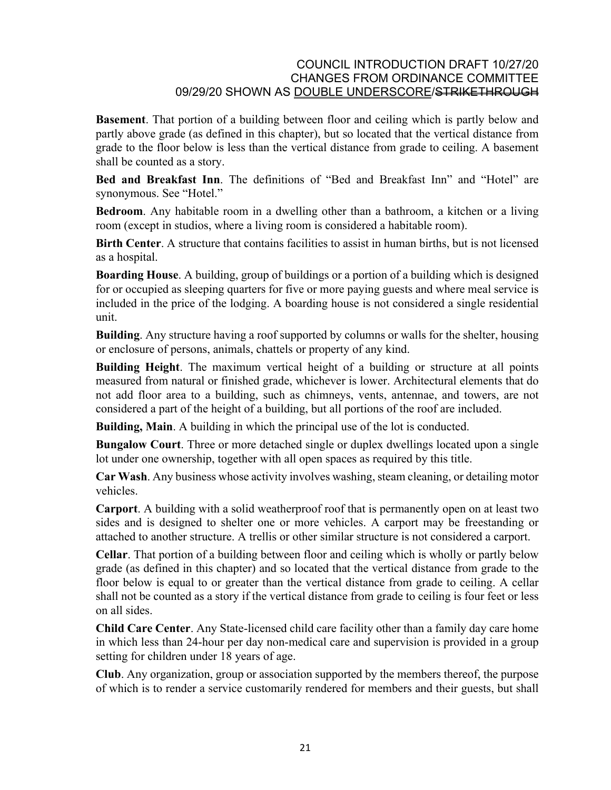**Basement**. That portion of a building between floor and ceiling which is partly below and partly above grade (as defined in this chapter), but so located that the vertical distance from grade to the floor below is less than the vertical distance from grade to ceiling. A basement shall be counted as a story.

**Bed and Breakfast Inn**. The definitions of "Bed and Breakfast Inn" and "Hotel" are synonymous. See "Hotel."

**Bedroom**. Any habitable room in a dwelling other than a bathroom, a kitchen or a living room (except in studios, where a living room is considered a habitable room).

**Birth Center**. A structure that contains facilities to assist in human births, but is not licensed as a hospital.

**Boarding House**. A building, group of buildings or a portion of a building which is designed for or occupied as sleeping quarters for five or more paying guests and where meal service is included in the price of the lodging. A boarding house is not considered a single residential unit.

**Building**. Any structure having a roof supported by columns or walls for the shelter, housing or enclosure of persons, animals, chattels or property of any kind.

**Building Height**. The maximum vertical height of a building or structure at all points measured from natural or finished grade, whichever is lower. Architectural elements that do not add floor area to a building, such as chimneys, vents, antennae, and towers, are not considered a part of the height of a building, but all portions of the roof are included.

**Building, Main**. A building in which the principal use of the lot is conducted.

**Bungalow Court**. Three or more detached single or duplex dwellings located upon a single lot under one ownership, together with all open spaces as required by this title.

**Car Wash**. Any business whose activity involves washing, steam cleaning, or detailing motor vehicles.

**Carport**. A building with a solid weatherproof roof that is permanently open on at least two sides and is designed to shelter one or more vehicles. A carport may be freestanding or attached to another structure. A trellis or other similar structure is not considered a carport.

**Cellar**. That portion of a building between floor and ceiling which is wholly or partly below grade (as defined in this chapter) and so located that the vertical distance from grade to the floor below is equal to or greater than the vertical distance from grade to ceiling. A cellar shall not be counted as a story if the vertical distance from grade to ceiling is four feet or less on all sides.

**Child Care Center**. Any State-licensed child care facility other than a family day care home in which less than 24-hour per day non-medical care and supervision is provided in a group setting for children under 18 years of age.

**Club**. Any organization, group or association supported by the members thereof, the purpose of which is to render a service customarily rendered for members and their guests, but shall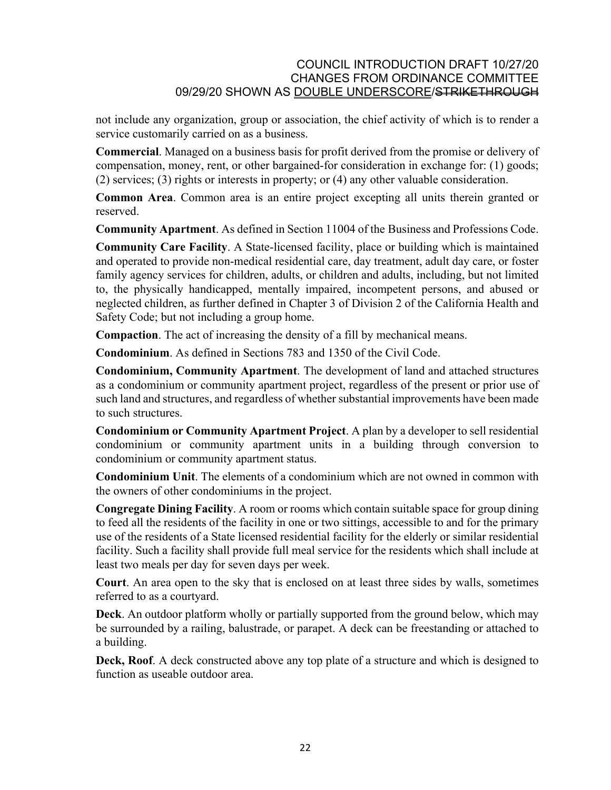not include any organization, group or association, the chief activity of which is to render a service customarily carried on as a business.

**Commercial**. Managed on a business basis for profit derived from the promise or delivery of compensation, money, rent, or other bargained-for consideration in exchange for: (1) goods; (2) services; (3) rights or interests in property; or (4) any other valuable consideration.

**Common Area**. Common area is an entire project excepting all units therein granted or reserved.

**Community Apartment**. As defined in Section 11004 of the [Business and Professions Code](http://qcode.us/codes/othercode.php?state=ca&code=buspro).

**Community Care Facility**. A State-licensed facility, place or building which is maintained and operated to provide non-medical residential care, day treatment, adult day care, or foster family agency services for children, adults, or children and adults, including, but not limited to, the physically handicapped, mentally impaired, incompetent persons, and abused or neglected children, as further defined in Chapter 3 of Division 2 of the California [Health and](http://qcode.us/codes/othercode.php?state=ca&code=heasaf)  [Safety Code;](http://qcode.us/codes/othercode.php?state=ca&code=heasaf) but not including a group home.

**Compaction**. The act of increasing the density of a fill by mechanical means.

**Condominium**. As defined in Sections 783 and 1350 of the [Civil Code.](http://qcode.us/codes/othercode.php?state=ca&code=civ)

**Condominium, Community Apartment**. The development of land and attached structures as a condominium or community apartment project, regardless of the present or prior use of such land and structures, and regardless of whether substantial improvements have been made to such structures.

**Condominium or Community Apartment Project**. A plan by a developer to sell residential condominium or community apartment units in a building through conversion to condominium or community apartment status.

**Condominium Unit**. The elements of a condominium which are not owned in common with the owners of other condominiums in the project.

**Congregate Dining Facility**. A room or rooms which contain suitable space for group dining to feed all the residents of the facility in one or two sittings, accessible to and for the primary use of the residents of a State licensed residential facility for the elderly or similar residential facility. Such a facility shall provide full meal service for the residents which shall include at least two meals per day for seven days per week.

**Court**. An area open to the sky that is enclosed on at least three sides by walls, sometimes referred to as a courtyard.

**Deck**. An outdoor platform wholly or partially supported from the ground below, which may be surrounded by a railing, balustrade, or parapet. A deck can be freestanding or attached to a building.

**Deck, Roof**. A deck constructed above any top plate of a structure and which is designed to function as useable outdoor area.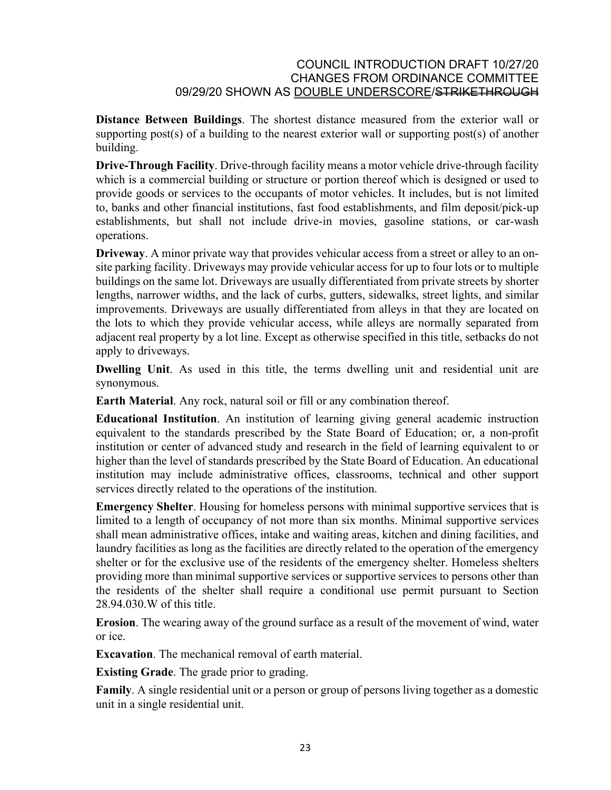**Distance Between Buildings**. The shortest distance measured from the exterior wall or supporting post(s) of a building to the nearest exterior wall or supporting post(s) of another building.

**Drive-Through Facility**. Drive-through facility means a motor vehicle drive-through facility which is a commercial building or structure or portion thereof which is designed or used to provide goods or services to the occupants of motor vehicles. It includes, but is not limited to, banks and other financial institutions, fast food establishments, and film deposit/pick-up establishments, but shall not include drive-in movies, gasoline stations, or car-wash operations.

**Driveway**. A minor private way that provides vehicular access from a street or alley to an onsite parking facility. Driveways may provide vehicular access for up to four lots or to multiple buildings on the same lot. Driveways are usually differentiated from private streets by shorter lengths, narrower widths, and the lack of curbs, gutters, sidewalks, street lights, and similar improvements. Driveways are usually differentiated from alleys in that they are located on the lots to which they provide vehicular access, while alleys are normally separated from adjacent real property by a lot line. Except as otherwise specified in this title, setbacks do not apply to driveways.

**Dwelling Unit**. As used in this title, the terms dwelling unit and residential unit are synonymous.

**Earth Material**. Any rock, natural soil or fill or any combination thereof.

**Educational Institution**. An institution of learning giving general academic instruction equivalent to the standards prescribed by the State Board of Education; or, a non-profit institution or center of advanced study and research in the field of learning equivalent to or higher than the level of standards prescribed by the State Board of Education. An educational institution may include administrative offices, classrooms, technical and other support services directly related to the operations of the institution.

**Emergency Shelter**. Housing for homeless persons with minimal supportive services that is limited to a length of occupancy of not more than six months. Minimal supportive services shall mean administrative offices, intake and waiting areas, kitchen and dining facilities, and laundry facilities as long as the facilities are directly related to the operation of the emergency shelter or for the exclusive use of the residents of the emergency shelter. Homeless shelters providing more than minimal supportive services or supportive services to persons other than the residents of the shelter shall require a conditional use permit pursuant to Section 28.94.030.W of this title.

**Erosion**. The wearing away of the ground surface as a result of the movement of wind, water or ice.

**Excavation**. The mechanical removal of earth material.

**Existing Grade**. The grade prior to grading.

**Family**. A single residential unit or a person or group of persons living together as a domestic unit in a single residential unit.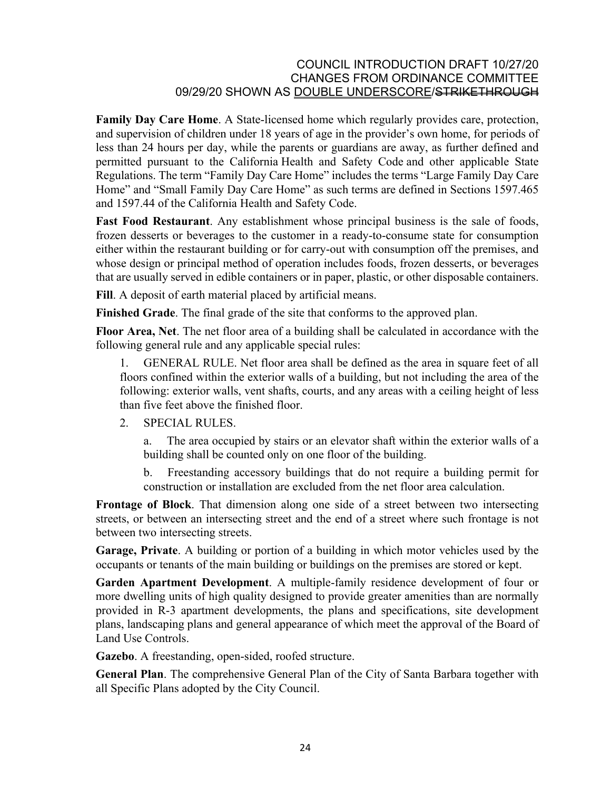**Family Day Care Home**. A State-licensed home which regularly provides care, protection, and supervision of children under 18 years of age in the provider's own home, for periods of less than 24 hours per day, while the parents or guardians are away, as further defined and permitted pursuant to the California Health and Safety Code and other applicable State Regulations. The term "Family Day Care Home" includes the terms "Large Family Day Care Home" and "Small Family Day Care Home" as such terms are defined in Sections 1597.465 and 1597.44 of the California Health and Safety Code.

**Fast Food Restaurant**. Any establishment whose principal business is the sale of foods, frozen desserts or beverages to the customer in a ready-to-consume state for consumption either within the restaurant building or for carry-out with consumption off the premises, and whose design or principal method of operation includes foods, frozen desserts, or beverages that are usually served in edible containers or in paper, plastic, or other disposable containers.

**Fill**. A deposit of earth material placed by artificial means.

**Finished Grade**. The final grade of the site that conforms to the approved plan.

**Floor Area, Net**. The net floor area of a building shall be calculated in accordance with the following general rule and any applicable special rules:

1. GENERAL RULE. Net floor area shall be defined as the area in square feet of all floors confined within the exterior walls of a building, but not including the area of the following: exterior walls, vent shafts, courts, and any areas with a ceiling height of less than five feet above the finished floor.

2. SPECIAL RULES.

a. The area occupied by stairs or an elevator shaft within the exterior walls of a building shall be counted only on one floor of the building.

b. Freestanding accessory buildings that do not require a building permit for construction or installation are excluded from the net floor area calculation.

**Frontage of Block**. That dimension along one side of a street between two intersecting streets, or between an intersecting street and the end of a street where such frontage is not between two intersecting streets.

**Garage, Private**. A building or portion of a building in which motor vehicles used by the occupants or tenants of the main building or buildings on the premises are stored or kept.

**Garden Apartment Development**. A multiple-family residence development of four or more dwelling units of high quality designed to provide greater amenities than are normally provided in R-3 apartment developments, the plans and specifications, site development plans, landscaping plans and general appearance of which meet the approval of the Board of Land Use Controls.

**Gazebo**. A freestanding, open-sided, roofed structure.

**General Plan**. The comprehensive General Plan of the City of Santa Barbara together with all Specific Plans adopted by the City Council.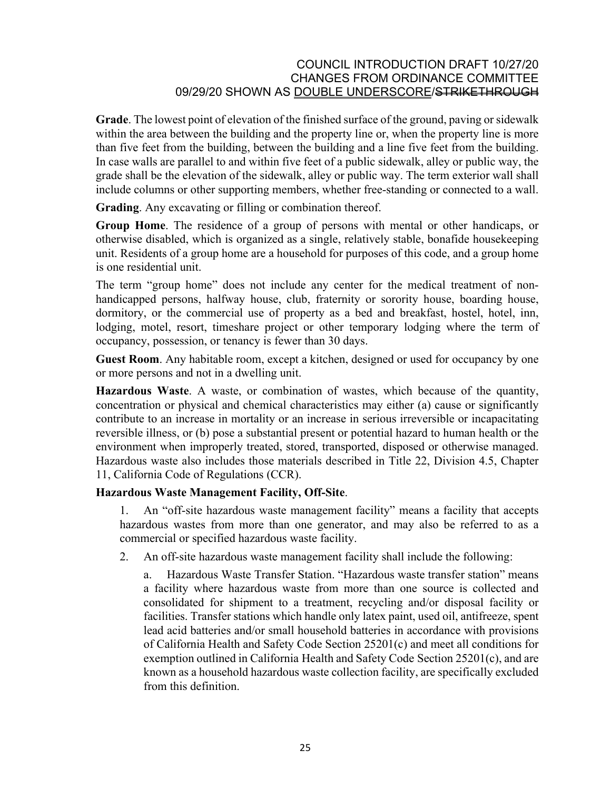**Grade**. The lowest point of elevation of the finished surface of the ground, paving or sidewalk within the area between the building and the property line or, when the property line is more than five feet from the building, between the building and a line five feet from the building. In case walls are parallel to and within five feet of a public sidewalk, alley or public way, the grade shall be the elevation of the sidewalk, alley or public way. The term exterior wall shall include columns or other supporting members, whether free-standing or connected to a wall.

**Grading**. Any excavating or filling or combination thereof.

**Group Home**. The residence of a group of persons with mental or other handicaps, or otherwise disabled, which is organized as a single, relatively stable, bonafide housekeeping unit. Residents of a group home are a household for purposes of this code, and a group home is one residential unit.

The term "group home" does not include any center for the medical treatment of nonhandicapped persons, halfway house, club, fraternity or sorority house, boarding house, dormitory, or the commercial use of property as a bed and breakfast, hostel, hotel, inn, lodging, motel, resort, timeshare project or other temporary lodging where the term of occupancy, possession, or tenancy is fewer than 30 days.

**Guest Room**. Any habitable room, except a kitchen, designed or used for occupancy by one or more persons and not in a dwelling unit.

**Hazardous Waste**. A waste, or combination of wastes, which because of the quantity, concentration or physical and chemical characteristics may either (a) cause or significantly contribute to an increase in mortality or an increase in serious irreversible or incapacitating reversible illness, or (b) pose a substantial present or potential hazard to human health or the environment when improperly treated, stored, transported, disposed or otherwise managed. Hazardous waste also includes those materials described in Title 22, Division 4.5, Chapter 11, California [Code of Regulations](http://qcode.us/codes/othercode.php?state=ca&code=reg) [\(CCR](http://qcode.us/codes/othercode.php?state=ca&code=ccr)).

#### **Hazardous Waste Management Facility, Off-Site**.

1. An "off-site hazardous waste management facility" means a facility that accepts hazardous wastes from more than one generator, and may also be referred to as a commercial or specified hazardous waste facility.

2. An off-site hazardous waste management facility shall include the following:

a. Hazardous Waste Transfer Station. "Hazardous waste transfer station" means a facility where hazardous waste from more than one source is collected and consolidated for shipment to a treatment, recycling and/or disposal facility or facilities. Transfer stations which handle only latex paint, used oil, antifreeze, spent lead acid batteries and/or small household batteries in accordance with provisions of California [Health and Safety Code](http://qcode.us/codes/othercode.php?state=ca&code=heasaf) Section 25201(c) and meet all conditions for exemption outlined in California [Health and Safety Code](http://qcode.us/codes/othercode.php?state=ca&code=heasaf) Section 25201(c), and are known as a household hazardous waste collection facility, are specifically excluded from this definition.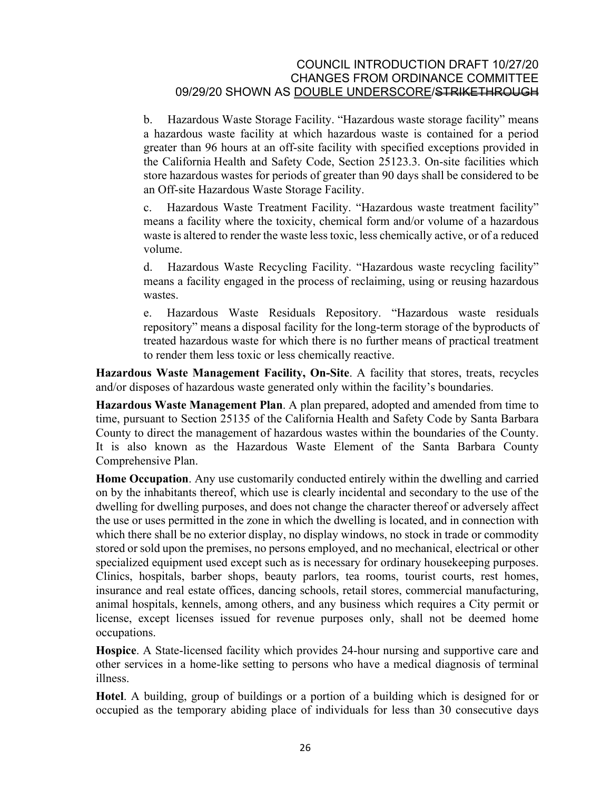b. Hazardous Waste Storage Facility. "Hazardous waste storage facility" means a hazardous waste facility at which hazardous waste is contained for a period greater than 96 hours at an off-site facility with specified exceptions provided in the California Health and Safety Code, Section 25123.3. On-site facilities which store hazardous wastes for periods of greater than 90 days shall be considered to be an Off-site Hazardous Waste Storage Facility.

c. Hazardous Waste Treatment Facility. "Hazardous waste treatment facility" means a facility where the toxicity, chemical form and/or volume of a hazardous waste is altered to render the waste less toxic, less chemically active, or of a reduced volume.

d. Hazardous Waste Recycling Facility. "Hazardous waste recycling facility" means a facility engaged in the process of reclaiming, using or reusing hazardous wastes

e. Hazardous Waste Residuals Repository. "Hazardous waste residuals repository" means a disposal facility for the long-term storage of the byproducts of treated hazardous waste for which there is no further means of practical treatment to render them less toxic or less chemically reactive.

**Hazardous Waste Management Facility, On-Site**. A facility that stores, treats, recycles and/or disposes of hazardous waste generated only within the facility's boundaries.

**Hazardous Waste Management Plan**. A plan prepared, adopted and amended from time to time, pursuant to Section 25135 of the California [Health and Safety Code](http://qcode.us/codes/othercode.php?state=ca&code=heasaf) by Santa Barbara County to direct the management of hazardous wastes within the boundaries of the County. It is also known as the Hazardous Waste Element of the Santa Barbara County Comprehensive Plan.

**Home Occupation**. Any use customarily conducted entirely within the dwelling and carried on by the inhabitants thereof, which use is clearly incidental and secondary to the use of the dwelling for dwelling purposes, and does not change the character thereof or adversely affect the use or uses permitted in the zone in which the dwelling is located, and in connection with which there shall be no exterior display, no display windows, no stock in trade or commodity stored or sold upon the premises, no persons employed, and no mechanical, electrical or other specialized equipment used except such as is necessary for ordinary housekeeping purposes. Clinics, hospitals, barber shops, beauty parlors, tea rooms, tourist courts, rest homes, insurance and real estate offices, dancing schools, retail stores, commercial manufacturing, animal hospitals, kennels, among others, and any business which requires a City permit or license, except licenses issued for revenue purposes only, shall not be deemed home occupations.

**Hospice**. A State-licensed facility which provides 24-hour nursing and supportive care and other services in a home-like setting to persons who have a medical diagnosis of terminal illness.

**Hotel**. A building, group of buildings or a portion of a building which is designed for or occupied as the temporary abiding place of individuals for less than 30 consecutive days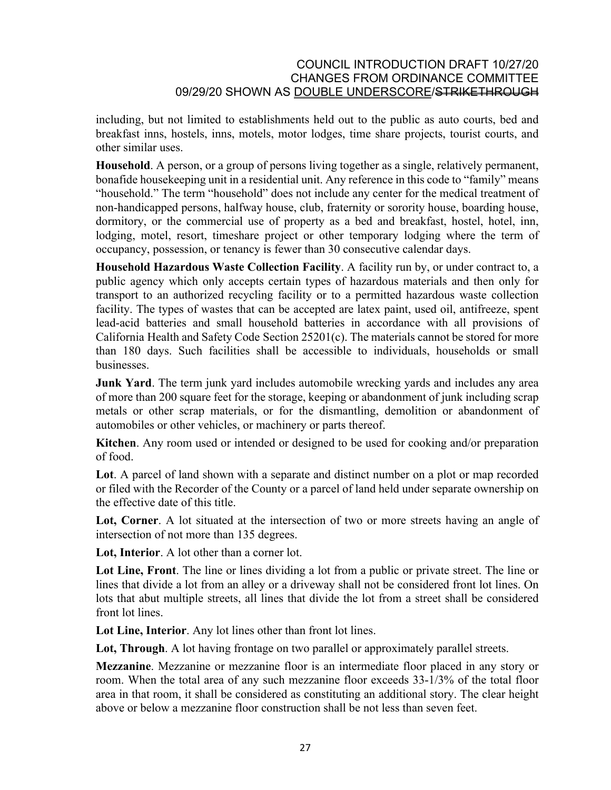including, but not limited to establishments held out to the public as auto courts, bed and breakfast inns, hostels, inns, motels, motor lodges, time share projects, tourist courts, and other similar uses.

**Household**. A person, or a group of persons living together as a single, relatively permanent, bonafide housekeeping unit in a residential unit. Any reference in this code to "family" means "household." The term "household" does not include any center for the medical treatment of non-handicapped persons, halfway house, club, fraternity or sorority house, boarding house, dormitory, or the commercial use of property as a bed and breakfast, hostel, hotel, inn, lodging, motel, resort, timeshare project or other temporary lodging where the term of occupancy, possession, or tenancy is fewer than 30 consecutive calendar days.

**Household Hazardous Waste Collection Facility**. A facility run by, or under contract to, a public agency which only accepts certain types of hazardous materials and then only for transport to an authorized recycling facility or to a permitted hazardous waste collection facility. The types of wastes that can be accepted are latex paint, used oil, antifreeze, spent lead-acid batteries and small household batteries in accordance with all provisions of California [Health and Safety Code](http://qcode.us/codes/othercode.php?state=ca&code=heasaf) Section 25201(c). The materials cannot be stored for more than 180 days. Such facilities shall be accessible to individuals, households or small businesses.

**Junk Yard**. The term junk yard includes automobile wrecking yards and includes any area of more than 200 square feet for the storage, keeping or abandonment of junk including scrap metals or other scrap materials, or for the dismantling, demolition or abandonment of automobiles or other vehicles, or machinery or parts thereof.

**Kitchen**. Any room used or intended or designed to be used for cooking and/or preparation of food.

**Lot**. A parcel of land shown with a separate and distinct number on a plot or map recorded or filed with the Recorder of the County or a parcel of land held under separate ownership on the effective date of this title.

**Lot, Corner**. A lot situated at the intersection of two or more streets having an angle of intersection of not more than 135 degrees.

**Lot, Interior**. A lot other than a corner lot.

**Lot Line, Front**. The line or lines dividing a lot from a public or private street. The line or lines that divide a lot from an alley or a driveway shall not be considered front lot lines. On lots that abut multiple streets, all lines that divide the lot from a street shall be considered front lot lines.

**Lot Line, Interior**. Any lot lines other than front lot lines.

**Lot, Through**. A lot having frontage on two parallel or approximately parallel streets.

**Mezzanine**. Mezzanine or mezzanine floor is an intermediate floor placed in any story or room. When the total area of any such mezzanine floor exceeds 33-1/3% of the total floor area in that room, it shall be considered as constituting an additional story. The clear height above or below a mezzanine floor construction shall be not less than seven feet.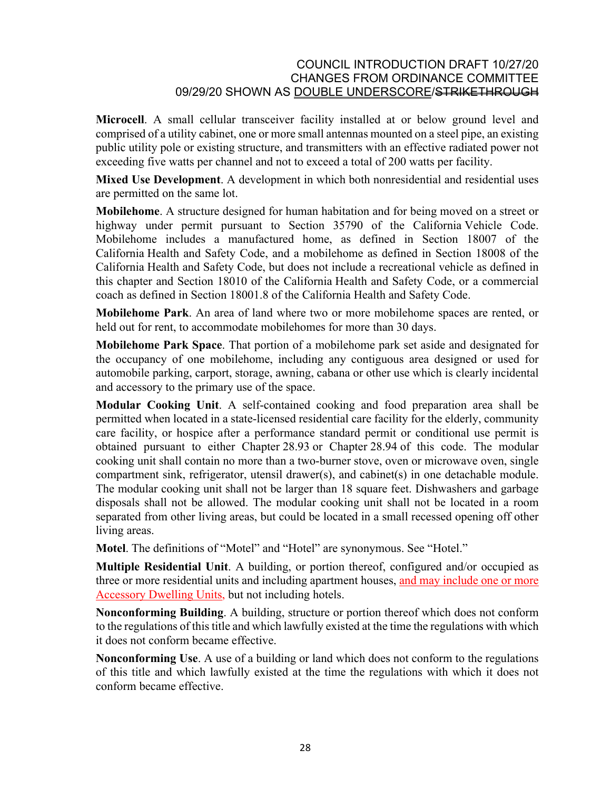**Microcell**. A small cellular transceiver facility installed at or below ground level and comprised of a utility cabinet, one or more small antennas mounted on a steel pipe, an existing public utility pole or existing structure, and transmitters with an effective radiated power not exceeding five watts per channel and not to exceed a total of 200 watts per facility.

**Mixed Use Development**. A development in which both nonresidential and residential uses are permitted on the same lot.

**Mobilehome**. A structure designed for human habitation and for being moved on a street or highway under permit pursuant to Section 35790 of the California [Vehicle Code.](http://qcode.us/codes/othercode.php?state=ca&code=veh) Mobilehome includes a manufactured home, as defined in Section 18007 of the California [Health and Safety Code,](http://qcode.us/codes/othercode.php?state=ca&code=heasaf) and a mobilehome as defined in Section 18008 of the California [Health and Safety Code](http://qcode.us/codes/othercode.php?state=ca&code=heasaf), but does not include a recreational vehicle as defined in this chapter and Section 18010 of the California [Health and Safety Code](http://qcode.us/codes/othercode.php?state=ca&code=heasaf), or a commercial coach as defined in Section 18001.8 of the California [Health and Safety Code.](http://qcode.us/codes/othercode.php?state=ca&code=heasaf)

**Mobilehome Park**. An area of land where two or more mobilehome spaces are rented, or held out for rent, to accommodate mobilehomes for more than 30 days.

**Mobilehome Park Space**. That portion of a mobilehome park set aside and designated for the occupancy of one mobilehome, including any contiguous area designed or used for automobile parking, carport, storage, awning, cabana or other use which is clearly incidental and accessory to the primary use of the space.

**Modular Cooking Unit**. A self-contained cooking and food preparation area shall be permitted when located in a state-licensed residential care facility for the elderly, community care facility, or hospice after a performance standard permit or conditional use permit is obtained pursuant to either Chapter [28.93](http://qcode.us/codes/santabarbara/view.php?cite=chapter_28.93&confidence=6) or Chapter [28.94](http://qcode.us/codes/santabarbara/view.php?cite=chapter_28.94&confidence=8) of this code. The modular cooking unit shall contain no more than a two-burner stove, oven or microwave oven, single compartment sink, refrigerator, utensil drawer(s), and cabinet(s) in one detachable module. The modular cooking unit shall not be larger than 18 square feet. Dishwashers and garbage disposals shall not be allowed. The modular cooking unit shall not be located in a room separated from other living areas, but could be located in a small recessed opening off other living areas.

**Motel**. The definitions of "Motel" and "Hotel" are synonymous. See "Hotel."

**Multiple Residential Unit**. A building, or portion thereof, configured and/or occupied as three or more residential units and including apartment houses, and may include one or more Accessory Dwelling Units, but not including hotels.

**Nonconforming Building**. A building, structure or portion thereof which does not conform to the regulations of this title and which lawfully existed at the time the regulations with which it does not conform became effective.

**Nonconforming Use**. A use of a building or land which does not conform to the regulations of this title and which lawfully existed at the time the regulations with which it does not conform became effective.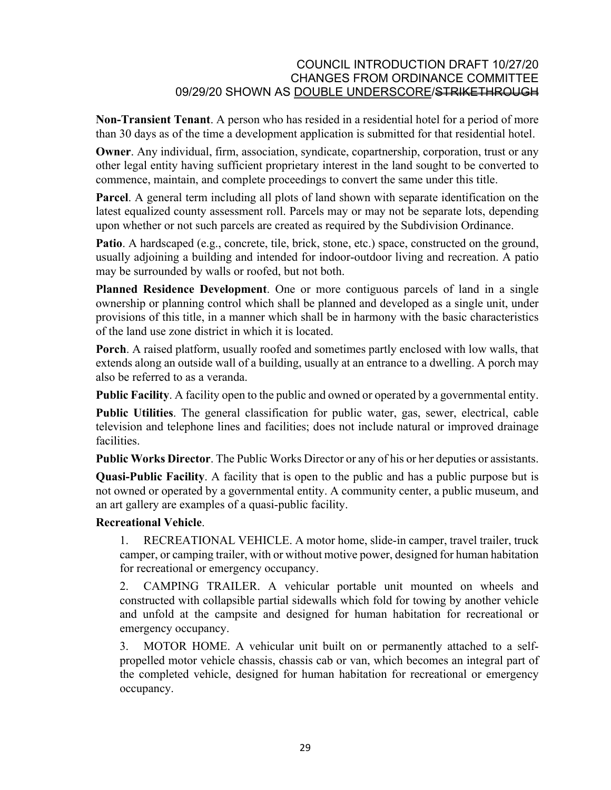**Non-Transient Tenant**. A person who has resided in a residential hotel for a period of more than 30 days as of the time a development application is submitted for that residential hotel.

**Owner**. Any individual, firm, association, syndicate, copartnership, corporation, trust or any other legal entity having sufficient proprietary interest in the land sought to be converted to commence, maintain, and complete proceedings to convert the same under this title.

**Parcel**. A general term including all plots of land shown with separate identification on the latest equalized county assessment roll. Parcels may or may not be separate lots, depending upon whether or not such parcels are created as required by the Subdivision Ordinance.

**Patio**. A hardscaped (e.g., concrete, tile, brick, stone, etc.) space, constructed on the ground, usually adjoining a building and intended for indoor-outdoor living and recreation. A patio may be surrounded by walls or roofed, but not both.

**Planned Residence Development**. One or more contiguous parcels of land in a single ownership or planning control which shall be planned and developed as a single unit, under provisions of this title, in a manner which shall be in harmony with the basic characteristics of the land use zone district in which it is located.

**Porch**. A raised platform, usually roofed and sometimes partly enclosed with low walls, that extends along an outside wall of a building, usually at an entrance to a dwelling. A porch may also be referred to as a veranda.

**Public Facility**. A facility open to the public and owned or operated by a governmental entity.

**Public Utilities**. The general classification for public water, gas, sewer, electrical, cable television and telephone lines and facilities; does not include natural or improved drainage facilities.

**Public Works Director**. The Public Works Director or any of his or her deputies or assistants.

**Quasi-Public Facility**. A facility that is open to the public and has a public purpose but is not owned or operated by a governmental entity. A community center, a public museum, and an art gallery are examples of a quasi-public facility.

# **Recreational Vehicle**.

1. RECREATIONAL VEHICLE. A motor home, slide-in camper, travel trailer, truck camper, or camping trailer, with or without motive power, designed for human habitation for recreational or emergency occupancy.

2. CAMPING TRAILER. A vehicular portable unit mounted on wheels and constructed with collapsible partial sidewalls which fold for towing by another vehicle and unfold at the campsite and designed for human habitation for recreational or emergency occupancy.

3. MOTOR HOME. A vehicular unit built on or permanently attached to a selfpropelled motor vehicle chassis, chassis cab or van, which becomes an integral part of the completed vehicle, designed for human habitation for recreational or emergency occupancy.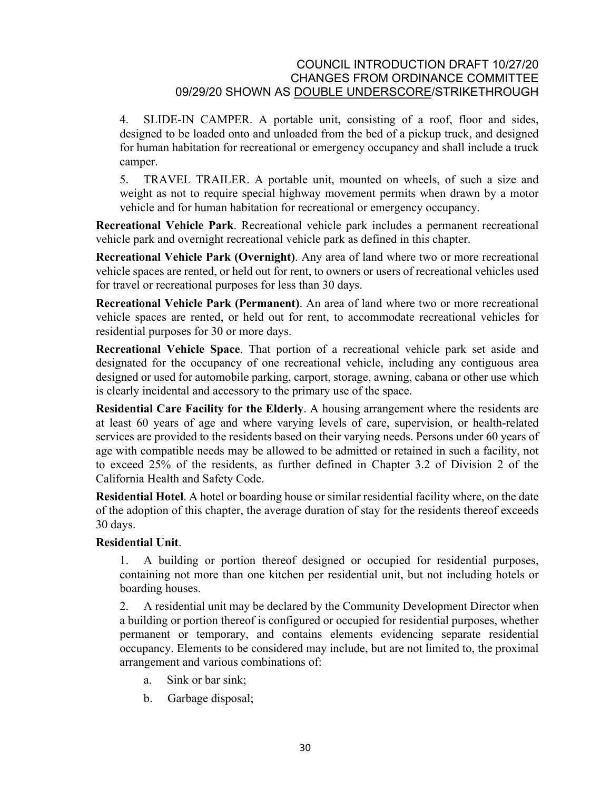4. SLIDE-IN CAMPER. A portable unit, consisting of a roof, floor and sides, designed to be loaded onto and unloaded from the bed of a pickup truck, and designed for human habitation for recreational or emergency occupancy and shall include a truck camper.

5. TRAVEL TRAILER. A portable unit, mounted on wheels, of such a size and weight as not to require special highway movement permits when drawn by a motor vehicle and for human habitation for recreational or emergency occupancy.

**Recreational Vehicle Park**. Recreational vehicle park includes a permanent recreational vehicle park and overnight recreational vehicle park as defined in this chapter.

**Recreational Vehicle Park (Overnight)**. Any area of land where two or more recreational vehicle spaces are rented, or held out for rent, to owners or users of recreational vehicles used for travel or recreational purposes for less than 30 days.

**Recreational Vehicle Park (Permanent)**. An area of land where two or more recreational vehicle spaces are rented, or held out for rent, to accommodate recreational vehicles for residential purposes for 30 or more days.

**Recreational Vehicle Space**. That portion of a recreational vehicle park set aside and designated for the occupancy of one recreational vehicle, including any contiguous area designed or used for automobile parking, carport, storage, awning, cabana or other use which is clearly incidental and accessory to the primary use of the space.

**Residential Care Facility for the Elderly**. A housing arrangement where the residents are at least 60 years of age and where varying levels of care, supervision, or health-related services are provided to the residents based on their varying needs. Persons under 60 years of age with compatible needs may be allowed to be admitted or retained in such a facility, not to exceed 25% of the residents, as further defined in Chapter 3.2 of Division 2 of the California [Health and Safety Code.](http://qcode.us/codes/othercode.php?state=ca&code=heasaf)

**Residential Hotel**. A hotel or boarding house or similar residential facility where, on the date of the adoption of this chapter, the average duration of stay for the residents thereof exceeds 30 days.

# **Residential Unit**.

1. A building or portion thereof designed or occupied for residential purposes, containing not more than one kitchen per residential unit, but not including hotels or boarding houses.

2. A residential unit may be declared by the Community Development Director when a building or portion thereof is configured or occupied for residential purposes, whether permanent or temporary, and contains elements evidencing separate residential occupancy. Elements to be considered may include, but are not limited to, the proximal arrangement and various combinations of:

- a. Sink or bar sink;
- b. Garbage disposal;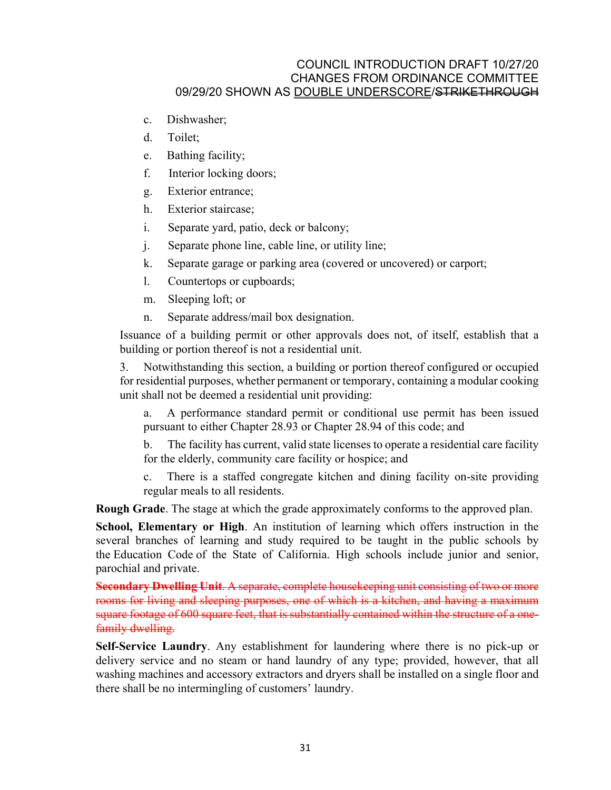- c. Dishwasher;
- d. Toilet;
- e. Bathing facility;
- f. Interior locking doors;
- g. Exterior entrance;
- h. Exterior staircase;
- i. Separate yard, patio, deck or balcony;
- j. Separate phone line, cable line, or utility line;
- k. Separate garage or parking area (covered or uncovered) or carport;
- l. Countertops or cupboards;
- m. Sleeping loft; or
- n. Separate address/mail box designation.

Issuance of a building permit or other approvals does not, of itself, establish that a building or portion thereof is not a residential unit.

3. Notwithstanding this section, a building or portion thereof configured or occupied for residential purposes, whether permanent or temporary, containing a modular cooking unit shall not be deemed a residential unit providing:

a. A performance standard permit or conditional use permit has been issued pursuant to either Chapter [28.93](http://qcode.us/codes/santabarbara/view.php?cite=chapter_28.93&confidence=6) or Chapter [28.94](http://qcode.us/codes/santabarbara/view.php?cite=chapter_28.94&confidence=8) of this code; and

b. The facility has current, valid state licenses to operate a residential care facility for the elderly, community care facility or hospice; and

There is a staffed congregate kitchen and dining facility on-site providing regular meals to all residents.

**Rough Grade**. The stage at which the grade approximately conforms to the approved plan.

**School, Elementary or High**. An institution of learning which offers instruction in the several branches of learning and study required to be taught in the public schools by the [Education Code](http://qcode.us/codes/othercode.php?state=ca&code=edu) of the State of California. High schools include junior and senior, parochial and private.

**Secondary Dwelling Unit**. A separate, complete housekeeping unit consisting of two or more rooms for living and sleeping purposes, one of which is a kitchen, and having a maximum square footage of 600 square feet, that is substantially contained within the structure of a onefamily dwelling.

**Self-Service Laundry**. Any establishment for laundering where there is no pick-up or delivery service and no steam or hand laundry of any type; provided, however, that all washing machines and accessory extractors and dryers shall be installed on a single floor and there shall be no intermingling of customers' laundry.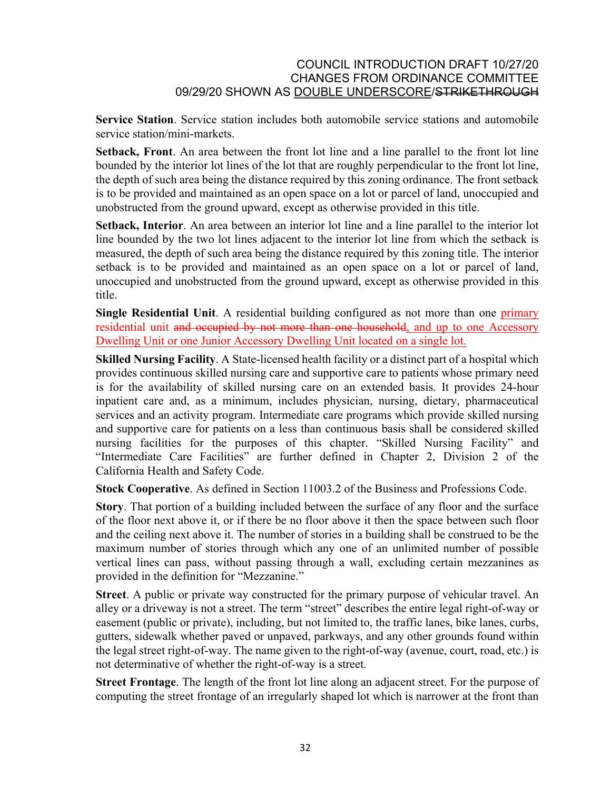**Service Station**. Service station includes both automobile service stations and automobile service station/mini-markets.

**Setback, Front**. An area between the front lot line and a line parallel to the front lot line bounded by the interior lot lines of the lot that are roughly perpendicular to the front lot line, the depth of such area being the distance required by this zoning ordinance. The front setback is to be provided and maintained as an open space on a lot or parcel of land, unoccupied and unobstructed from the ground upward, except as otherwise provided in this title.

**Setback, Interior**. An area between an interior lot line and a line parallel to the interior lot line bounded by the two lot lines adjacent to the interior lot line from which the setback is measured, the depth of such area being the distance required by this zoning title. The interior setback is to be provided and maintained as an open space on a lot or parcel of land, unoccupied and unobstructed from the ground upward, except as otherwise provided in this title.

**Single Residential Unit.** A residential building configured as not more than one primary residential unit and occupied by not more than one household, and up to one Accessory Dwelling Unit or one Junior Accessory Dwelling Unit located on a single lot.

**Skilled Nursing Facility**. A State-licensed health facility or a distinct part of a hospital which provides continuous skilled nursing care and supportive care to patients whose primary need is for the availability of skilled nursing care on an extended basis. It provides 24-hour inpatient care and, as a minimum, includes physician, nursing, dietary, pharmaceutical services and an activity program. Intermediate care programs which provide skilled nursing and supportive care for patients on a less than continuous basis shall be considered skilled nursing facilities for the purposes of this chapter. "Skilled Nursing Facility" and "Intermediate Care Facilities" are further defined in Chapter 2, Division 2 of the California [Health and Safety Code.](http://qcode.us/codes/othercode.php?state=ca&code=heasaf)

**Stock Cooperative**. As defined in Section 11003.2 of the [Business and Professions Code](http://qcode.us/codes/othercode.php?state=ca&code=buspro).

**Story**. That portion of a building included between the surface of any floor and the surface of the floor next above it, or if there be no floor above it then the space between such floor and the ceiling next above it. The number of stories in a building shall be construed to be the maximum number of stories through which any one of an unlimited number of possible vertical lines can pass, without passing through a wall, excluding certain mezzanines as provided in the definition for "Mezzanine."

**Street**. A public or private way constructed for the primary purpose of vehicular travel. An alley or a driveway is not a street. The term "street" describes the entire legal right-of-way or easement (public or private), including, but not limited to, the traffic lanes, bike lanes, curbs, gutters, sidewalk whether paved or unpaved, parkways, and any other grounds found within the legal street right-of-way. The name given to the right-of-way (avenue, court, road, etc.) is not determinative of whether the right-of-way is a street.

**Street Frontage**. The length of the front lot line along an adjacent street. For the purpose of computing the street frontage of an irregularly shaped lot which is narrower at the front than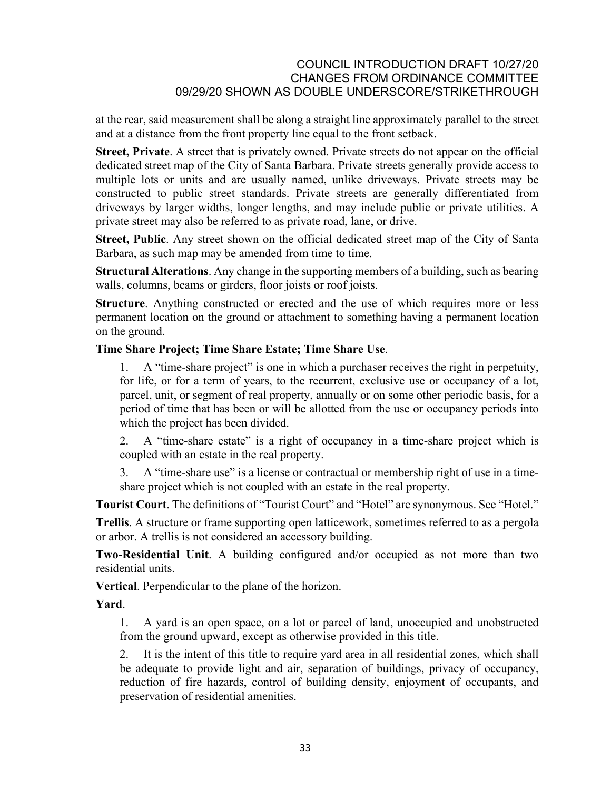at the rear, said measurement shall be along a straight line approximately parallel to the street and at a distance from the front property line equal to the front setback.

**Street, Private**. A street that is privately owned. Private streets do not appear on the official dedicated street map of the City of Santa Barbara. Private streets generally provide access to multiple lots or units and are usually named, unlike driveways. Private streets may be constructed to public street standards. Private streets are generally differentiated from driveways by larger widths, longer lengths, and may include public or private utilities. A private street may also be referred to as private road, lane, or drive.

**Street, Public**. Any street shown on the official dedicated street map of the City of Santa Barbara, as such map may be amended from time to time.

**Structural Alterations**. Any change in the supporting members of a building, such as bearing walls, columns, beams or girders, floor joists or roof joists.

**Structure**. Anything constructed or erected and the use of which requires more or less permanent location on the ground or attachment to something having a permanent location on the ground.

### **Time Share Project; Time Share Estate; Time Share Use**.

1. A "time-share project" is one in which a purchaser receives the right in perpetuity, for life, or for a term of years, to the recurrent, exclusive use or occupancy of a lot, parcel, unit, or segment of real property, annually or on some other periodic basis, for a period of time that has been or will be allotted from the use or occupancy periods into which the project has been divided.

2. A "time-share estate" is a right of occupancy in a time-share project which is coupled with an estate in the real property.

3. A "time-share use" is a license or contractual or membership right of use in a timeshare project which is not coupled with an estate in the real property.

**Tourist Court**. The definitions of "Tourist Court" and "Hotel" are synonymous. See "Hotel."

**Trellis**. A structure or frame supporting open latticework, sometimes referred to as a pergola or arbor. A trellis is not considered an accessory building.

**Two-Residential Unit**. A building configured and/or occupied as not more than two residential units.

**Vertical**. Perpendicular to the plane of the horizon.

**Yard**.

1. A yard is an open space, on a lot or parcel of land, unoccupied and unobstructed from the ground upward, except as otherwise provided in this title.

2. It is the intent of this title to require yard area in all residential zones, which shall be adequate to provide light and air, separation of buildings, privacy of occupancy, reduction of fire hazards, control of building density, enjoyment of occupants, and preservation of residential amenities.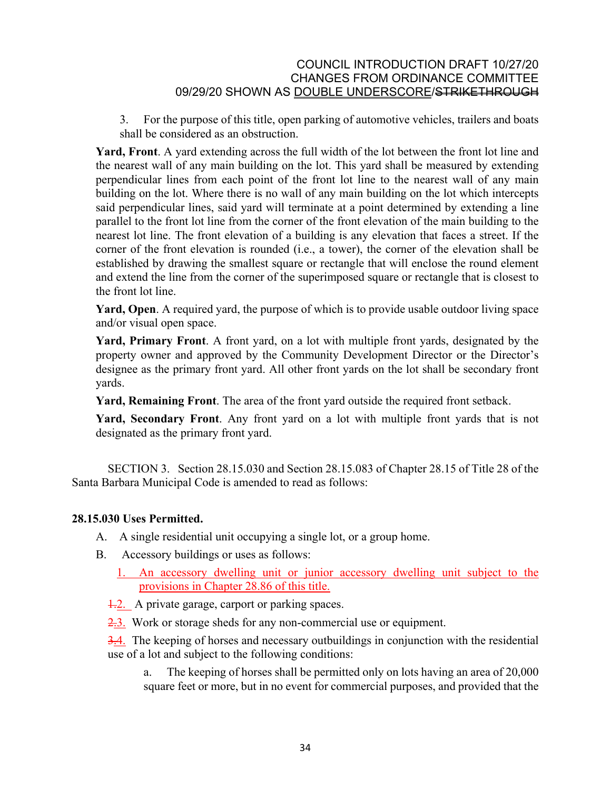3. For the purpose of this title, open parking of automotive vehicles, trailers and boats shall be considered as an obstruction.

**Yard, Front**. A yard extending across the full width of the lot between the front lot line and the nearest wall of any main building on the lot. This yard shall be measured by extending perpendicular lines from each point of the front lot line to the nearest wall of any main building on the lot. Where there is no wall of any main building on the lot which intercepts said perpendicular lines, said yard will terminate at a point determined by extending a line parallel to the front lot line from the corner of the front elevation of the main building to the nearest lot line. The front elevation of a building is any elevation that faces a street. If the corner of the front elevation is rounded (i.e., a tower), the corner of the elevation shall be established by drawing the smallest square or rectangle that will enclose the round element and extend the line from the corner of the superimposed square or rectangle that is closest to the front lot line.

**Yard, Open**. A required yard, the purpose of which is to provide usable outdoor living space and/or visual open space.

**Yard, Primary Front**. A front yard, on a lot with multiple front yards, designated by the property owner and approved by the Community Development Director or the Director's designee as the primary front yard. All other front yards on the lot shall be secondary front yards.

**Yard, Remaining Front**. The area of the front yard outside the required front setback.

**Yard, Secondary Front**. Any front yard on a lot with multiple front yards that is not designated as the primary front yard.

SECTION 3. Section 28.15.030 and Section 28.15.083 of Chapter 28.15 of Title 28 of the Santa Barbara Municipal Code is amended to read as follows:

# **28.15.030 Uses Permitted.**

- A. A single residential unit occupying a single lot, or a group home.
- B. Accessory buildings or uses as follows:
	- 1. An accessory dwelling unit or junior accessory dwelling unit subject to the provisions in Chapter 28.86 of this title.
	- 1.2. A private garage, carport or parking spaces.
	- 2.3. Work or storage sheds for any non-commercial use or equipment.
	- 3.4. The keeping of horses and necessary outbuildings in conjunction with the residential use of a lot and subject to the following conditions:

a. The keeping of horses shall be permitted only on lots having an area of 20,000 square feet or more, but in no event for commercial purposes, and provided that the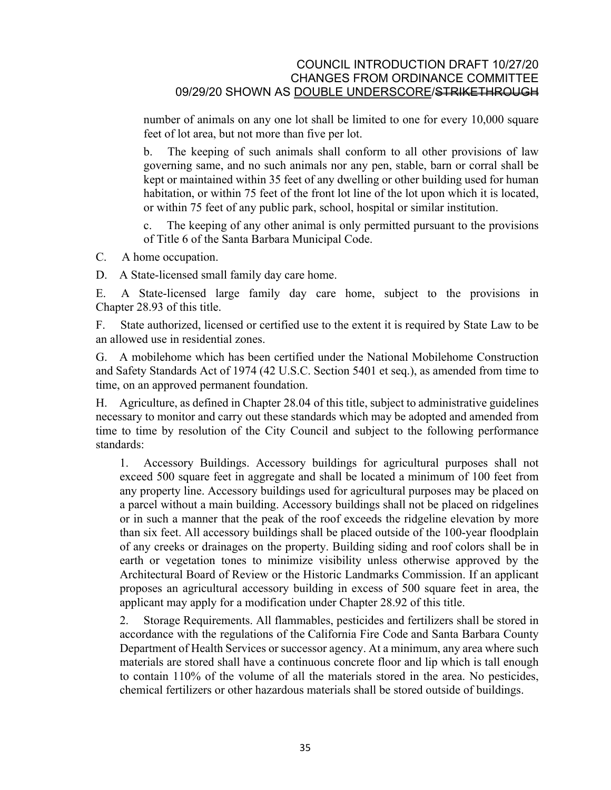number of animals on any one lot shall be limited to one for every 10,000 square feet of lot area, but not more than five per lot.

b. The keeping of such animals shall conform to all other provisions of law governing same, and no such animals nor any pen, stable, barn or corral shall be kept or maintained within 35 feet of any dwelling or other building used for human habitation, or within 75 feet of the front lot line of the lot upon which it is located, or within 75 feet of any public park, school, hospital or similar institution.

c. The keeping of any other animal is only permitted pursuant to the provisions of Title 6 of the Santa Barbara Municipal Code.

- C. A home occupation.
- D. A State-licensed small family day care home.

E. A State-licensed large family day care home, subject to the provisions in Chapter [28.93](http://qcode.us/codes/santabarbara/view.php?cite=chapter_28.93&confidence=8) of this title.

F. State authorized, licensed or certified use to the extent it is required by State Law to be an allowed use in residential zones.

G. A mobilehome which has been certified under the National Mobilehome Construction and Safety Standards Act of 1974 (42 U.S.C. Section 5401 et seq.), as amended from time to time, on an approved permanent foundation.

H. Agriculture, as defined in Chapter [28.04](http://qcode.us/codes/santabarbara/view.php?cite=chapter_28.04&confidence=8) of this title, subject to administrative guidelines necessary to monitor and carry out these standards which may be adopted and amended from time to time by resolution of the City Council and subject to the following performance standards:

1. Accessory Buildings. Accessory buildings for agricultural purposes shall not exceed 500 square feet in aggregate and shall be located a minimum of 100 feet from any property line. Accessory buildings used for agricultural purposes may be placed on a parcel without a main building. Accessory buildings shall not be placed on ridgelines or in such a manner that the peak of the roof exceeds the ridgeline elevation by more than six feet. All accessory buildings shall be placed outside of the 100-year floodplain of any creeks or drainages on the property. Building siding and roof colors shall be in earth or vegetation tones to minimize visibility unless otherwise approved by the Architectural Board of Review or the Historic Landmarks Commission. If an applicant proposes an agricultural accessory building in excess of 500 square feet in area, the applicant may apply for a modification under Chapter [28.92](http://qcode.us/codes/santabarbara/view.php?cite=chapter_28.92&confidence=8) of this title.

2. Storage Requirements. All flammables, pesticides and fertilizers shall be stored in accordance with the regulations of the [California Fire Code](http://qcode.us/codes/othercode.php?state=ca&code=calfir) and Santa Barbara County Department of Health Services or successor agency. At a minimum, any area where such materials are stored shall have a continuous concrete floor and lip which is tall enough to contain 110% of the volume of all the materials stored in the area. No pesticides, chemical fertilizers or other hazardous materials shall be stored outside of buildings.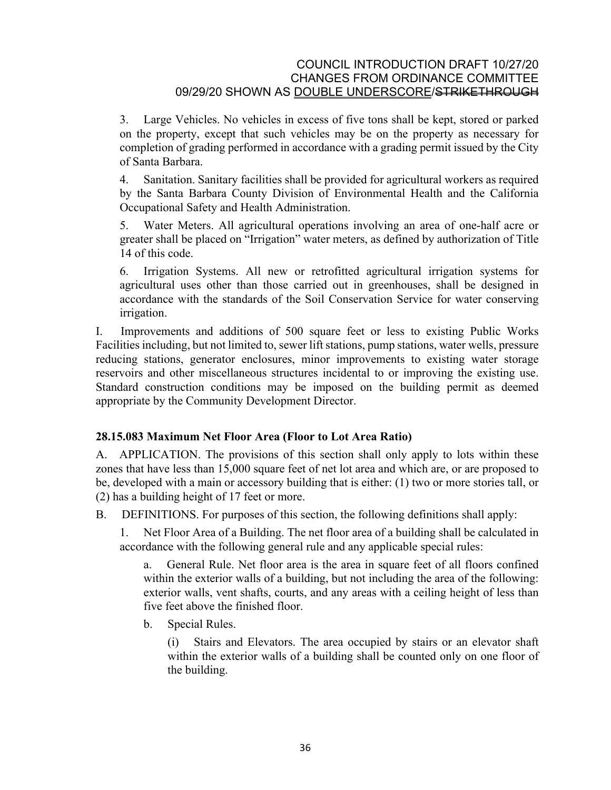3. Large Vehicles. No vehicles in excess of five tons shall be kept, stored or parked on the property, except that such vehicles may be on the property as necessary for completion of grading performed in accordance with a grading permit issued by the City of Santa Barbara.

4. Sanitation. Sanitary facilities shall be provided for agricultural workers as required by the Santa Barbara County Division of Environmental Health and the California Occupational Safety and Health Administration.

5. Water Meters. All agricultural operations involving an area of one-half acre or greater shall be placed on "Irrigation" water meters, as defined by authorization of Title 14 of this code.

6. Irrigation Systems. All new or retrofitted agricultural irrigation systems for agricultural uses other than those carried out in greenhouses, shall be designed in accordance with the standards of the Soil Conservation Service for water conserving irrigation.

I. Improvements and additions of 500 square feet or less to existing Public Works Facilities including, but not limited to, sewer lift stations, pump stations, water wells, pressure reducing stations, generator enclosures, minor improvements to existing water storage reservoirs and other miscellaneous structures incidental to or improving the existing use. Standard construction conditions may be imposed on the building permit as deemed appropriate by the Community Development Director.

# **28.15.083 Maximum Net Floor Area (Floor to Lot Area Ratio)**

A. APPLICATION. The provisions of this section shall only apply to lots within these zones that have less than 15,000 square feet of net lot area and which are, or are proposed to be, developed with a main or accessory building that is either: (1) two or more stories tall, or (2) has a building height of 17 feet or more.

B. DEFINITIONS. For purposes of this section, the following definitions shall apply:

1. Net Floor Area of a Building. The net floor area of a building shall be calculated in accordance with the following general rule and any applicable special rules:

a. General Rule. Net floor area is the area in square feet of all floors confined within the exterior walls of a building, but not including the area of the following: exterior walls, vent shafts, courts, and any areas with a ceiling height of less than five feet above the finished floor.

b. Special Rules.

(i) Stairs and Elevators. The area occupied by stairs or an elevator shaft within the exterior walls of a building shall be counted only on one floor of the building.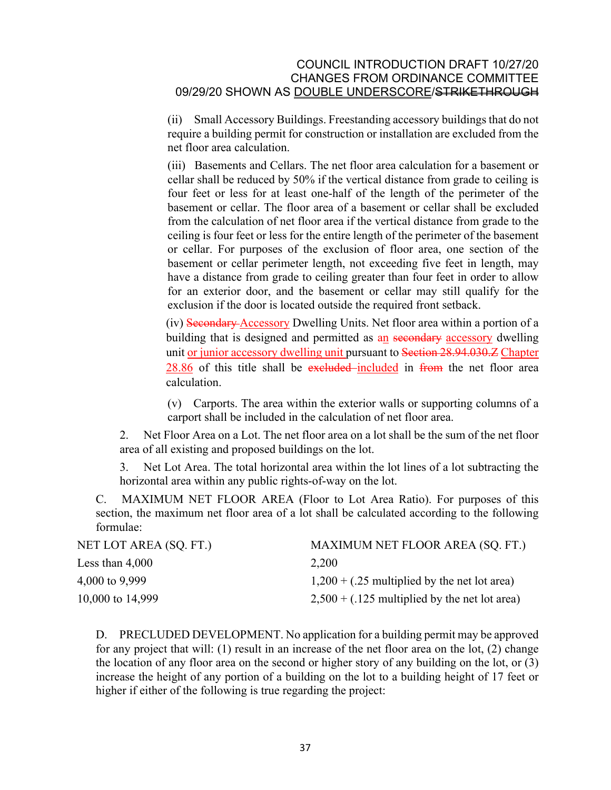(ii) Small Accessory Buildings. Freestanding accessory buildings that do not require a building permit for construction or installation are excluded from the net floor area calculation.

(iii) Basements and Cellars. The net floor area calculation for a basement or cellar shall be reduced by 50% if the vertical distance from grade to ceiling is four feet or less for at least one-half of the length of the perimeter of the basement or cellar. The floor area of a basement or cellar shall be excluded from the calculation of net floor area if the vertical distance from grade to the ceiling is four feet or less for the entire length of the perimeter of the basement or cellar. For purposes of the exclusion of floor area, one section of the basement or cellar perimeter length, not exceeding five feet in length, may have a distance from grade to ceiling greater than four feet in order to allow for an exterior door, and the basement or cellar may still qualify for the exclusion if the door is located outside the required front setback.

(iv) Secondary Accessory Dwelling Units. Net floor area within a portion of a building that is designed and permitted as an secondary accessory dwelling unit or junior accessory dwelling unit pursuant to Section 28.94.030.Z Chapter 28.86 of this title shall be excluded included in from the net floor area calculation.

(v) Carports. The area within the exterior walls or supporting columns of a carport shall be included in the calculation of net floor area.

2. Net Floor Area on a Lot. The net floor area on a lot shall be the sum of the net floor area of all existing and proposed buildings on the lot.

3. Net Lot Area. The total horizontal area within the lot lines of a lot subtracting the horizontal area within any public rights-of-way on the lot.

C. MAXIMUM NET FLOOR AREA (Floor to Lot Area Ratio). For purposes of this section, the maximum net floor area of a lot shall be calculated according to the following formulae:

| NET LOT AREA (SQ. FT.) | MAXIMUM NET FLOOR AREA (SQ. FT.)                |
|------------------------|-------------------------------------------------|
| Less than $4,000$      | 2,200                                           |
| 4,000 to 9,999         | $1,200 + (.25$ multiplied by the net lot area)  |
| 10,000 to 14,999       | $2,500 + (.125$ multiplied by the net lot area) |

D. PRECLUDED DEVELOPMENT. No application for a building permit may be approved for any project that will: (1) result in an increase of the net floor area on the lot, (2) change the location of any floor area on the second or higher story of any building on the lot, or (3) increase the height of any portion of a building on the lot to a building height of 17 feet or higher if either of the following is true regarding the project: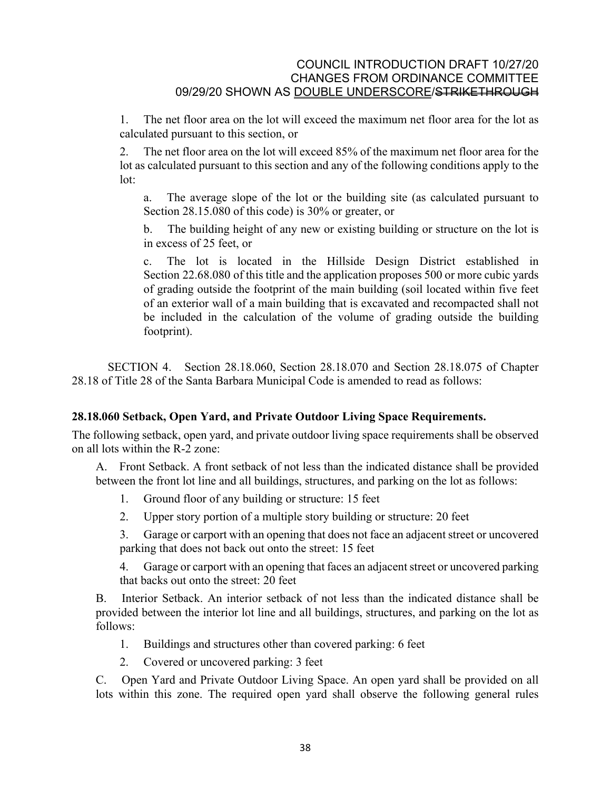1. The net floor area on the lot will exceed the maximum net floor area for the lot as calculated pursuant to this section, or

2. The net floor area on the lot will exceed 85% of the maximum net floor area for the lot as calculated pursuant to this section and any of the following conditions apply to the lot:

a. The average slope of the lot or the building site (as calculated pursuant to Section [28.15.080](http://qcode.us/codes/santabarbara/view.php?cite=section_28.15.080&confidence=8) of this code) is 30% or greater, or

b. The building height of any new or existing building or structure on the lot is in excess of 25 feet, or

c. The lot is located in the Hillside Design District established in Section [22.68.080](http://qcode.us/codes/santabarbara/view.php?cite=section_22.68.080&confidence=8) of this title and the application proposes 500 or more cubic yards of grading outside the footprint of the main building (soil located within five feet of an exterior wall of a main building that is excavated and recompacted shall not be included in the calculation of the volume of grading outside the building footprint).

SECTION 4. Section 28.18.060, Section 28.18.070 and Section 28.18.075 of Chapter 28.18 of Title 28 of the Santa Barbara Municipal Code is amended to read as follows:

# **28.18.060 Setback, Open Yard, and Private Outdoor Living Space Requirements.**

The following setback, open yard, and private outdoor living space requirements shall be observed on all lots within the R-2 zone:

A. Front Setback. A front setback of not less than the indicated distance shall be provided between the front lot line and all buildings, structures, and parking on the lot as follows:

- 1. Ground floor of any building or structure: 15 feet
- 2. Upper story portion of a multiple story building or structure: 20 feet

3. Garage or carport with an opening that does not face an adjacent street or uncovered parking that does not back out onto the street: 15 feet

4. Garage or carport with an opening that faces an adjacent street or uncovered parking that backs out onto the street: 20 feet

B. Interior Setback. An interior setback of not less than the indicated distance shall be provided between the interior lot line and all buildings, structures, and parking on the lot as follows:

- 1. Buildings and structures other than covered parking: 6 feet
- 2. Covered or uncovered parking: 3 feet

C. Open Yard and Private Outdoor Living Space. An open yard shall be provided on all lots within this zone. The required open yard shall observe the following general rules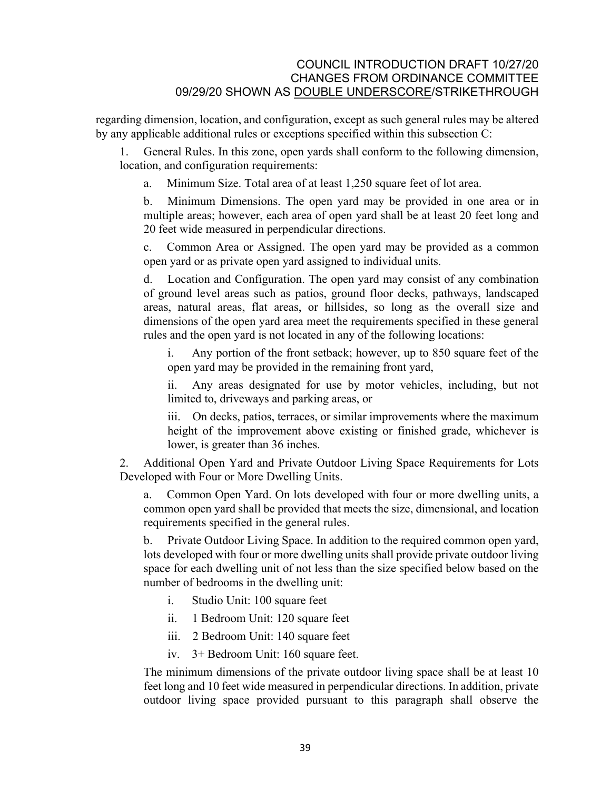regarding dimension, location, and configuration, except as such general rules may be altered by any applicable additional rules or exceptions specified within this subsection C:

1. General Rules. In this zone, open yards shall conform to the following dimension, location, and configuration requirements:

a. Minimum Size. Total area of at least 1,250 square feet of lot area.

b. Minimum Dimensions. The open yard may be provided in one area or in multiple areas; however, each area of open yard shall be at least 20 feet long and 20 feet wide measured in perpendicular directions.

c. Common Area or Assigned. The open yard may be provided as a common open yard or as private open yard assigned to individual units.

d. Location and Configuration. The open yard may consist of any combination of ground level areas such as patios, ground floor decks, pathways, landscaped areas, natural areas, flat areas, or hillsides, so long as the overall size and dimensions of the open yard area meet the requirements specified in these general rules and the open yard is not located in any of the following locations:

Any portion of the front setback; however, up to 850 square feet of the open yard may be provided in the remaining front yard,

ii. Any areas designated for use by motor vehicles, including, but not limited to, driveways and parking areas, or

iii. On decks, patios, terraces, or similar improvements where the maximum height of the improvement above existing or finished grade, whichever is lower, is greater than 36 inches.

2. Additional Open Yard and Private Outdoor Living Space Requirements for Lots Developed with Four or More Dwelling Units.

a. Common Open Yard. On lots developed with four or more dwelling units, a common open yard shall be provided that meets the size, dimensional, and location requirements specified in the general rules.

b. Private Outdoor Living Space. In addition to the required common open yard, lots developed with four or more dwelling units shall provide private outdoor living space for each dwelling unit of not less than the size specified below based on the number of bedrooms in the dwelling unit:

- i. Studio Unit: 100 square feet
- ii. 1 Bedroom Unit: 120 square feet
- iii. 2 Bedroom Unit: 140 square feet
- iv. 3+ Bedroom Unit: 160 square feet.

The minimum dimensions of the private outdoor living space shall be at least 10 feet long and 10 feet wide measured in perpendicular directions. In addition, private outdoor living space provided pursuant to this paragraph shall observe the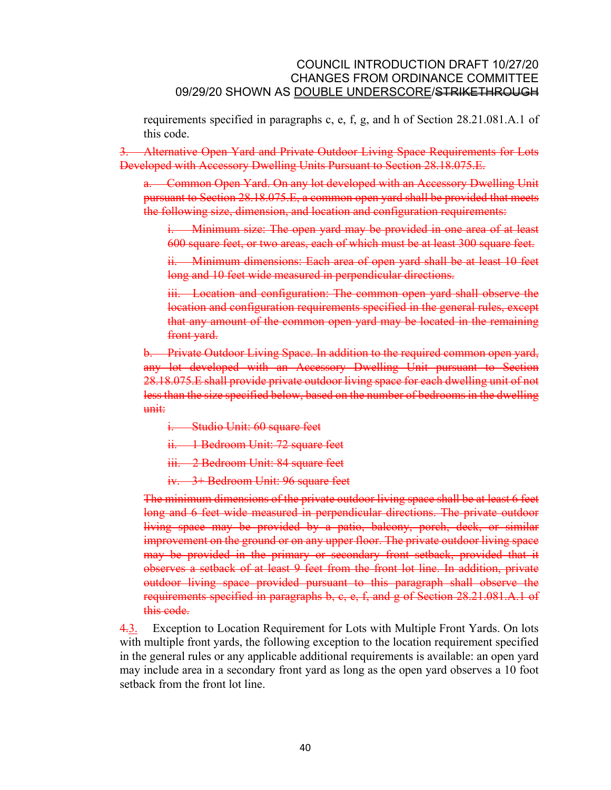requirements specified in paragraphs c, e, f, g, and h of Section 28.21.081.A.1 of this code.

3. Alternative Open Yard and Private Outdoor Living Space Requirements for Lots Developed with Accessory Dwelling Units Pursuant to Section 28.18.075.E.

a. Common Open Yard. On any lot developed with an Accessory Dwelling Unit pursuant to Section 28.18.075.E, a common open yard shall be provided that meets the following size, dimension, and location and configuration requirements:

i. Minimum size: The open yard may be provided in one area of at least 600 square feet, or two areas, each of which must be at least 300 square feet.

ii. Minimum dimensions: Each area of open yard shall be at least 10 feet long and 10 feet wide measured in perpendicular directions.

iii. Location and configuration: The common open yard shall observe the location and configuration requirements specified in the general rules, except that any amount of the common open yard may be located in the remaining front yard.

b. Private Outdoor Living Space. In addition to the required common open yard, any lot developed with an Accessory Dwelling Unit pursuant to Section 28.18.075.E shall provide private outdoor living space for each dwelling unit of not less than the size specified below, based on the number of bedrooms in the dwelling  $m$ it:

- i. Studio Unit: 60 square feet
- ii. 1 Bedroom Unit: 72 square feet
- iii. 2 Bedroom Unit: 84 square feet
- iv. 3+ Bedroom Unit: 96 square feet

The minimum dimensions of the private outdoor living space shall be at least 6 feet long and 6 feet wide measured in perpendicular directions. The private outdoor living space may be provided by a patio, balcony, porch, deck, or similar improvement on the ground or on any upper floor. The private outdoor living space may be provided in the primary or secondary front setback, provided that it observes a setback of at least 9 feet from the front lot line. In addition, private outdoor living space provided pursuant to this paragraph shall observe the requirements specified in paragraphs b, c, e, f, and g of Section 28.21.081.A.1 of this code.

4.3. Exception to Location Requirement for Lots with Multiple Front Yards. On lots with multiple front yards, the following exception to the location requirement specified in the general rules or any applicable additional requirements is available: an open yard may include area in a secondary front yard as long as the open yard observes a 10 foot setback from the front lot line.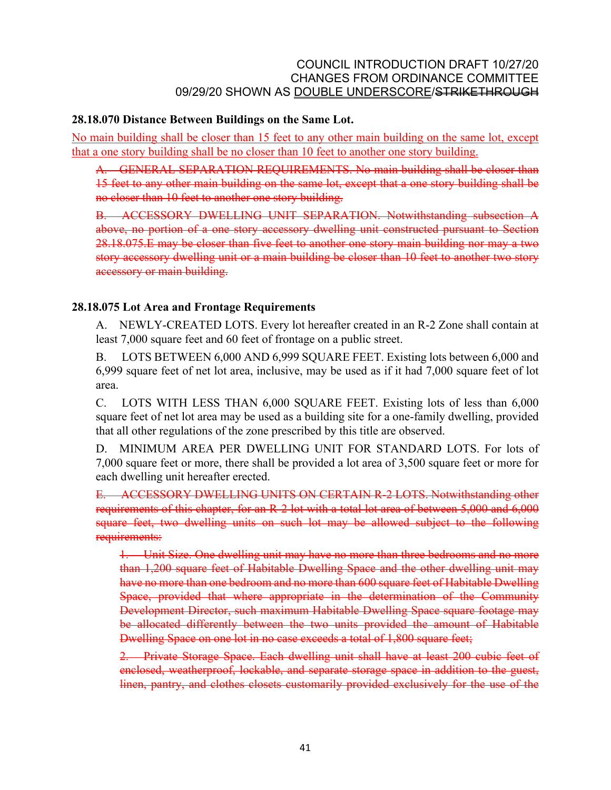#### **28.18.070 Distance Between Buildings on the Same Lot.**

No main building shall be closer than 15 feet to any other main building on the same lot, except that a one story building shall be no closer than 10 feet to another one story building.

A. GENERAL SEPARATION REQUIREMENTS. No main building shall be closer than 15 feet to any other main building on the same lot, except that a one story building shall be no closer than 10 feet to another one story building.

B. ACCESSORY DWELLING UNIT SEPARATION. Notwithstanding subsection A above, no portion of a one story accessory dwelling unit constructed pursuant to Section 28.18.075.E may be closer than five feet to another one story main building nor may a two story accessory dwelling unit or a main building be closer than 10 feet to another two story accessory or main building.

# **28.18.075 Lot Area and Frontage Requirements**

A. NEWLY-CREATED LOTS. Every lot hereafter created in an R-2 Zone shall contain at least 7,000 square feet and 60 feet of frontage on a public street.

B. LOTS BETWEEN 6,000 AND 6,999 SQUARE FEET. Existing lots between 6,000 and 6,999 square feet of net lot area, inclusive, may be used as if it had 7,000 square feet of lot area.

C. LOTS WITH LESS THAN 6,000 SQUARE FEET. Existing lots of less than 6,000 square feet of net lot area may be used as a building site for a one-family dwelling, provided that all other regulations of the zone prescribed by this title are observed.

D. MINIMUM AREA PER DWELLING UNIT FOR STANDARD LOTS. For lots of 7,000 square feet or more, there shall be provided a lot area of 3,500 square feet or more for each dwelling unit hereafter erected.

E. ACCESSORY DWELLING UNITS ON CERTAIN R-2 LOTS. Notwithstanding other requirements of this chapter, for an R-2 lot with a total lot area of between 5,000 and 6,000 square feet, two dwelling units on such lot may be allowed subject to the following requirements:

1. Unit Size. One dwelling unit may have no more than three bedrooms and no more than 1,200 square feet of Habitable Dwelling Space and the other dwelling unit may have no more than one bedroom and no more than 600 square feet of Habitable Dwelling Space, provided that where appropriate in the determination of the Community Development Director, such maximum Habitable Dwelling Space square footage may be allocated differently between the two units provided the amount of Habitable Dwelling Space on one lot in no case exceeds a total of 1,800 square feet;

2. Private Storage Space. Each dwelling unit shall have at least 200 cubic feet of enclosed, weatherproof, lockable, and separate storage space in addition to the guest, linen, pantry, and clothes closets customarily provided exclusively for the use of the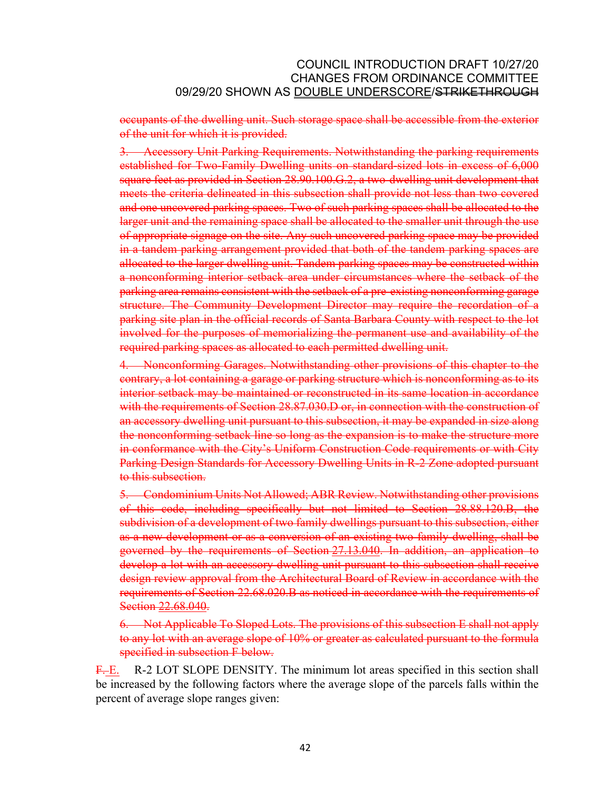occupants of the dwelling unit. Such storage space shall be accessible from the exterior of the unit for which it is provided.

3. Accessory Unit Parking Requirements. Notwithstanding the parking requirements established for Two-Family Dwelling units on standard-sized lots in excess of 6,000 square feet as provided in Section 28.90.100.G.2, a two-dwelling unit development that meets the criteria delineated in this subsection shall provide not less than two covered and one uncovered parking spaces. Two of such parking spaces shall be allocated to the larger unit and the remaining space shall be allocated to the smaller unit through the use of appropriate signage on the site. Any such uncovered parking space may be provided in a tandem parking arrangement provided that both of the tandem parking spaces are allocated to the larger dwelling unit. Tandem parking spaces may be constructed within a nonconforming interior setback area under circumstances where the setback of the parking area remains consistent with the setback of a pre-existing nonconforming garage structure. The Community Development Director may require the recordation of a parking site plan in the official records of Santa Barbara County with respect to the lot involved for the purposes of memorializing the permanent use and availability of the required parking spaces as allocated to each permitted dwelling unit.

4. Nonconforming Garages. Notwithstanding other provisions of this chapter to the contrary, a lot containing a garage or parking structure which is nonconforming as to its interior setback may be maintained or reconstructed in its same location in accordance with the requirements of Section 28.87.030.D or, in connection with the construction of an accessory dwelling unit pursuant to this subsection, it may be expanded in size along the nonconforming setback line so long as the expansion is to make the structure more in conformance with the City's Uniform Construction Code requirements or with City Parking Design Standards for Accessory Dwelling Units in R-2 Zone adopted pursuant to this subsection.

5. Condominium Units Not Allowed; ABR Review. Notwithstanding other provisions of this code, including specifically but not limited to Section 28.88.120.B, the subdivision of a development of two family dwellings pursuant to this subsection, either as a new development or as a conversion of an existing two-family dwelling, shall be governed by the requirements of Section [27.13.040.](http://qcode.us/codes/santabarbara/view.php?cite=section_27.13.040&confidence=6) In addition, an application to develop a lot with an accessory dwelling unit pursuant to this subsection shall receive design review approval from the Architectural Board of Review in accordance with the requirements of Section 22.68.020.B as noticed in accordance with the requirements of Section [22.68.040.](http://qcode.us/codes/santabarbara/view.php?cite=section_22.68.040&confidence=6)

6. Not Applicable To Sloped Lots. The provisions of this subsection E shall not apply to any lot with an average slope of 10% or greater as calculated pursuant to the formula specified in subsection F below.

F.E. R-2 LOT SLOPE DENSITY. The minimum lot areas specified in this section shall be increased by the following factors where the average slope of the parcels falls within the percent of average slope ranges given: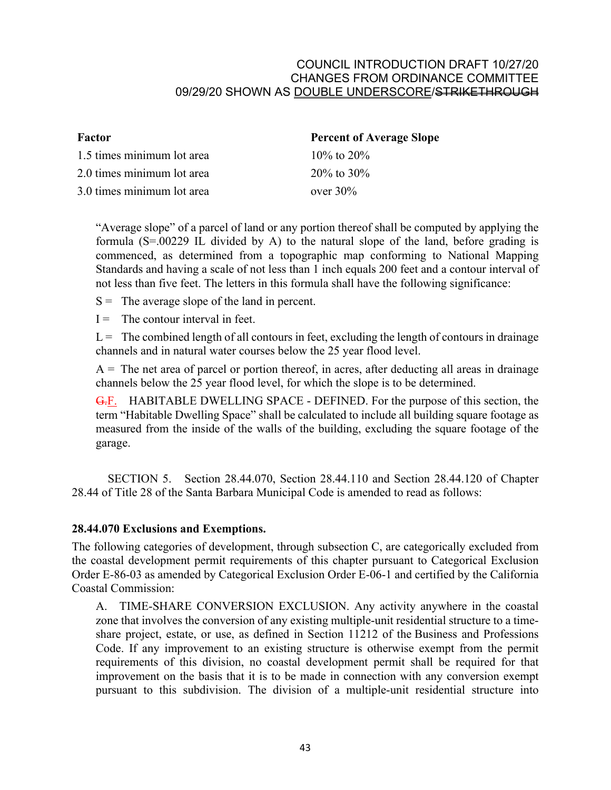| Factor                     | <b>Percent of Average Slope</b> |  |
|----------------------------|---------------------------------|--|
| 1.5 times minimum lot area | $10\%$ to $20\%$                |  |
| 2.0 times minimum lot area | $20\%$ to $30\%$                |  |
| 3.0 times minimum lot area | over $30\%$                     |  |
|                            |                                 |  |

"Average slope" of a parcel of land or any portion thereof shall be computed by applying the formula (S=.00229 IL divided by A) to the natural slope of the land, before grading is commenced, as determined from a topographic map conforming to National Mapping Standards and having a scale of not less than 1 inch equals 200 feet and a contour interval of not less than five feet. The letters in this formula shall have the following significance:

 $S =$ The average slope of the land in percent.

 $I =$  The contour interval in feet.

 $L =$ The combined length of all contours in feet, excluding the length of contours in drainage channels and in natural water courses below the 25 year flood level.

 $A =$ The net area of parcel or portion thereof, in acres, after deducting all areas in drainage channels below the 25 year flood level, for which the slope is to be determined.

G.F. HABITABLE DWELLING SPACE - DEFINED. For the purpose of this section, the term "Habitable Dwelling Space" shall be calculated to include all building square footage as measured from the inside of the walls of the building, excluding the square footage of the garage.

SECTION 5. Section 28.44.070, Section 28.44.110 and Section 28.44.120 of Chapter 28.44 of Title 28 of the Santa Barbara Municipal Code is amended to read as follows:

# **28.44.070 Exclusions and Exemptions.**

The following categories of development, through subsection C, are categorically excluded from the coastal development permit requirements of this chapter pursuant to Categorical Exclusion Order E-86-03 as amended by Categorical Exclusion Order E-06-1 and certified by the California Coastal Commission:

A. TIME-SHARE CONVERSION EXCLUSION. Any activity anywhere in the coastal zone that involves the conversion of any existing multiple-unit residential structure to a timeshare project, estate, or use, as defined in Section 11212 of the [Business and Professions](http://qcode.us/codes/othercode.php?state=ca&code=buspro)  [Code](http://qcode.us/codes/othercode.php?state=ca&code=buspro). If any improvement to an existing structure is otherwise exempt from the permit requirements of this division, no coastal development permit shall be required for that improvement on the basis that it is to be made in connection with any conversion exempt pursuant to this subdivision. The division of a multiple-unit residential structure into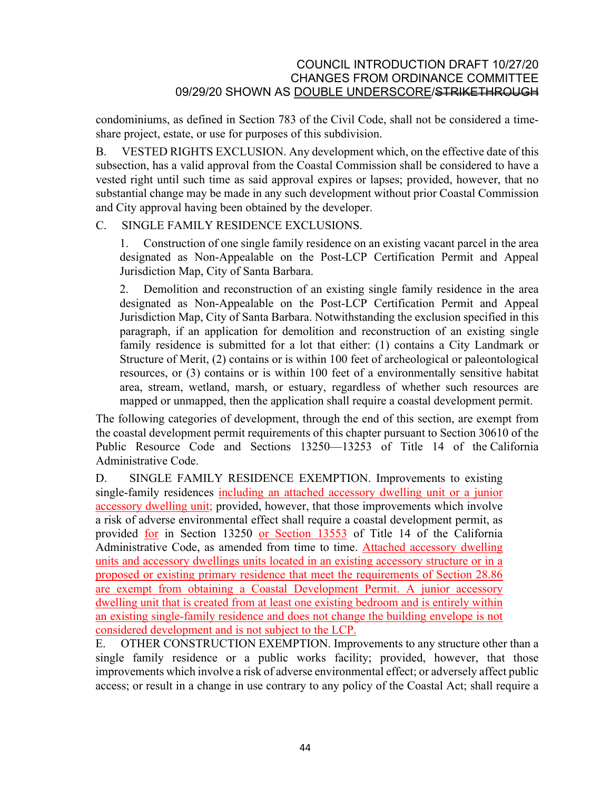condominiums, as defined in Section 783 of the [Civil Code](http://qcode.us/codes/othercode.php?state=ca&code=civ), shall not be considered a timeshare project, estate, or use for purposes of this subdivision.

B. VESTED RIGHTS EXCLUSION. Any development which, on the effective date of this subsection, has a valid approval from the Coastal Commission shall be considered to have a vested right until such time as said approval expires or lapses; provided, however, that no substantial change may be made in any such development without prior Coastal Commission and City approval having been obtained by the developer.

### C. SINGLE FAMILY RESIDENCE EXCLUSIONS.

1. Construction of one single family residence on an existing vacant parcel in the area designated as Non-Appealable on the Post-LCP Certification Permit and Appeal Jurisdiction Map, City of Santa Barbara.

2. Demolition and reconstruction of an existing single family residence in the area designated as Non-Appealable on the Post-LCP Certification Permit and Appeal Jurisdiction Map, City of Santa Barbara. Notwithstanding the exclusion specified in this paragraph, if an application for demolition and reconstruction of an existing single family residence is submitted for a lot that either: (1) contains a City Landmark or Structure of Merit, (2) contains or is within 100 feet of archeological or paleontological resources, or (3) contains or is within 100 feet of a environmentally sensitive habitat area, stream, wetland, marsh, or estuary, regardless of whether such resources are mapped or unmapped, then the application shall require a coastal development permit.

The following categories of development, through the end of this section, are exempt from the coastal development permit requirements of this chapter pursuant to Section 30610 of the Public Resource Code and Sections 13250—13253 of Title 14 of the [California](http://qcode.us/codes/othercode.php?state=ca&code=caladm)  [Administrative Code](http://qcode.us/codes/othercode.php?state=ca&code=caladm).

D. SINGLE FAMILY RESIDENCE EXEMPTION. Improvements to existing single-family residences including an attached accessory dwelling unit or a junior accessory dwelling unit; provided, however, that those improvements which involve a risk of adverse environmental effect shall require a coastal development permit, as provided for in Section 13250 or Section 13553 of Title 14 of the California Administrative Code, as amended from time to time. Attached accessory dwelling units and accessory dwellings units located in an existing accessory structure or in a proposed or existing primary residence that meet the requirements of Section 28.86 are exempt from obtaining a Coastal Development Permit. A junior accessory dwelling unit that is created from at least one existing bedroom and is entirely within an existing single-family residence and does not change the building envelope is not considered development and is not subject to the LCP.

E. OTHER CONSTRUCTION EXEMPTION. Improvements to any structure other than a single family residence or a public works facility; provided, however, that those improvements which involve a risk of adverse environmental effect; or adversely affect public access; or result in a change in use contrary to any policy of the Coastal Act; shall require a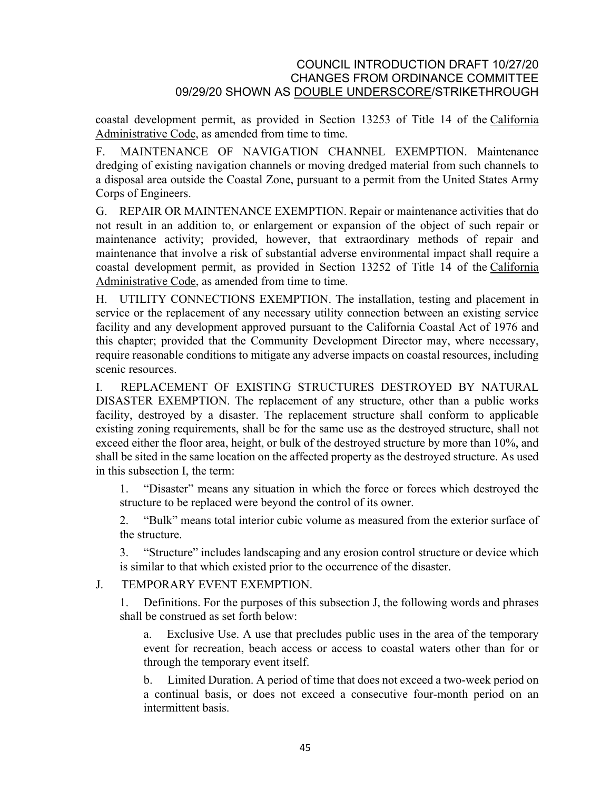coastal development permit, as provided in Section 13253 of Title 14 of the [California](http://qcode.us/codes/othercode.php?state=ca&code=caladm)  [Administrative Code](http://qcode.us/codes/othercode.php?state=ca&code=caladm), as amended from time to time.

F. MAINTENANCE OF NAVIGATION CHANNEL EXEMPTION. Maintenance dredging of existing navigation channels or moving dredged material from such channels to a disposal area outside the Coastal Zone, pursuant to a permit from the United States Army Corps of Engineers.

G. REPAIR OR MAINTENANCE EXEMPTION. Repair or maintenance activities that do not result in an addition to, or enlargement or expansion of the object of such repair or maintenance activity; provided, however, that extraordinary methods of repair and maintenance that involve a risk of substantial adverse environmental impact shall require a coastal development permit, as provided in Section 13252 of Title 14 of the [California](http://qcode.us/codes/othercode.php?state=ca&code=caladm)  [Administrative Code](http://qcode.us/codes/othercode.php?state=ca&code=caladm), as amended from time to time.

H. UTILITY CONNECTIONS EXEMPTION. The installation, testing and placement in service or the replacement of any necessary utility connection between an existing service facility and any development approved pursuant to the California Coastal Act of 1976 and this chapter; provided that the Community Development Director may, where necessary, require reasonable conditions to mitigate any adverse impacts on coastal resources, including scenic resources.

I. REPLACEMENT OF EXISTING STRUCTURES DESTROYED BY NATURAL DISASTER EXEMPTION. The replacement of any structure, other than a public works facility, destroyed by a disaster. The replacement structure shall conform to applicable existing zoning requirements, shall be for the same use as the destroyed structure, shall not exceed either the floor area, height, or bulk of the destroyed structure by more than 10%, and shall be sited in the same location on the affected property as the destroyed structure. As used in this subsection I, the term:

1. "Disaster" means any situation in which the force or forces which destroyed the structure to be replaced were beyond the control of its owner.

2. "Bulk" means total interior cubic volume as measured from the exterior surface of the structure.

3. "Structure" includes landscaping and any erosion control structure or device which is similar to that which existed prior to the occurrence of the disaster.

# J. TEMPORARY EVENT EXEMPTION.

1. Definitions. For the purposes of this subsection J, the following words and phrases shall be construed as set forth below:

a. Exclusive Use. A use that precludes public uses in the area of the temporary event for recreation, beach access or access to coastal waters other than for or through the temporary event itself.

b. Limited Duration. A period of time that does not exceed a two-week period on a continual basis, or does not exceed a consecutive four-month period on an intermittent basis.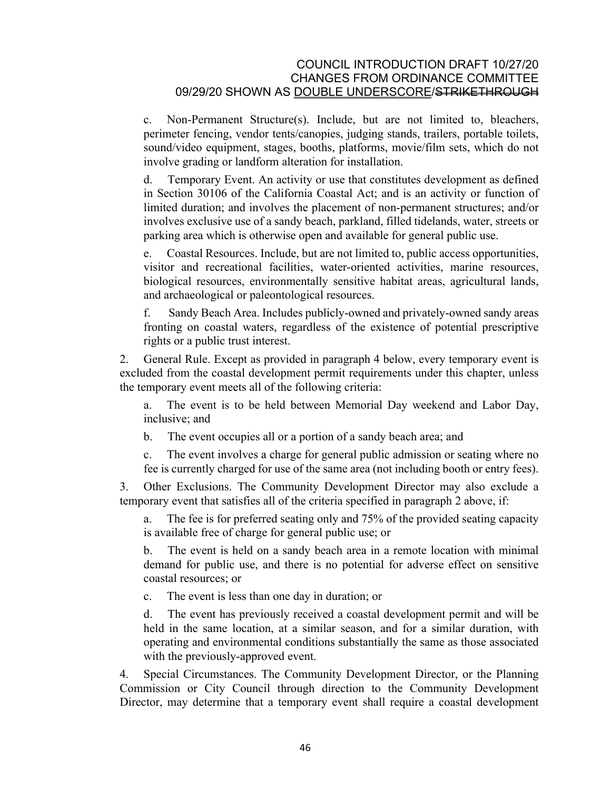c. Non-Permanent Structure(s). Include, but are not limited to, bleachers, perimeter fencing, vendor tents/canopies, judging stands, trailers, portable toilets, sound/video equipment, stages, booths, platforms, movie/film sets, which do not involve grading or landform alteration for installation.

d. Temporary Event. An activity or use that constitutes development as defined in Section 30106 of the California Coastal Act; and is an activity or function of limited duration; and involves the placement of non-permanent structures; and/or involves exclusive use of a sandy beach, parkland, filled tidelands, water, streets or parking area which is otherwise open and available for general public use.

e. Coastal Resources. Include, but are not limited to, public access opportunities, visitor and recreational facilities, water-oriented activities, marine resources, biological resources, environmentally sensitive habitat areas, agricultural lands, and archaeological or paleontological resources.

f. Sandy Beach Area. Includes publicly-owned and privately-owned sandy areas fronting on coastal waters, regardless of the existence of potential prescriptive rights or a public trust interest.

2. General Rule. Except as provided in paragraph 4 below, every temporary event is excluded from the coastal development permit requirements under this chapter, unless the temporary event meets all of the following criteria:

a. The event is to be held between Memorial Day weekend and Labor Day, inclusive; and

b. The event occupies all or a portion of a sandy beach area; and

c. The event involves a charge for general public admission or seating where no fee is currently charged for use of the same area (not including booth or entry fees).

3. Other Exclusions. The Community Development Director may also exclude a temporary event that satisfies all of the criteria specified in paragraph 2 above, if:

a. The fee is for preferred seating only and 75% of the provided seating capacity is available free of charge for general public use; or

b. The event is held on a sandy beach area in a remote location with minimal demand for public use, and there is no potential for adverse effect on sensitive coastal resources; or

c. The event is less than one day in duration; or

d. The event has previously received a coastal development permit and will be held in the same location, at a similar season, and for a similar duration, with operating and environmental conditions substantially the same as those associated with the previously-approved event.

4. Special Circumstances. The Community Development Director, or the Planning Commission or City Council through direction to the Community Development Director, may determine that a temporary event shall require a coastal development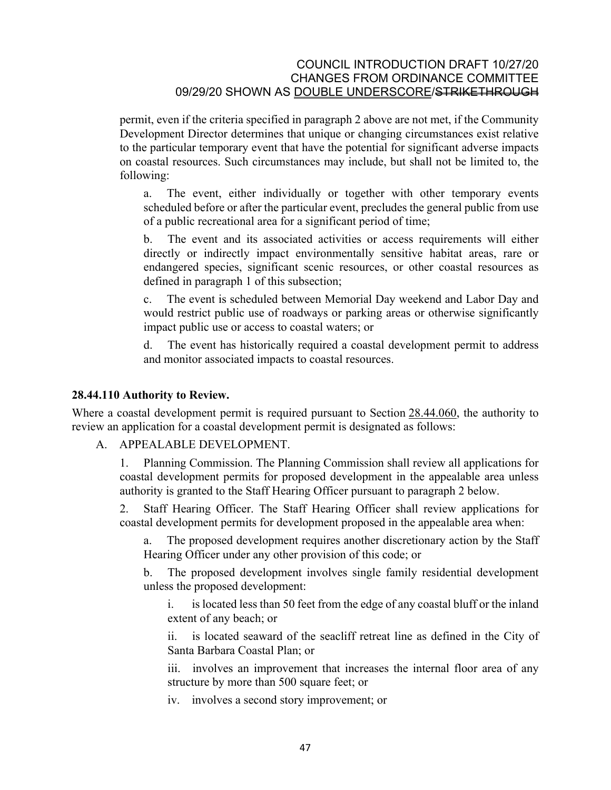permit, even if the criteria specified in paragraph 2 above are not met, if the Community Development Director determines that unique or changing circumstances exist relative to the particular temporary event that have the potential for significant adverse impacts on coastal resources. Such circumstances may include, but shall not be limited to, the following:

a. The event, either individually or together with other temporary events scheduled before or after the particular event, precludes the general public from use of a public recreational area for a significant period of time;

b. The event and its associated activities or access requirements will either directly or indirectly impact environmentally sensitive habitat areas, rare or endangered species, significant scenic resources, or other coastal resources as defined in paragraph 1 of this subsection;

c. The event is scheduled between Memorial Day weekend and Labor Day and would restrict public use of roadways or parking areas or otherwise significantly impact public use or access to coastal waters; or

d. The event has historically required a coastal development permit to address and monitor associated impacts to coastal resources.

### **28.44.110 Authority to Review.**

Where a coastal development permit is required pursuant to Section [28.44.060,](http://qcode.us/codes/santabarbara/view.php?cite=section_28.44.060&confidence=6) the authority to review an application for a coastal development permit is designated as follows:

A. APPEALABLE DEVELOPMENT.

1. Planning Commission. The Planning Commission shall review all applications for coastal development permits for proposed development in the appealable area unless authority is granted to the Staff Hearing Officer pursuant to paragraph 2 below.

2. Staff Hearing Officer. The Staff Hearing Officer shall review applications for coastal development permits for development proposed in the appealable area when:

a. The proposed development requires another discretionary action by the Staff Hearing Officer under any other provision of this code; or

b. The proposed development involves single family residential development unless the proposed development:

i. is located less than 50 feet from the edge of any coastal bluff or the inland extent of any beach; or

ii. is located seaward of the seacliff retreat line as defined in the City of Santa Barbara Coastal Plan; or

iii. involves an improvement that increases the internal floor area of any structure by more than 500 square feet; or

iv. involves a second story improvement; or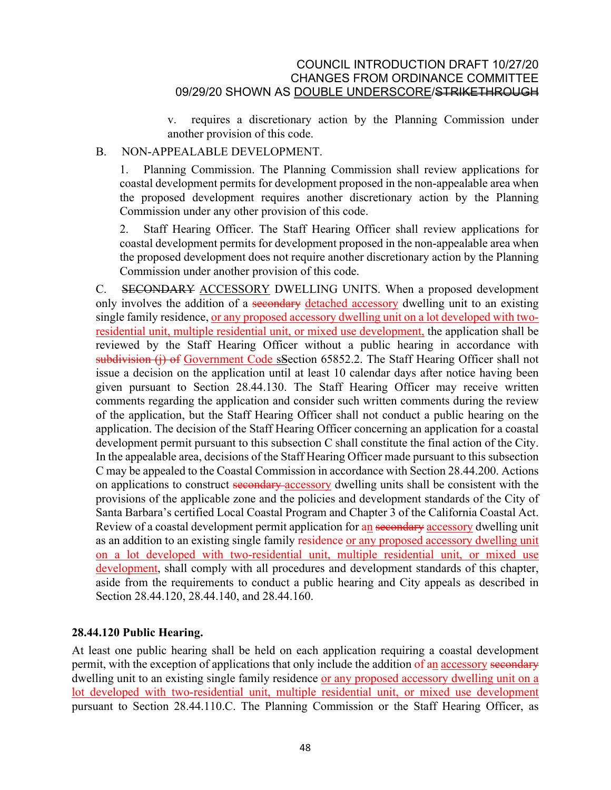v. requires a discretionary action by the Planning Commission under another provision of this code.

### B. NON-APPEALABLE DEVELOPMENT.

1. Planning Commission. The Planning Commission shall review applications for coastal development permits for development proposed in the non-appealable area when the proposed development requires another discretionary action by the Planning Commission under any other provision of this code.

2. Staff Hearing Officer. The Staff Hearing Officer shall review applications for coastal development permits for development proposed in the non-appealable area when the proposed development does not require another discretionary action by the Planning Commission under another provision of this code.

C. SECONDARY ACCESSORY DWELLING UNITS. When a proposed development only involves the addition of a secondary detached accessory dwelling unit to an existing single family residence, or any proposed accessory dwelling unit on a lot developed with tworesidential unit, multiple residential unit, or mixed use development, the application shall be reviewed by the Staff Hearing Officer without a public hearing in accordance with subdivision (i) of Government Code sSection 65852.2. The Staff Hearing Officer shall not issue a decision on the application until at least 10 calendar days after notice having been given pursuant to Section [28.44.130.](http://qcode.us/codes/santabarbara/view.php?cite=section_28.44.130&confidence=6) The Staff Hearing Officer may receive written comments regarding the application and consider such written comments during the review of the application, but the Staff Hearing Officer shall not conduct a public hearing on the application. The decision of the Staff Hearing Officer concerning an application for a coastal development permit pursuant to this subsection C shall constitute the final action of the City. In the appealable area, decisions of the Staff Hearing Officer made pursuant to this subsection C may be appealed to the Coastal Commission in accordance with Section [28.44.200](http://qcode.us/codes/santabarbara/view.php?cite=section_28.44.200&confidence=6). Actions on applications to construct secondary accessory dwelling units shall be consistent with the provisions of the applicable zone and the policies and development standards of the City of Santa Barbara's certified Local Coastal Program and Chapter 3 of the California Coastal Act. Review of a coastal development permit application for an secondary accessory dwelling unit as an addition to an existing single family residence or any proposed accessory dwelling unit on a lot developed with two-residential unit, multiple residential unit, or mixed use development, shall comply with all procedures and development standards of this chapter, aside from the requirements to conduct a public hearing and City appeals as described in Section [28.44.120,](http://qcode.us/codes/santabarbara/view.php?cite=section_28.44.120&confidence=6) [28.44.140,](http://qcode.us/codes/santabarbara/view.php?cite=section_28.44.140&confidence=6) and [28.44.160](http://qcode.us/codes/santabarbara/view.php?cite=section_28.44.160&confidence=6).

# **28.44.120 Public Hearing.**

At least one public hearing shall be held on each application requiring a coastal development permit, with the exception of applications that only include the addition of an accessory secondary dwelling unit to an existing single family residence or any proposed accessory dwelling unit on a lot developed with two-residential unit, multiple residential unit, or mixed use development pursuant to Section 28.44.110.C. The Planning Commission or the Staff Hearing Officer, as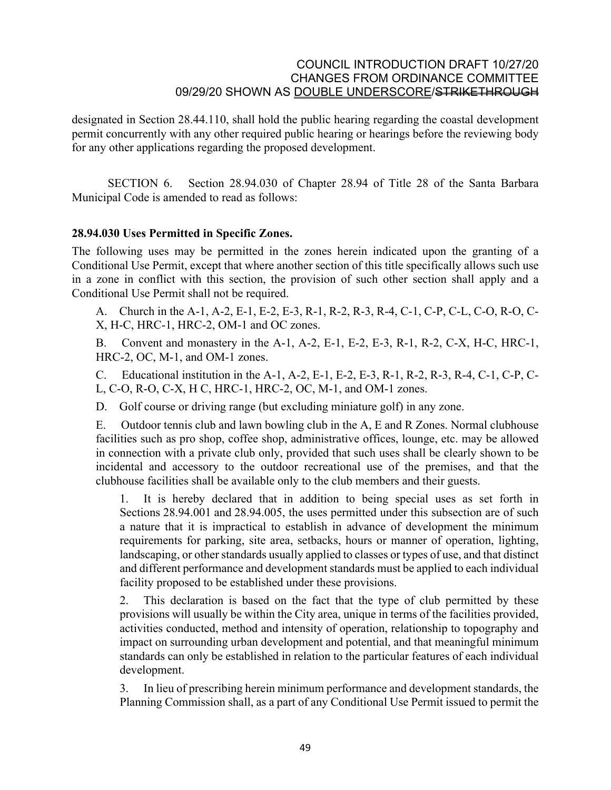designated in Section [28.44.110,](http://qcode.us/codes/santabarbara/view.php?cite=section_28.44.110&confidence=6) shall hold the public hearing regarding the coastal development permit concurrently with any other required public hearing or hearings before the reviewing body for any other applications regarding the proposed development.

SECTION 6. Section 28.94.030 of Chapter 28.94 of Title 28 of the Santa Barbara Municipal Code is amended to read as follows:

### **28.94.030 Uses Permitted in Specific Zones.**

The following uses may be permitted in the zones herein indicated upon the granting of a Conditional Use Permit, except that where another section of this title specifically allows such use in a zone in conflict with this section, the provision of such other section shall apply and a Conditional Use Permit shall not be required.

A. Church in the A-1, A-2, E-1, E-2, E-3, R-1, R-2, R-3, R-4, C-1, C-P, C-L, C-O, R-O, C-X, H-C, HRC-1, HRC-2, OM-1 and OC zones.

B. Convent and monastery in the A-1, A-2, E-1, E-2, E-3, R-1, R-2, C-X, H-C, HRC-1, HRC-2, OC, M-1, and OM-1 zones.

C. Educational institution in the A-1, A-2, E-1, E-2, E-3, R-1, R-2, R-3, R-4, C-1, C-P, C-L, C-O, R-O, C-X, H C, HRC-1, HRC-2, OC, M-1, and OM-1 zones.

D. Golf course or driving range (but excluding miniature golf) in any zone.

E. Outdoor tennis club and lawn bowling club in the A, E and R Zones. Normal clubhouse facilities such as pro shop, coffee shop, administrative offices, lounge, etc. may be allowed in connection with a private club only, provided that such uses shall be clearly shown to be incidental and accessory to the outdoor recreational use of the premises, and that the clubhouse facilities shall be available only to the club members and their guests.

1. It is hereby declared that in addition to being special uses as set forth in Sections [28.94.001](http://qcode.us/codes/santabarbara/view.php?cite=section_28.94.001&confidence=6) and [28.94.005,](http://qcode.us/codes/santabarbara/view.php?cite=section_28.94.005&confidence=6) the uses permitted under this subsection are of such a nature that it is impractical to establish in advance of development the minimum requirements for parking, site area, setbacks, hours or manner of operation, lighting, landscaping, or other standards usually applied to classes or types of use, and that distinct and different performance and development standards must be applied to each individual facility proposed to be established under these provisions.

2. This declaration is based on the fact that the type of club permitted by these provisions will usually be within the City area, unique in terms of the facilities provided, activities conducted, method and intensity of operation, relationship to topography and impact on surrounding urban development and potential, and that meaningful minimum standards can only be established in relation to the particular features of each individual development.

3. In lieu of prescribing herein minimum performance and development standards, the Planning Commission shall, as a part of any Conditional Use Permit issued to permit the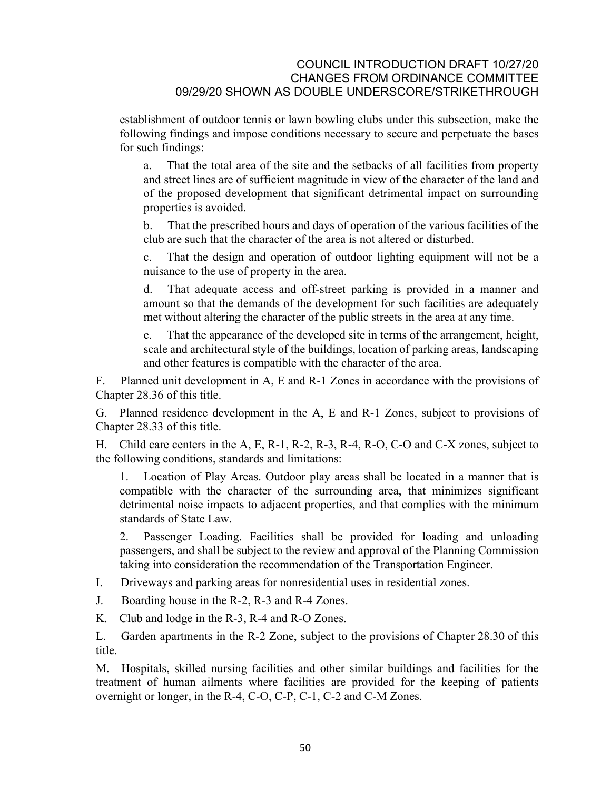establishment of outdoor tennis or lawn bowling clubs under this subsection, make the following findings and impose conditions necessary to secure and perpetuate the bases for such findings:

a. That the total area of the site and the setbacks of all facilities from property and street lines are of sufficient magnitude in view of the character of the land and of the proposed development that significant detrimental impact on surrounding properties is avoided.

b. That the prescribed hours and days of operation of the various facilities of the club are such that the character of the area is not altered or disturbed.

c. That the design and operation of outdoor lighting equipment will not be a nuisance to the use of property in the area.

d. That adequate access and off-street parking is provided in a manner and amount so that the demands of the development for such facilities are adequately met without altering the character of the public streets in the area at any time.

e. That the appearance of the developed site in terms of the arrangement, height, scale and architectural style of the buildings, location of parking areas, landscaping and other features is compatible with the character of the area.

F. Planned unit development in A, E and R-1 Zones in accordance with the provisions of Chapter [28.36](http://qcode.us/codes/santabarbara/view.php?cite=chapter_28.36&confidence=8) of this title.

G. Planned residence development in the A, E and R-1 Zones, subject to provisions of Chapter [28.33](http://qcode.us/codes/santabarbara/view.php?cite=chapter_28.33&confidence=8) of this title.

H. Child care centers in the A, E, R-1, R-2, R-3, R-4, R-O, C-O and C-X zones, subject to the following conditions, standards and limitations:

1. Location of Play Areas. Outdoor play areas shall be located in a manner that is compatible with the character of the surrounding area, that minimizes significant detrimental noise impacts to adjacent properties, and that complies with the minimum standards of State Law.

2. Passenger Loading. Facilities shall be provided for loading and unloading passengers, and shall be subject to the review and approval of the Planning Commission taking into consideration the recommendation of the Transportation Engineer.

I. Driveways and parking areas for nonresidential uses in residential zones.

J. Boarding house in the R-2, R-3 and R-4 Zones.

K. Club and lodge in the R-3, R-4 and R-O Zones.

L. Garden apartments in the R-2 Zone, subject to the provisions of Chapter [28.30](http://qcode.us/codes/santabarbara/view.php?cite=chapter_28.30&confidence=8) of this title.

M. Hospitals, skilled nursing facilities and other similar buildings and facilities for the treatment of human ailments where facilities are provided for the keeping of patients overnight or longer, in the R-4, C-O, C-P, C-1, C-2 and C-M Zones.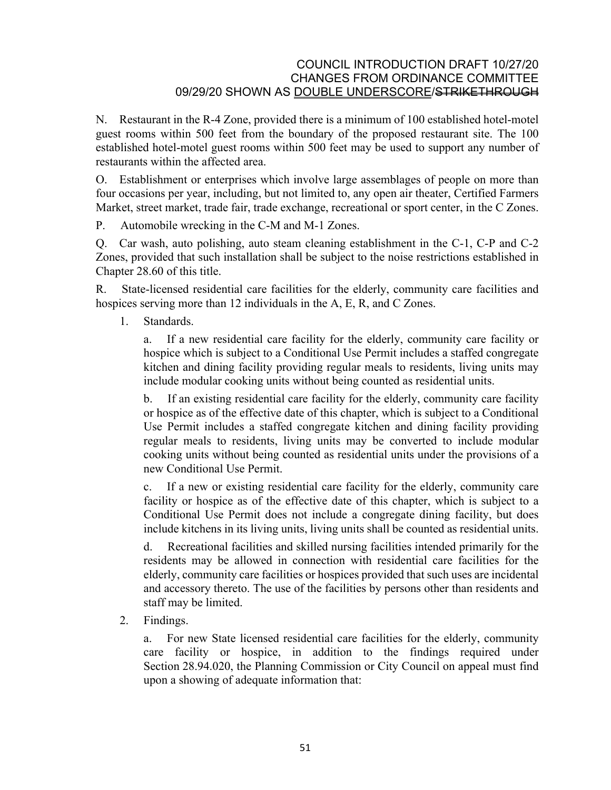N. Restaurant in the R-4 Zone, provided there is a minimum of 100 established hotel-motel guest rooms within 500 feet from the boundary of the proposed restaurant site. The 100 established hotel-motel guest rooms within 500 feet may be used to support any number of restaurants within the affected area.

O. Establishment or enterprises which involve large assemblages of people on more than four occasions per year, including, but not limited to, any open air theater, Certified Farmers Market, street market, trade fair, trade exchange, recreational or sport center, in the C Zones.

P. Automobile wrecking in the C-M and M-1 Zones.

Q. Car wash, auto polishing, auto steam cleaning establishment in the C-1, C-P and C-2 Zones, provided that such installation shall be subject to the noise restrictions established in Chapter [28.60](http://qcode.us/codes/santabarbara/view.php?cite=chapter_28.60&confidence=8) of this title.

R. State-licensed residential care facilities for the elderly, community care facilities and hospices serving more than 12 individuals in the A, E, R, and C Zones.

1. Standards.

a. If a new residential care facility for the elderly, community care facility or hospice which is subject to a Conditional Use Permit includes a staffed congregate kitchen and dining facility providing regular meals to residents, living units may include modular cooking units without being counted as residential units.

b. If an existing residential care facility for the elderly, community care facility or hospice as of the effective date of this chapter, which is subject to a Conditional Use Permit includes a staffed congregate kitchen and dining facility providing regular meals to residents, living units may be converted to include modular cooking units without being counted as residential units under the provisions of a new Conditional Use Permit.

c. If a new or existing residential care facility for the elderly, community care facility or hospice as of the effective date of this chapter, which is subject to a Conditional Use Permit does not include a congregate dining facility, but does include kitchens in its living units, living units shall be counted as residential units.

d. Recreational facilities and skilled nursing facilities intended primarily for the residents may be allowed in connection with residential care facilities for the elderly, community care facilities or hospices provided that such uses are incidental and accessory thereto. The use of the facilities by persons other than residents and staff may be limited.

2. Findings.

a. For new State licensed residential care facilities for the elderly, community care facility or hospice, in addition to the findings required under Section [28.94.020,](http://qcode.us/codes/santabarbara/view.php?cite=section_28.94.020&confidence=6) the Planning Commission or City Council on appeal must find upon a showing of adequate information that: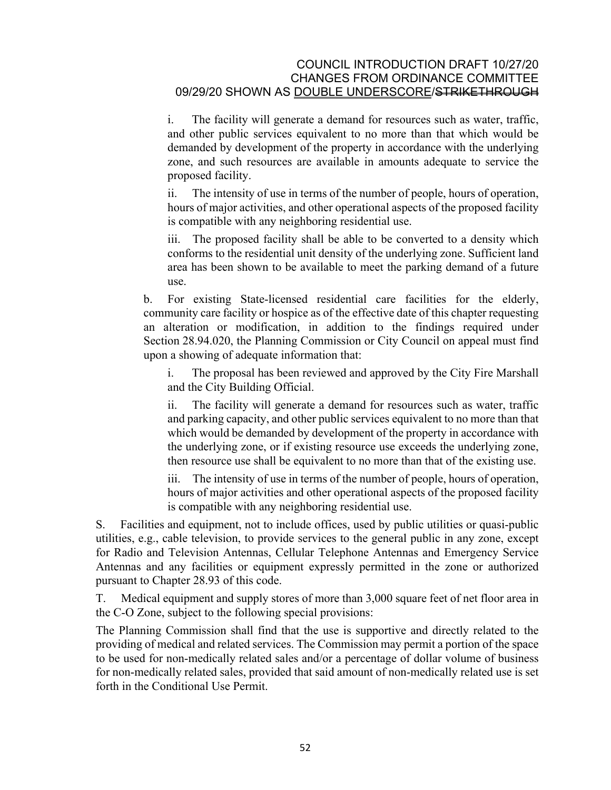i. The facility will generate a demand for resources such as water, traffic, and other public services equivalent to no more than that which would be demanded by development of the property in accordance with the underlying zone, and such resources are available in amounts adequate to service the proposed facility.

ii. The intensity of use in terms of the number of people, hours of operation, hours of major activities, and other operational aspects of the proposed facility is compatible with any neighboring residential use.

iii. The proposed facility shall be able to be converted to a density which conforms to the residential unit density of the underlying zone. Sufficient land area has been shown to be available to meet the parking demand of a future use.

b. For existing State-licensed residential care facilities for the elderly, community care facility or hospice as of the effective date of this chapter requesting an alteration or modification, in addition to the findings required under Section [28.94.020,](http://qcode.us/codes/santabarbara/view.php?cite=section_28.94.020&confidence=6) the Planning Commission or City Council on appeal must find upon a showing of adequate information that:

i. The proposal has been reviewed and approved by the City Fire Marshall and the City Building Official.

ii. The facility will generate a demand for resources such as water, traffic and parking capacity, and other public services equivalent to no more than that which would be demanded by development of the property in accordance with the underlying zone, or if existing resource use exceeds the underlying zone, then resource use shall be equivalent to no more than that of the existing use.

iii. The intensity of use in terms of the number of people, hours of operation, hours of major activities and other operational aspects of the proposed facility is compatible with any neighboring residential use.

S. Facilities and equipment, not to include offices, used by public utilities or quasi-public utilities, e.g., cable television, to provide services to the general public in any zone, except for Radio and Television Antennas, Cellular Telephone Antennas and Emergency Service Antennas and any facilities or equipment expressly permitted in the zone or authorized pursuant to Chapter [28.93](http://qcode.us/codes/santabarbara/view.php?cite=chapter_28.93&confidence=8) of this code.

T. Medical equipment and supply stores of more than 3,000 square feet of net floor area in the C-O Zone, subject to the following special provisions:

The Planning Commission shall find that the use is supportive and directly related to the providing of medical and related services. The Commission may permit a portion of the space to be used for non-medically related sales and/or a percentage of dollar volume of business for non-medically related sales, provided that said amount of non-medically related use is set forth in the Conditional Use Permit.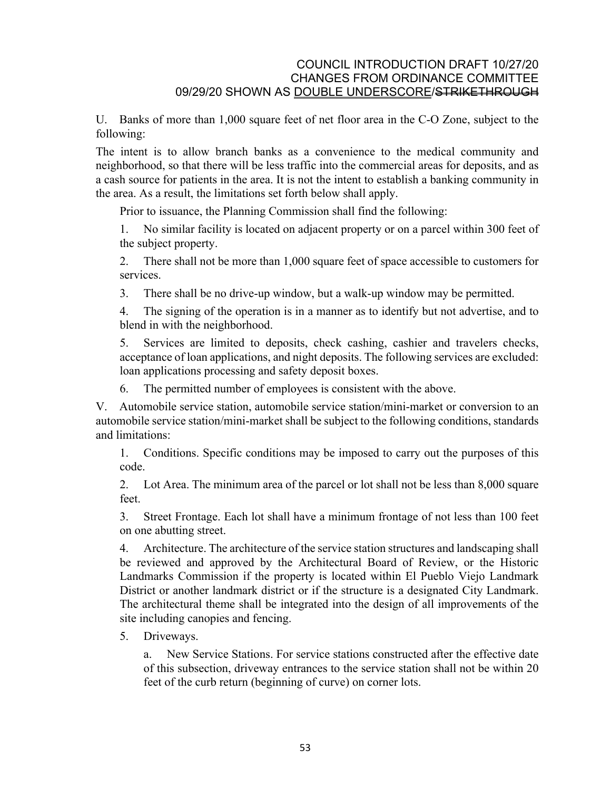U. Banks of more than 1,000 square feet of net floor area in the C-O Zone, subject to the following:

The intent is to allow branch banks as a convenience to the medical community and neighborhood, so that there will be less traffic into the commercial areas for deposits, and as a cash source for patients in the area. It is not the intent to establish a banking community in the area. As a result, the limitations set forth below shall apply.

Prior to issuance, the Planning Commission shall find the following:

1. No similar facility is located on adjacent property or on a parcel within 300 feet of the subject property.

2. There shall not be more than 1,000 square feet of space accessible to customers for services.

3. There shall be no drive-up window, but a walk-up window may be permitted.

4. The signing of the operation is in a manner as to identify but not advertise, and to blend in with the neighborhood.

5. Services are limited to deposits, check cashing, cashier and travelers checks, acceptance of loan applications, and night deposits. The following services are excluded: loan applications processing and safety deposit boxes.

6. The permitted number of employees is consistent with the above.

V. Automobile service station, automobile service station/mini-market or conversion to an automobile service station/mini-market shall be subject to the following conditions, standards and limitations:

1. Conditions. Specific conditions may be imposed to carry out the purposes of this code.

2. Lot Area. The minimum area of the parcel or lot shall not be less than 8,000 square feet.

3. Street Frontage. Each lot shall have a minimum frontage of not less than 100 feet on one abutting street.

4. Architecture. The architecture of the service station structures and landscaping shall be reviewed and approved by the Architectural Board of Review, or the Historic Landmarks Commission if the property is located within El Pueblo Viejo Landmark District or another landmark district or if the structure is a designated City Landmark. The architectural theme shall be integrated into the design of all improvements of the site including canopies and fencing.

5. Driveways.

a. New Service Stations. For service stations constructed after the effective date of this subsection, driveway entrances to the service station shall not be within 20 feet of the curb return (beginning of curve) on corner lots.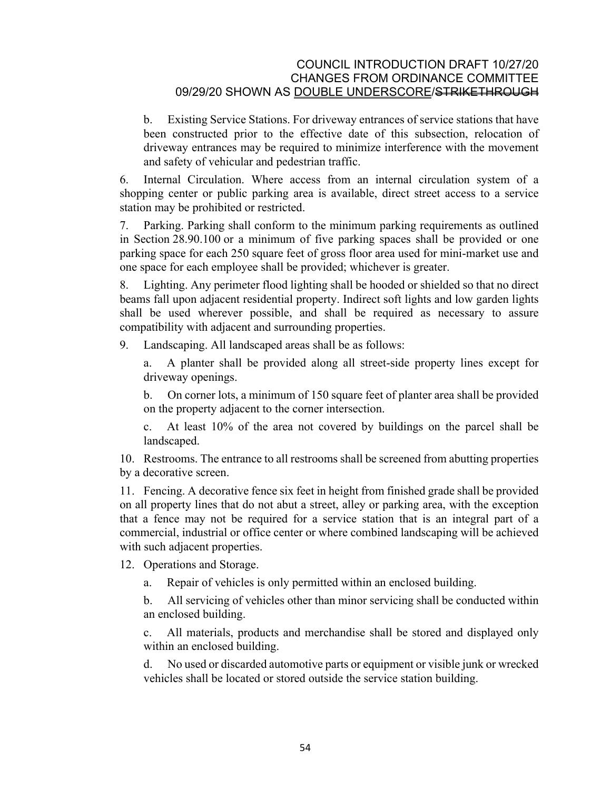b. Existing Service Stations. For driveway entrances of service stations that have been constructed prior to the effective date of this subsection, relocation of driveway entrances may be required to minimize interference with the movement and safety of vehicular and pedestrian traffic.

6. Internal Circulation. Where access from an internal circulation system of a shopping center or public parking area is available, direct street access to a service station may be prohibited or restricted.

7. Parking. Parking shall conform to the minimum parking requirements as outlined in Section [28.90.100](http://qcode.us/codes/santabarbara/view.php?cite=section_28.90.100&confidence=6) or a minimum of five parking spaces shall be provided or one parking space for each 250 square feet of gross floor area used for mini-market use and one space for each employee shall be provided; whichever is greater.

8. Lighting. Any perimeter flood lighting shall be hooded or shielded so that no direct beams fall upon adjacent residential property. Indirect soft lights and low garden lights shall be used wherever possible, and shall be required as necessary to assure compatibility with adjacent and surrounding properties.

9. Landscaping. All landscaped areas shall be as follows:

a. A planter shall be provided along all street-side property lines except for driveway openings.

b. On corner lots, a minimum of 150 square feet of planter area shall be provided on the property adjacent to the corner intersection.

c. At least 10% of the area not covered by buildings on the parcel shall be landscaped.

10. Restrooms. The entrance to all restrooms shall be screened from abutting properties by a decorative screen.

11. Fencing. A decorative fence six feet in height from finished grade shall be provided on all property lines that do not abut a street, alley or parking area, with the exception that a fence may not be required for a service station that is an integral part of a commercial, industrial or office center or where combined landscaping will be achieved with such adjacent properties.

12. Operations and Storage.

a. Repair of vehicles is only permitted within an enclosed building.

b. All servicing of vehicles other than minor servicing shall be conducted within an enclosed building.

c. All materials, products and merchandise shall be stored and displayed only within an enclosed building.

d. No used or discarded automotive parts or equipment or visible junk or wrecked vehicles shall be located or stored outside the service station building.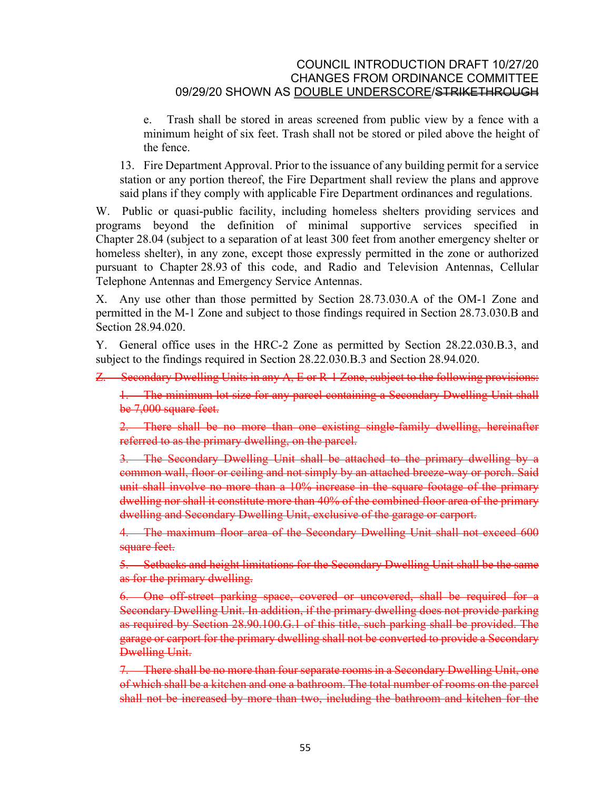e. Trash shall be stored in areas screened from public view by a fence with a minimum height of six feet. Trash shall not be stored or piled above the height of the fence.

13. Fire Department Approval. Prior to the issuance of any building permit for a service station or any portion thereof, the Fire Department shall review the plans and approve said plans if they comply with applicable Fire Department ordinances and regulations.

W. Public or quasi-public facility, including homeless shelters providing services and programs beyond the definition of minimal supportive services specified in Chapter [28.04](http://qcode.us/codes/santabarbara/view.php?cite=chapter_28.04&confidence=6) (subject to a separation of at least 300 feet from another emergency shelter or homeless shelter), in any zone, except those expressly permitted in the zone or authorized pursuant to Chapter [28.93](http://qcode.us/codes/santabarbara/view.php?cite=chapter_28.93&confidence=8) of this code, and Radio and Television Antennas, Cellular Telephone Antennas and Emergency Service Antennas.

X. Any use other than those permitted by Section 28.73.030.A of the OM-1 Zone and permitted in the M-1 Zone and subject to those findings required in Section 28.73.030.B and Section [28.94.020.](http://qcode.us/codes/santabarbara/view.php?cite=section_28.94.020&confidence=6)

Y. General office uses in the HRC-2 Zone as permitted by Section 28.22.030.B.3, and subject to the findings required in Section 28.22.030.B.3 and Section [28.94.020.](http://qcode.us/codes/santabarbara/view.php?cite=section_28.94.020&confidence=6)

#### Z. Secondary Dwelling Units in any A, E or R-1 Zone, subject to the following provisions:

1. The minimum lot size for any parcel containing a Secondary Dwelling Unit shall be 7,000 square feet.

2. There shall be no more than one existing single-family dwelling, hereinafter referred to as the primary dwelling, on the parcel.

3. The Secondary Dwelling Unit shall be attached to the primary dwelling by a common wall, floor or ceiling and not simply by an attached breeze-way or porch. Said unit shall involve no more than a 10% increase in the square footage of the primary dwelling nor shall it constitute more than 40% of the combined floor area of the primary dwelling and Secondary Dwelling Unit, exclusive of the garage or carport.

4. The maximum floor area of the Secondary Dwelling Unit shall not exceed 600 square feet.

5. Setbacks and height limitations for the Secondary Dwelling Unit shall be the same as for the primary dwelling.

6. One off-street parking space, covered or uncovered, shall be required for a Secondary Dwelling Unit. In addition, if the primary dwelling does not provide parking as required by Section 28.90.100.G.1 of this title, such parking shall be provided. The garage or carport for the primary dwelling shall not be converted to provide a Secondary Dwelling Unit.

7. There shall be no more than four separate rooms in a Secondary Dwelling Unit, one of which shall be a kitchen and one a bathroom. The total number of rooms on the parcel shall not be increased by more than two, including the bathroom and kitchen for the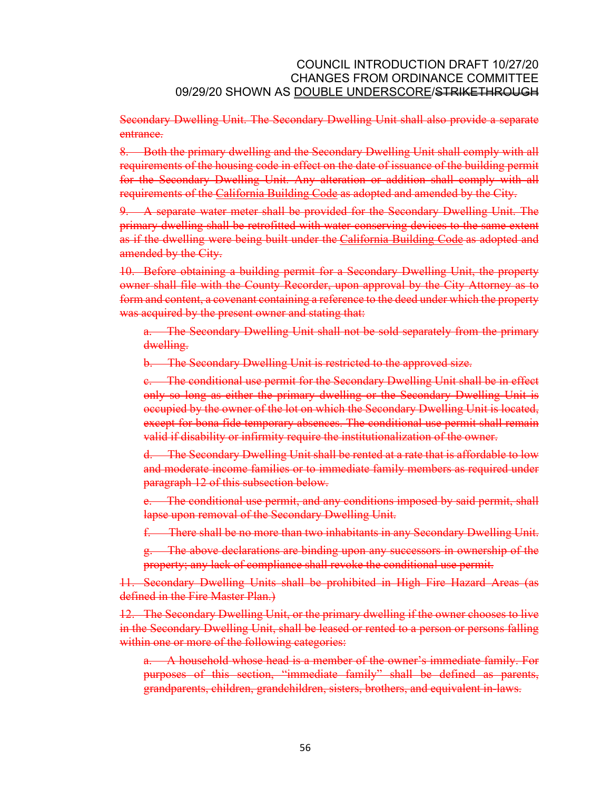Secondary Dwelling Unit. The Secondary Dwelling Unit shall also provide a separate entrance.

8. Both the primary dwelling and the Secondary Dwelling Unit shall comply with all requirements of the housing code in effect on the date of issuance of the building permit for the Secondary Dwelling Unit. Any alteration or addition shall comply with all requirements of the [California Building Code](http://qcode.us/codes/othercode.php?state=ca&code=calbui) as adopted and amended by the City.

9. A separate water meter shall be provided for the Secondary Dwelling Unit. The primary dwelling shall be retrofitted with water-conserving devices to the same extent as if the dwelling were being built under the [California Building Code](http://qcode.us/codes/othercode.php?state=ca&code=calbui) as adopted and amended by the City.

10. Before obtaining a building permit for a Secondary Dwelling Unit, the property owner shall file with the County Recorder, upon approval by the City Attorney as to form and content, a covenant containing a reference to the deed under which the property was acquired by the present owner and stating that:

a. The Secondary Dwelling Unit shall not be sold separately from the primary dwelling.

b. The Secondary Dwelling Unit is restricted to the approved size.

c. The conditional use permit for the Secondary Dwelling Unit shall be in effect only so long as either the primary dwelling or the Secondary Dwelling Unit is occupied by the owner of the lot on which the Secondary Dwelling Unit is located, except for bona fide temporary absences. The conditional use permit shall remain valid if disability or infirmity require the institutionalization of the owner.

d. The Secondary Dwelling Unit shall be rented at a rate that is affordable to low and moderate income families or to immediate family members as required under paragraph 12 of this subsection below.

e. The conditional use permit, and any conditions imposed by said permit, shall lapse upon removal of the Secondary Dwelling Unit.

f. There shall be no more than two inhabitants in any Secondary Dwelling Unit.

g. The above declarations are binding upon any successors in ownership of the property; any lack of compliance shall revoke the conditional use permit.

11. Secondary Dwelling Units shall be prohibited in High Fire Hazard Areas (as defined in the Fire Master Plan.)

12. The Secondary Dwelling Unit, or the primary dwelling if the owner chooses to live in the Secondary Dwelling Unit, shall be leased or rented to a person or persons falling within one or more of the following categories:

a. A household whose head is a member of the owner's immediate family. For purposes of this section, "immediate family" shall be defined as parents, grandparents, children, grandchildren, sisters, brothers, and equivalent in-laws.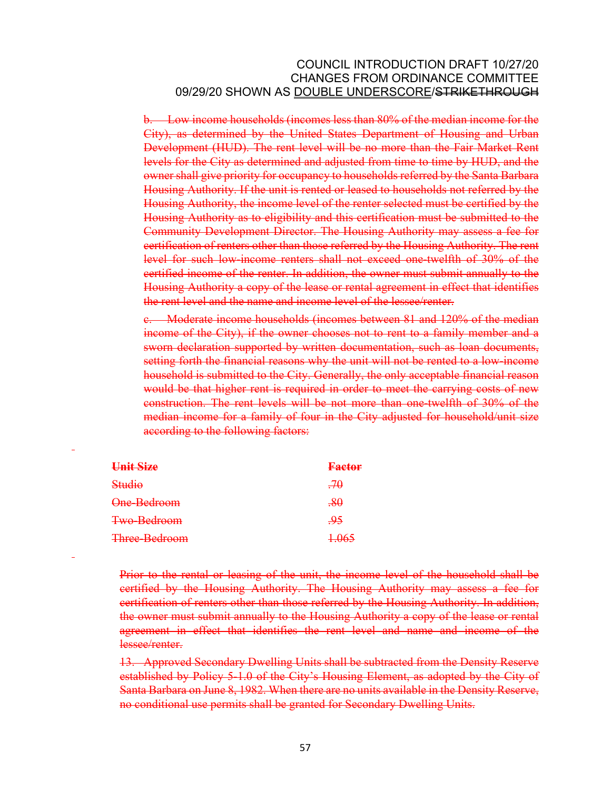b. Low income households (incomes less than 80% of the median income for the City), as determined by the United States Department of Housing and Urban Development (HUD). The rent level will be no more than the Fair Market Rent levels for the City as determined and adjusted from time to time by HUD, and the owner shall give priority for occupancy to households referred by the Santa Barbara Housing Authority. If the unit is rented or leased to households not referred by the Housing Authority, the income level of the renter selected must be certified by the Housing Authority as to eligibility and this certification must be submitted to the Community Development Director. The Housing Authority may assess a fee for certification of renters other than those referred by the Housing Authority. The rent level for such low-income renters shall not exceed one-twelfth of 30% of the certified income of the renter. In addition, the owner must submit annually to the Housing Authority a copy of the lease or rental agreement in effect that identifies the rent level and the name and income level of the lessee/renter.

c. Moderate income households (incomes between 81 and 120% of the median income of the City), if the owner chooses not to rent to a family member and a sworn declaration supported by written documentation, such as loan documents, setting forth the financial reasons why the unit will not be rented to a low-income household is submitted to the City. Generally, the only acceptable financial reason would be that higher rent is required in order to meet the carrying costs of new construction. The rent levels will be not more than one-twelfth of 30% of the median income for a family of four in the City adjusted for household/unit size according to the following factors:

| Unit Size     | <b>Factor</b> |
|---------------|---------------|
| Studio        | $-70$         |
| One-Bedroom   | $-80$         |
| Two-Bedroom   | -95           |
| Three-Bedroom | 1.065         |

Prior to the rental or leasing of the unit, the income level of the household shall be certified by the Housing Authority. The Housing Authority may assess a fee for certification of renters other than those referred by the Housing Authority. In addition, the owner must submit annually to the Housing Authority a copy of the lease or rental agreement in effect that identifies the rent level and name and income of the lessee/renter.

13. Approved Secondary Dwelling Units shall be subtracted from the Density Reserve established by Policy 5-1.0 of the City's Housing Element, as adopted by the City of Santa Barbara on June 8, 1982. When there are no units available in the Density Reserve, no conditional use permits shall be granted for Secondary Dwelling Units.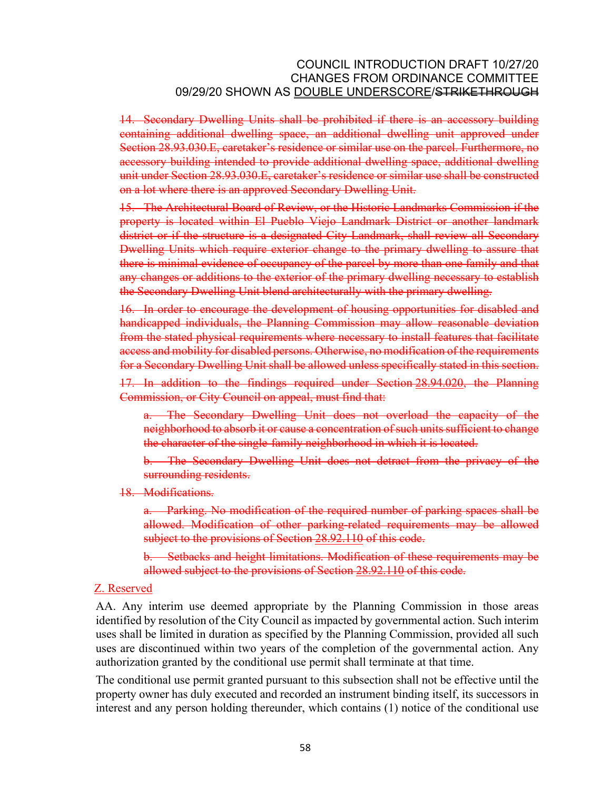14. Secondary Dwelling Units shall be prohibited if there is an accessory building containing additional dwelling space, an additional dwelling unit approved under Section 28.93.030.E, caretaker's residence or similar use on the parcel. Furthermore, no accessory building intended to provide additional dwelling space, additional dwelling unit under Section 28.93.030.E, caretaker's residence or similar use shall be constructed on a lot where there is an approved Secondary Dwelling Unit.

15. The Architectural Board of Review, or the Historic Landmarks Commission if the property is located within El Pueblo Viejo Landmark District or another landmark district or if the structure is a designated City Landmark, shall review all Secondary Dwelling Units which require exterior change to the primary dwelling to assure that there is minimal evidence of occupancy of the parcel by more than one family and that any changes or additions to the exterior of the primary dwelling necessary to establish the Secondary Dwelling Unit blend architecturally with the primary dwelling.

16. In order to encourage the development of housing opportunities for disabled and handicapped individuals, the Planning Commission may allow reasonable deviation from the stated physical requirements where necessary to install features that facilitate access and mobility for disabled persons. Otherwise, no modification of the requirements for a Secondary Dwelling Unit shall be allowed unless specifically stated in this section.

17. In addition to the findings required under Section [28.94.020](http://qcode.us/codes/santabarbara/view.php?cite=section_28.94.020&confidence=6), the Planning Commission, or City Council on appeal, must find that:

a. The Secondary Dwelling Unit does not overload the capacity of the neighborhood to absorb it or cause a concentration of such units sufficient to change the character of the single-family neighborhood in which it is located.

b. The Secondary Dwelling Unit does not detract from the privacy of the surrounding residents.

18. Modifications.

a. Parking. No modification of the required number of parking spaces shall be allowed. Modification of other parking-related requirements may be allowed subject to the provisions of Section [28.92.110](http://qcode.us/codes/santabarbara/view.php?cite=section_28.92.110&confidence=8) of this code.

b. Setbacks and height limitations. Modification of these requirements may be allowed subject to the provisions of Section [28.92.110](http://qcode.us/codes/santabarbara/view.php?cite=section_28.92.110&confidence=8) of this code.

#### Z. Reserved

AA. Any interim use deemed appropriate by the Planning Commission in those areas identified by resolution of the City Council as impacted by governmental action. Such interim uses shall be limited in duration as specified by the Planning Commission, provided all such uses are discontinued within two years of the completion of the governmental action. Any authorization granted by the conditional use permit shall terminate at that time.

The conditional use permit granted pursuant to this subsection shall not be effective until the property owner has duly executed and recorded an instrument binding itself, its successors in interest and any person holding thereunder, which contains (1) notice of the conditional use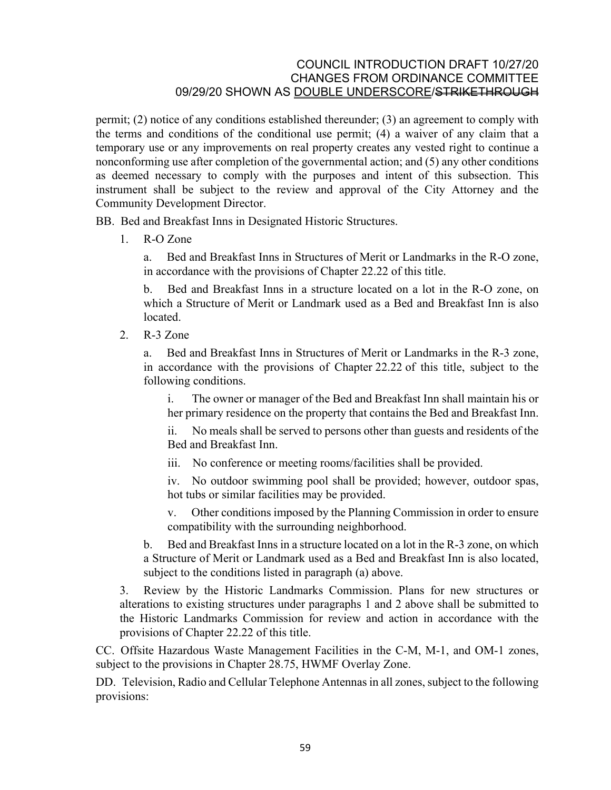permit; (2) notice of any conditions established thereunder; (3) an agreement to comply with the terms and conditions of the conditional use permit; (4) a waiver of any claim that a temporary use or any improvements on real property creates any vested right to continue a nonconforming use after completion of the governmental action; and (5) any other conditions as deemed necessary to comply with the purposes and intent of this subsection. This instrument shall be subject to the review and approval of the City Attorney and the Community Development Director.

BB. Bed and Breakfast Inns in Designated Historic Structures.

1. R-O Zone

a. Bed and Breakfast Inns in Structures of Merit or Landmarks in the R-O zone, in accordance with the provisions of Chapter [22.22](http://qcode.us/codes/santabarbara/view.php?cite=chapter_22.22&confidence=8) of this title.

b. Bed and Breakfast Inns in a structure located on a lot in the R-O zone, on which a Structure of Merit or Landmark used as a Bed and Breakfast Inn is also **located** 

2. R-3 Zone

a. Bed and Breakfast Inns in Structures of Merit or Landmarks in the R-3 zone, in accordance with the provisions of Chapter [22.22](http://qcode.us/codes/santabarbara/view.php?cite=chapter_22.22&confidence=8) of this title, subject to the following conditions.

i. The owner or manager of the Bed and Breakfast Inn shall maintain his or her primary residence on the property that contains the Bed and Breakfast Inn.

ii. No meals shall be served to persons other than guests and residents of the Bed and Breakfast Inn.

iii. No conference or meeting rooms/facilities shall be provided.

iv. No outdoor swimming pool shall be provided; however, outdoor spas, hot tubs or similar facilities may be provided.

v. Other conditions imposed by the Planning Commission in order to ensure compatibility with the surrounding neighborhood.

b. Bed and Breakfast Inns in a structure located on a lot in the R-3 zone, on which a Structure of Merit or Landmark used as a Bed and Breakfast Inn is also located, subject to the conditions listed in paragraph (a) above.

3. Review by the Historic Landmarks Commission. Plans for new structures or alterations to existing structures under paragraphs 1 and 2 above shall be submitted to the Historic Landmarks Commission for review and action in accordance with the provisions of Chapter [22.22](http://qcode.us/codes/santabarbara/view.php?cite=chapter_22.22&confidence=8) of this title.

CC. Offsite Hazardous Waste Management Facilities in the C-M, M-1, and OM-1 zones, subject to the provisions in Chapter [28.75](http://qcode.us/codes/santabarbara/view.php?cite=chapter_28.75&confidence=6), HWMF Overlay Zone.

DD. Television, Radio and Cellular Telephone Antennas in all zones, subject to the following provisions: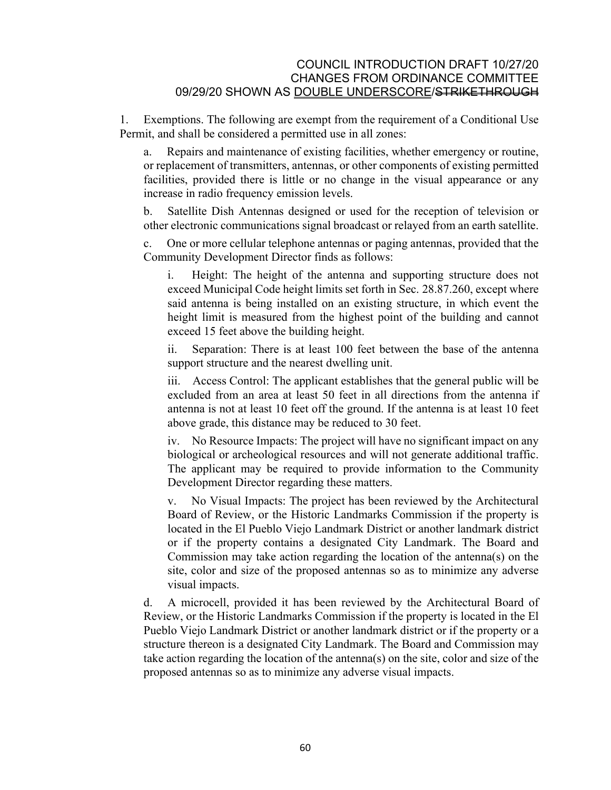1. Exemptions. The following are exempt from the requirement of a Conditional Use Permit, and shall be considered a permitted use in all zones:

a. Repairs and maintenance of existing facilities, whether emergency or routine, or replacement of transmitters, antennas, or other components of existing permitted facilities, provided there is little or no change in the visual appearance or any increase in radio frequency emission levels.

b. Satellite Dish Antennas designed or used for the reception of television or other electronic communications signal broadcast or relayed from an earth satellite.

c. One or more cellular telephone antennas or paging antennas, provided that the Community Development Director finds as follows:

i. Height: The height of the antenna and supporting structure does not exceed Municipal Code height limits set forth in Sec. [28.87.260](http://qcode.us/codes/santabarbara/view.php?cite=_28.87.260&confidence=5), except where said antenna is being installed on an existing structure, in which event the height limit is measured from the highest point of the building and cannot exceed 15 feet above the building height.

ii. Separation: There is at least 100 feet between the base of the antenna support structure and the nearest dwelling unit.

iii. Access Control: The applicant establishes that the general public will be excluded from an area at least 50 feet in all directions from the antenna if antenna is not at least 10 feet off the ground. If the antenna is at least 10 feet above grade, this distance may be reduced to 30 feet.

iv. No Resource Impacts: The project will have no significant impact on any biological or archeological resources and will not generate additional traffic. The applicant may be required to provide information to the Community Development Director regarding these matters.

v. No Visual Impacts: The project has been reviewed by the Architectural Board of Review, or the Historic Landmarks Commission if the property is located in the El Pueblo Viejo Landmark District or another landmark district or if the property contains a designated City Landmark. The Board and Commission may take action regarding the location of the antenna(s) on the site, color and size of the proposed antennas so as to minimize any adverse visual impacts.

d. A microcell, provided it has been reviewed by the Architectural Board of Review, or the Historic Landmarks Commission if the property is located in the El Pueblo Viejo Landmark District or another landmark district or if the property or a structure thereon is a designated City Landmark. The Board and Commission may take action regarding the location of the antenna(s) on the site, color and size of the proposed antennas so as to minimize any adverse visual impacts.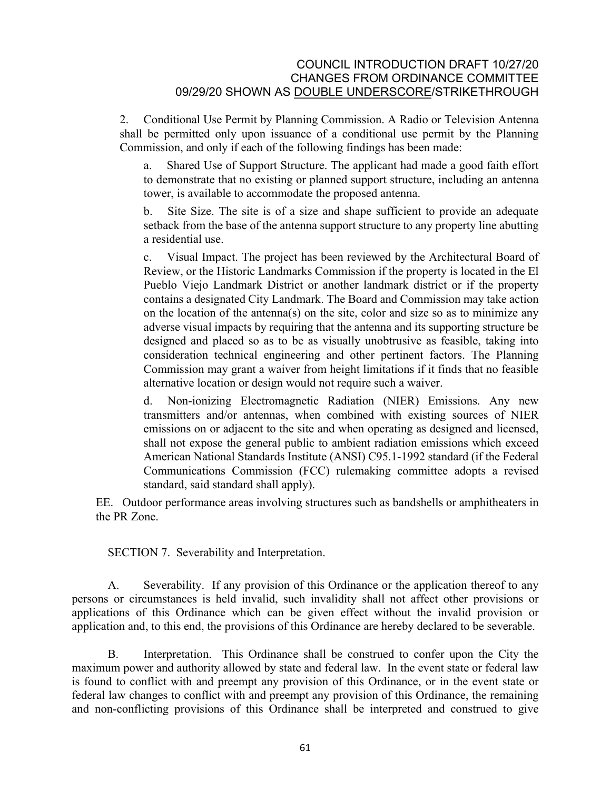2. Conditional Use Permit by Planning Commission. A Radio or Television Antenna shall be permitted only upon issuance of a conditional use permit by the Planning Commission, and only if each of the following findings has been made:

a. Shared Use of Support Structure. The applicant had made a good faith effort to demonstrate that no existing or planned support structure, including an antenna tower, is available to accommodate the proposed antenna.

b. Site Size. The site is of a size and shape sufficient to provide an adequate setback from the base of the antenna support structure to any property line abutting a residential use.

c. Visual Impact. The project has been reviewed by the Architectural Board of Review, or the Historic Landmarks Commission if the property is located in the El Pueblo Viejo Landmark District or another landmark district or if the property contains a designated City Landmark. The Board and Commission may take action on the location of the antenna(s) on the site, color and size so as to minimize any adverse visual impacts by requiring that the antenna and its supporting structure be designed and placed so as to be as visually unobtrusive as feasible, taking into consideration technical engineering and other pertinent factors. The Planning Commission may grant a waiver from height limitations if it finds that no feasible alternative location or design would not require such a waiver.

d. Non-ionizing Electromagnetic Radiation (NIER) Emissions. Any new transmitters and/or antennas, when combined with existing sources of NIER emissions on or adjacent to the site and when operating as designed and licensed, shall not expose the general public to ambient radiation emissions which exceed American National Standards Institute (ANSI) C95.1-1992 standard (if the Federal Communications Commission (FCC) rulemaking committee adopts a revised standard, said standard shall apply).

EE. Outdoor performance areas involving structures such as bandshells or amphitheaters in the PR Zone.

SECTION 7. Severability and Interpretation.

A. Severability. If any provision of this Ordinance or the application thereof to any persons or circumstances is held invalid, such invalidity shall not affect other provisions or applications of this Ordinance which can be given effect without the invalid provision or application and, to this end, the provisions of this Ordinance are hereby declared to be severable.

B. Interpretation. This Ordinance shall be construed to confer upon the City the maximum power and authority allowed by state and federal law. In the event state or federal law is found to conflict with and preempt any provision of this Ordinance, or in the event state or federal law changes to conflict with and preempt any provision of this Ordinance, the remaining and non-conflicting provisions of this Ordinance shall be interpreted and construed to give